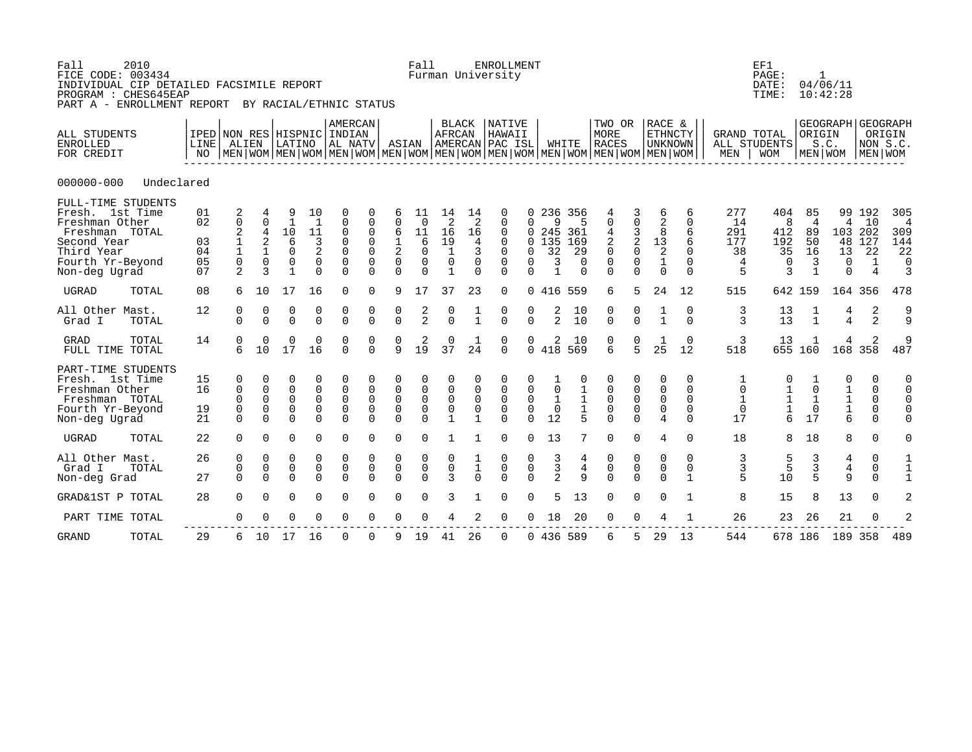| Fall<br>FICE CODE: 003434<br>INDIVIDUAL CIP DETAILED FACSIMILE REPORT<br>PROGRAM : CHES645EAP<br>PART A - ENROLLMENT REPORT BY RACIAL/ETHNIC STATUS | 2010       |                                     |                                                                          |                                                          |                                                                            |                                                               |                                                                            |                                                                                      |                                                                   | Fall                                                                |                                                                                 |                                                                 | <b>ENROLLMENT</b><br>Furman University                                        |                                                                      |                                                  |                                                   |                                                                                                                                                  |                                                            |                                                                        |                                                             |                                                      | EF1<br>PAGE:<br>DATE:<br>TIME:                  | 1                                                | 04/06/11<br>10:42:28                                   |                                                           |                                                     |
|-----------------------------------------------------------------------------------------------------------------------------------------------------|------------|-------------------------------------|--------------------------------------------------------------------------|----------------------------------------------------------|----------------------------------------------------------------------------|---------------------------------------------------------------|----------------------------------------------------------------------------|--------------------------------------------------------------------------------------|-------------------------------------------------------------------|---------------------------------------------------------------------|---------------------------------------------------------------------------------|-----------------------------------------------------------------|-------------------------------------------------------------------------------|----------------------------------------------------------------------|--------------------------------------------------|---------------------------------------------------|--------------------------------------------------------------------------------------------------------------------------------------------------|------------------------------------------------------------|------------------------------------------------------------------------|-------------------------------------------------------------|------------------------------------------------------|-------------------------------------------------|--------------------------------------------------|--------------------------------------------------------|-----------------------------------------------------------|-----------------------------------------------------|
| ALL STUDENTS<br><b>ENROLLED</b><br>FOR CREDIT                                                                                                       |            | IPED NON RES HISPNIC INDIAN<br>LINE | ALIEN                                                                    |                                                          |                                                                            |                                                               |                                                                            | AMERCAN<br> LATINO  AL NATV                                                          | ASIAN                                                             |                                                                     | BLACK<br>AFRCAN                                                                 |                                                                 | NATIVE<br>HAWAII<br>AMERCAN PAC ISL                                           |                                                                      |                                                  | WHITE                                             | TWO OR<br>MORE<br><b>RACES</b><br>NO   MEN   WOM   MEN   WOM   MEN   WOM   MEN   WOM   MEN   WOM   MEN   WOM   MEN   WOM   MEN   WOM   MEN   WOM |                                                            | RACE &<br><b>ETHNCTY</b><br><b>UNKNOWN</b>                             |                                                             |                                                      | <b>GRAND TOTAL</b><br>ALL STUDENTS<br>MEN   WOM | ORIGIN                                           | GEOGRAPH GEOGRAPH<br>S.C.<br>MEN WOM MEN WOM           | NON S.C.                                                  | ORIGIN                                              |
| $000000 - 000$                                                                                                                                      | Undeclared |                                     |                                                                          |                                                          |                                                                            |                                                               |                                                                            |                                                                                      |                                                                   |                                                                     |                                                                                 |                                                                 |                                                                               |                                                                      |                                                  |                                                   |                                                                                                                                                  |                                                            |                                                                        |                                                             |                                                      |                                                 |                                                  |                                                        |                                                           |                                                     |
| FULL-TIME STUDENTS<br>Fresh. 1st Time<br>Freshman Other<br>Freshman TOTAL<br>Second Year<br>Third Year<br>Fourth Yr-Beyond<br>Non-deg Ugrad         |            | 01<br>02<br>03<br>04<br>05<br>07    | 2<br>$\mathbf 0$<br>2<br>$\begin{array}{c} 1 \\ 1 \\ 0 \end{array}$<br>2 | $\Omega$<br>4<br>2<br>$\mathbf{1}$<br>$\mathbf 0$<br>3   | 9<br>$\mathbf{1}$<br>10<br>6<br>$\mathbf 0$<br>$\mathbf 0$<br>$\mathbf{1}$ | 10<br>$\mathbf{1}$<br>11<br>3<br>2<br>$\mathbf 0$<br>$\Omega$ | $\mathbf 0$<br>0<br>$\mathbf 0$<br>$\mathsf{O}$<br>$\mathbf 0$<br>$\Omega$ | $\mathbf 0$<br>$\mathbf 0$<br>$\mathbf 0$<br>$\mathsf{O}$<br>$\mathbf 0$<br>$\Omega$ | 6<br>$\Omega$<br>6<br>$\frac{1}{2}$<br>$\mathbf 0$<br>$\Omega$    | 11<br>$\Omega$<br>11<br>6<br>$\mathbf 0$<br>$\mathbf 0$<br>$\Omega$ | 14<br>$\overline{2}$<br>16<br>19<br>$\mathbf{1}$<br>$\mathbf 0$<br>$\mathbf{1}$ | 14<br>$\overline{2}$<br>16<br>4<br>3<br>$\mathbf 0$<br>$\Omega$ | 0<br>$\mathbf{0}$<br>0<br>$\Omega$<br>$\mathbf{0}$<br>$\mathbf 0$<br>$\Omega$ | $\Omega$<br>$\Omega$<br>$\Omega$<br>$\Omega$<br>$\Omega$<br>$\Omega$ | 9<br>245 361<br>0 135<br>32<br>3<br>$\mathbf{1}$ | 236 356<br>5<br>169<br>29<br>$\Omega$<br>$\Omega$ | $\mathbf 0$<br>$\overline{4}$<br>2<br>$\mathsf 0$<br>$\mathsf 0$<br>$\Omega$                                                                     | 0<br>$\frac{3}{2}$<br>$\mathsf{O}\xspace$<br>0<br>$\Omega$ | 6<br>$\overline{2}$<br>8<br>$\frac{13}{2}$<br>$\mathbf{1}$<br>$\Omega$ | 6<br>$\Omega$<br>6<br>6<br>$\Omega$<br>$\Omega$<br>$\Omega$ | 277<br>14<br>291<br>177<br>38<br>$\overline{4}$<br>5 | 404<br>8<br>412<br>192<br>35<br>$\Omega$<br>3   | 85<br>$\overline{4}$<br>89<br>50<br>16<br>3<br>1 | 4<br>48<br>13<br>0<br>$\Omega$                         | 99 192<br>10<br>103 202<br>127<br>22<br>$\mathbf{1}$<br>4 | 305<br>$\overline{4}$<br>309<br>144<br>22<br>0<br>3 |
| <b>UGRAD</b>                                                                                                                                        | TOTAL      | 08                                  | 6                                                                        | 10                                                       | 17                                                                         | 16                                                            | $\Omega$                                                                   | $\Omega$                                                                             | 9                                                                 | 17                                                                  | 37                                                                              | 23                                                              | $\mathbf 0$                                                                   | $\Omega$                                                             | 416 559                                          |                                                   | 6                                                                                                                                                | 5                                                          | 24                                                                     | 12                                                          | 515                                                  |                                                 | 642 159                                          |                                                        | 164 356                                                   | 478                                                 |
| All Other Mast.<br>Grad I                                                                                                                           | TOTAL      | 12                                  | 0<br>$\Omega$                                                            | 0<br>$\cap$                                              | 0<br>$\overline{O}$                                                        | 0<br>$\Omega$                                                 | 0<br>$\Omega$                                                              | 0<br>$\overline{O}$                                                                  | $\begin{matrix} 0 \\ 0 \end{matrix}$                              | $\frac{2}{2}$                                                       | $\begin{matrix} 0 \\ 0 \end{matrix}$                                            | $\frac{1}{1}$                                                   | $\begin{matrix} 0 \\ 0 \end{matrix}$                                          | 0<br>$\Omega$                                                        | $\frac{2}{2}$                                    | $\begin{array}{c} 10 \\ 10 \end{array}$           | $\begin{matrix} 0 \\ 0 \end{matrix}$                                                                                                             | $\begin{matrix} 0 \\ 0 \end{matrix}$                       | $\frac{1}{1}$                                                          | 0<br>$\Omega$                                               | 3<br>3                                               | $\begin{array}{c} 13 \\ 13 \end{array}$         | $\frac{1}{1}$                                    | $\frac{4}{4}$                                          | 2<br>$\overline{a}$                                       | و<br>و                                              |
| <b>GRAD</b><br>FULL TIME TOTAL                                                                                                                      | TOTAL      | 14                                  | 0<br>6                                                                   | 0<br>10                                                  | 0<br>$1\overline{7}$                                                       | 0<br>16                                                       | 0<br>$\Omega$                                                              | 0<br>$\Omega$                                                                        | 0<br>$\ddot{Q}$                                                   | $\frac{2}{19}$                                                      | 0<br>37                                                                         | $\frac{1}{24}$                                                  | $\begin{matrix} 0 \\ 0 \end{matrix}$                                          | $\Omega$                                                             | $\begin{smallmatrix}2\418\end{smallmatrix}$      | 10<br>569                                         | $\begin{matrix} 0 \\ 6 \end{matrix}$                                                                                                             | $\frac{0}{5}$                                              | 25                                                                     | 0<br>12                                                     | 3<br>518                                             | 13                                              | 655 160                                          | 4<br>168                                               | 2<br>358                                                  | 9<br>487                                            |
| PART-TIME STUDENTS<br>Fresh. 1st Time<br>Freshman Other<br>Freshman TOTAL<br>Fourth Yr-Beyond<br>Non-deg Ugrad                                      |            | 15<br>16<br>19<br>21                | $\mathbf 0$<br>$\mathbf 0$<br>$\mathbf 0$<br>$\mathbf 0$<br>$\Omega$     | $\Omega$<br>$\Omega$<br>$\Omega$<br>$\Omega$<br>$\Omega$ | 0<br>$\Omega$<br>$\Omega$<br>$\Omega$<br>$\Omega$                          | 0<br>$\mathbf 0$<br>$\mathbf 0$<br>$\mathbf 0$<br>$\Omega$    | 0<br>$\mathbf 0$<br>$\overline{0}$<br>$\overline{0}$<br>$\Omega$           | 0<br>$\Omega$<br>$\Omega$<br>$\Omega$<br>$\Omega$                                    | $\Omega$<br>$\mathbf 0$<br>$\mathbf 0$<br>$\mathbf 0$<br>$\Omega$ | 0<br>$\overline{0}$<br>$\mathbf 0$                                  | $\mathbf 0$<br>$\mathbf 0$<br>$\mathbf 0$                                       | $\Omega$<br>$\Omega$<br>0                                       | 0<br>$\mathbf 0$<br>$\mathbf 0$<br>$\Omega$<br>$\Omega$                       | 0<br>$\mathbf 0$<br>$\mathbf 0$<br>$\mathbf 0$<br>$\Omega$           | $\mathbf 0$<br>$\mathbf{1}$<br>$\Omega$<br>12    | $1\,$<br>$\mathbf 1$<br>$\frac{1}{5}$             | 0<br>$\mathbf 0$<br>$\mathsf 0$<br>$\mathbf 0$                                                                                                   | 0<br>$\mathbf 0$<br>$\mathsf 0$<br>$\mathbf 0$<br>$\cap$   | 0<br>$\Omega$<br>$\mathbf 0$<br>$\mathsf{O}$<br>$\overline{4}$         | 0<br>$\Omega$<br>$\Omega$<br>$\Omega$<br>$\Omega$           | 1<br>$\mathbf 0$<br>$\mathbf 1$<br>$\Omega$<br>17    | 1<br>$\mathbf 1$<br>$\frac{1}{6}$               | $\Omega$<br>$\mathbf{1}$<br>$\mathbf 0$<br>17    | 0<br>$\begin{array}{c}\n1 \\ 1 \\ 1 \\ 6\n\end{array}$ | 0<br>$\Omega$<br>$\mathbf 0$<br>$\mathbf 0$<br>$\Omega$   | 0<br>0<br>$\Omega$                                  |
| <b>UGRAD</b>                                                                                                                                        | TOTAL      | 22                                  | $\Omega$                                                                 | $\Omega$                                                 | $\Omega$                                                                   | $\Omega$                                                      | $\Omega$                                                                   | $\Omega$                                                                             | $\Omega$                                                          | $\Omega$                                                            | $\mathbf{1}$                                                                    | 1                                                               | $\Omega$                                                                      | $\Omega$                                                             | 13                                               | 7                                                 | $\Omega$                                                                                                                                         | $\Omega$                                                   | 4                                                                      | $\Omega$                                                    | 18                                                   | 8                                               | 18                                               | 8                                                      | $\Omega$                                                  | $\Omega$                                            |
| All Other Mast.<br>Grad I<br>Non-deg Grad                                                                                                           | TOTAL      | 26<br>27                            | $\mathbf 0$<br>$\mathbf 0$<br>$\Omega$                                   | $\Omega$<br>$\mathbf 0$<br>$\Omega$                      | $\Omega$<br>$\mathbf 0$<br>$\Omega$                                        | 0<br>$\mathbf 0$<br>$\Omega$                                  | 0<br>$\mathsf 0$<br>$\Omega$                                               | 0<br>$\mathbf 0$<br>$\Omega$                                                         | 0<br>$\mathsf 0$<br>$\Omega$                                      | 0<br>$\mathsf 0$<br>$\Omega$                                        | 0<br>$\mathsf{O}\xspace$<br>$\mathbf{3}$                                        | $\overline{1}_{0}$                                              | 0<br>$\mathsf{O}\xspace$<br>$\Omega$                                          | 0<br>0<br>$\Omega$                                                   | $\begin{array}{c} 3 \\ 3 \\ 2 \end{array}$       | 4<br>4<br>$\mathsf{Q}$                            | $\mathbf 0$<br>$\overline{0}$<br>$\Omega$                                                                                                        | 0<br>$\mathbf 0$<br>$\Omega$                               | $\mathbf 0$<br>$\mathsf 0$<br>$\Omega$                                 | $\Omega$<br>$\mathbf 0$<br>$\mathbf{1}$                     | 3<br>3<br>5                                          | 5<br>$\overline{5}$<br>10                       | 3<br>$\overline{3}$<br>$\overline{5}$            | 4<br>$\overline{4}$<br>9                               | $\mathbf 0$<br>$\mathbf 0$<br>$\Omega$                    | 1<br>$\mathbf{1}$<br>$\mathbf{1}$                   |
| GRAD&1ST P TOTAL                                                                                                                                    |            | 28                                  | $\Omega$                                                                 | $\Omega$                                                 | $\Omega$                                                                   | $\Omega$                                                      | ∩                                                                          | $\Omega$                                                                             | $\Omega$                                                          | $\Omega$                                                            | 3                                                                               |                                                                 | $\Omega$                                                                      | $\Omega$                                                             | 5                                                | 13                                                | $\overline{0}$                                                                                                                                   | $\mathbf 0$                                                | $\Omega$                                                               | $\mathbf{1}$                                                | 8                                                    | 15                                              | 8                                                | 13                                                     | $\Omega$                                                  |                                                     |
| PART TIME TOTAL                                                                                                                                     |            |                                     | 0                                                                        | $\Omega$                                                 | $\Omega$                                                                   | $\Omega$                                                      | 0                                                                          |                                                                                      | $\Omega$                                                          |                                                                     |                                                                                 |                                                                 | $\mathbf 0$                                                                   | $\Omega$                                                             | 18                                               | 20                                                | $\mathbf 0$                                                                                                                                      | $\Omega$                                                   | 4                                                                      |                                                             | 26                                                   | 23                                              | 26                                               | 21                                                     | $\Omega$                                                  |                                                     |
| <b>GRAND</b>                                                                                                                                        | TOTAL      | 29                                  | 6                                                                        | 10                                                       | 17                                                                         | 16                                                            | $\mathbf 0$                                                                | $\Omega$                                                                             | 9                                                                 | 19                                                                  | 41                                                                              | 26                                                              | $\mathbf 0$                                                                   |                                                                      | 0 436 589                                        |                                                   | 6                                                                                                                                                | 5                                                          | 29                                                                     | 13                                                          | 544                                                  |                                                 | 678 186                                          |                                                        | 189 358                                                   | 489                                                 |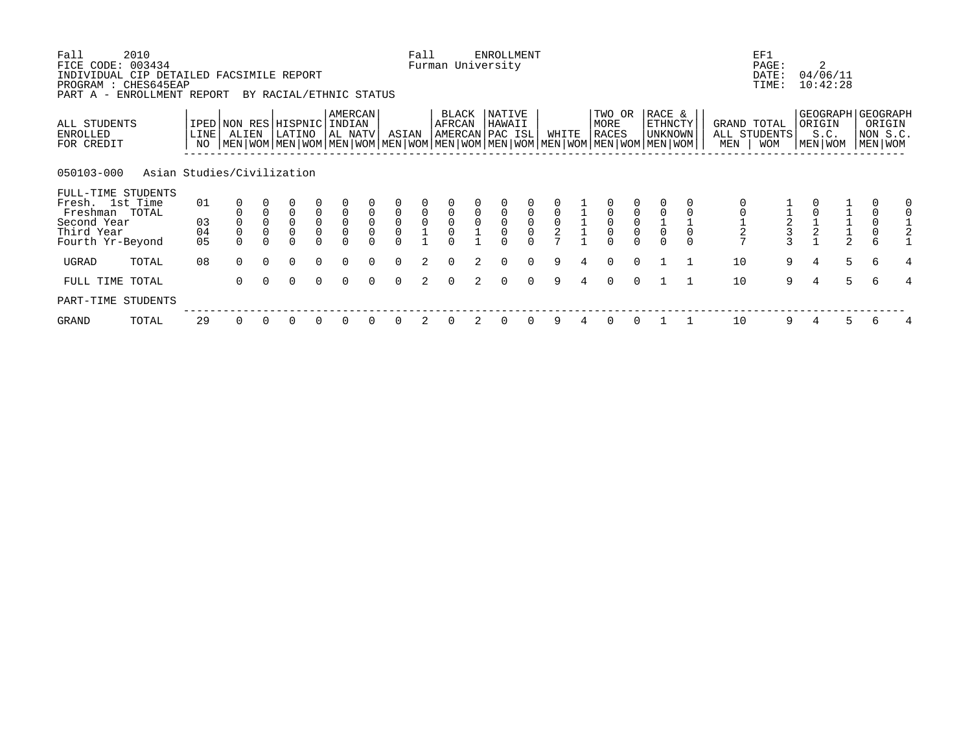| Fall<br>FICE CODE:                                                           | 2010<br>003434             |                |             |             |                                |                                           |                                       |                             |                     | Fall                                      |                 |                     | ENROLLMENT<br>Furman University      |                                      |               |   |                                                                                                                                               |                                      |                                     |                    | EF1<br>PAGE:               | 2                             |               |                                                        |   |
|------------------------------------------------------------------------------|----------------------------|----------------|-------------|-------------|--------------------------------|-------------------------------------------|---------------------------------------|-----------------------------|---------------------|-------------------------------------------|-----------------|---------------------|--------------------------------------|--------------------------------------|---------------|---|-----------------------------------------------------------------------------------------------------------------------------------------------|--------------------------------------|-------------------------------------|--------------------|----------------------------|-------------------------------|---------------|--------------------------------------------------------|---|
| INDIVIDUAL CIP DETAILED FACSIMILE REPORT<br>PROGRAM : CHES645EAP<br>PART A - | ENROLLMENT REPORT          |                |             |             | BY RACIAL/ETHNIC STATUS        |                                           |                                       |                             |                     |                                           |                 |                     |                                      |                                      |               |   |                                                                                                                                               |                                      |                                     |                    | DATE:<br>TIME:             | 04/06/11<br>10:42:28          |               |                                                        |   |
| ALL STUDENTS<br>ENROLLED<br>FOR CREDIT                                       |                            | LINE  <br>NO   | ALIEN       |             | IPED NON RES HISPNIC<br>LATINO |                                           | <b>AMERCAN</b><br>INDIAN<br>  AL NATV |                             | ASIAN               |                                           | BLACK<br>AFRCAN |                     | NATIVE<br>HAWAII<br> AMERCAN PAC ISL |                                      | WHITE         |   | TWO OR<br>MORE<br><b>RACES</b><br>  MEN   WOM   MEN   WOM   MEN   WOM   MEN   WOM   MEN   WOM   MEN   WOM   MEN   WOM   MEN   WOM   MEN   WOM |                                      | RACE &<br><b>ETHNCTY</b><br>UNKNOWN | GRAND TOTAL<br>MEN | ALL STUDENTS<br><b>WOM</b> | ORIGIN<br>S.C.<br>  MEN   WOM |               | GEOGRAPH GEOGRAPH<br>ORIGIN<br>NON S.C.<br>  MEN   WOM |   |
| 050103-000                                                                   | Asian Studies/Civilization |                |             |             |                                |                                           |                                       |                             |                     |                                           |                 |                     |                                      |                                      |               |   |                                                                                                                                               |                                      |                                     |                    |                            |                               |               |                                                        |   |
| FULL-TIME STUDENTS<br>Fresh. 1st Time<br>Freshman TOTAL                      |                            | 01             |             |             | $\overline{0}$                 |                                           |                                       |                             | $\mathsf{O}\xspace$ |                                           |                 |                     |                                      |                                      |               |   |                                                                                                                                               |                                      |                                     |                    |                            |                               |               | 0                                                      |   |
| Second Year<br>Third Year<br>Fourth Yr-Beyond                                |                            | 03<br>04<br>05 | $\mathsf 0$ | $\mathsf 0$ | $\mathbf 0$<br>$\mathbf 0$     | $\begin{matrix} 0 \\ 0 \\ 0 \end{matrix}$ | $\overline{0}$<br>0<br>$\overline{0}$ | $\mathbf{0}$<br>$\mathsf 0$ | $\overline{0}$<br>0 | $\begin{matrix} 0 \\ 0 \\ 1 \end{matrix}$ |                 | $\mathsf{O}\xspace$ | $\mathsf 0$                          | $\begin{matrix} 0 \\ 0 \end{matrix}$ | $\frac{0}{2}$ |   | $\overline{0}$<br>0                                                                                                                           | $\begin{matrix} 0 \\ 0 \end{matrix}$ |                                     | $\overline{c}$     |                            | $\frac{1}{2}$                 | $\frac{1}{2}$ | $\begin{smallmatrix}0\\0\end{smallmatrix}$<br>6        |   |
| UGRAD                                                                        | TOTAL                      | 08             | $\Omega$    | $\Omega$    | $\Omega$                       | $\Omega$                                  | $\Omega$                              | $\Omega$                    | $\Omega$            | $\overline{2}$                            |                 | 2                   | $\Omega$                             | $\Omega$                             | 9             | 4 | $\Omega$                                                                                                                                      | $\Omega$                             |                                     | 10                 | 9                          | 4                             | 5             | 6                                                      | 4 |
| FULL TIME TOTAL                                                              |                            |                | $\Omega$    | $\Omega$    | $\Omega$                       | $\Omega$                                  | $\Omega$                              |                             | $\Omega$            | 2                                         |                 | $\mathcal{L}$       | $\Omega$                             | $\Omega$                             | 9             | 4 | $\Omega$                                                                                                                                      | $\Omega$                             |                                     | 10                 | 9                          | $\overline{4}$                | 5             | 6                                                      | 4 |
| PART-TIME STUDENTS                                                           |                            |                |             |             |                                |                                           |                                       |                             |                     |                                           |                 |                     |                                      |                                      |               |   |                                                                                                                                               |                                      |                                     |                    |                            |                               |               |                                                        |   |
| GRAND                                                                        | TOTAL                      | 29             | 0           |             | 0                              | 0                                         |                                       |                             | $\Omega$            | 2                                         |                 | 2                   | 0                                    |                                      | 9             |   | 0                                                                                                                                             | 0                                    |                                     | 10                 | 9                          |                               | 5             | 6                                                      |   |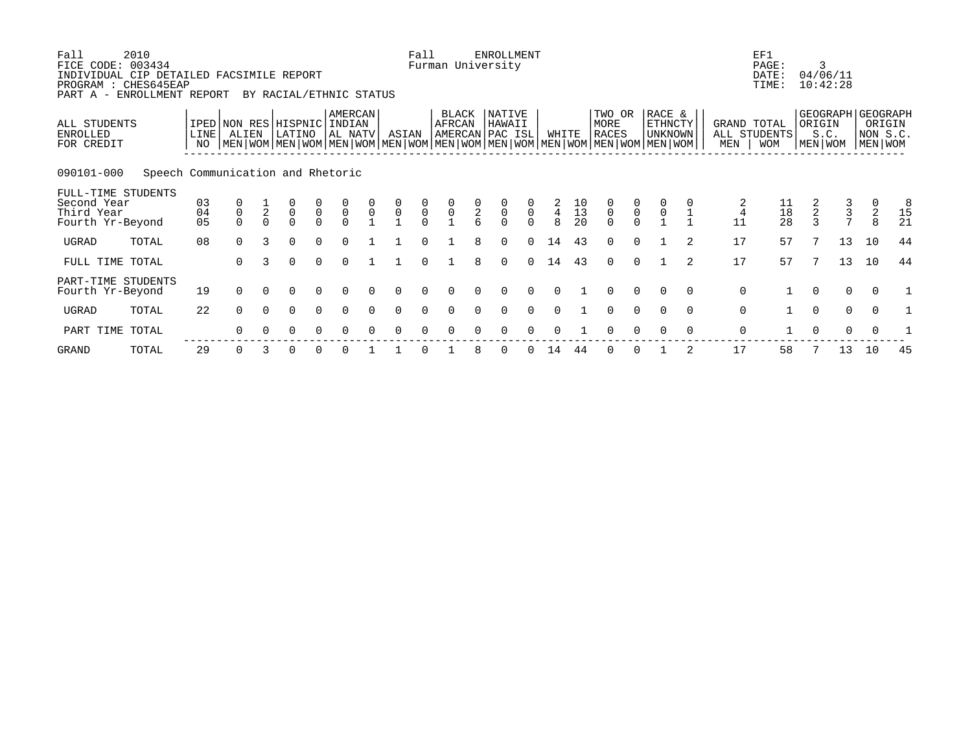| Fall<br>FICE CODE: 003434<br>INDIVIDUAL CIP DETAILED FACSIMILE REPORT<br>PROGRAM : CHES645EAP<br>PART A - ENROLLMENT REPORT | 2010                              |                |                                      |               | BY RACIAL/ETHNIC STATUS                   |                                           |                                           |                     |                                           | Fall                                      |                 |                                            | <b>ENROLLMENT</b><br>Furman University |                                 |                                  |                       |                                                                                                                                               |                                           |                                            |                |             | EF1<br>PAGE:<br>DATE:<br>TIME:                |               | 3<br>04/06/11<br>10:42:28 |          |                                                    |
|-----------------------------------------------------------------------------------------------------------------------------|-----------------------------------|----------------|--------------------------------------|---------------|-------------------------------------------|-------------------------------------------|-------------------------------------------|---------------------|-------------------------------------------|-------------------------------------------|-----------------|--------------------------------------------|----------------------------------------|---------------------------------|----------------------------------|-----------------------|-----------------------------------------------------------------------------------------------------------------------------------------------|-------------------------------------------|--------------------------------------------|----------------|-------------|-----------------------------------------------|---------------|---------------------------|----------|----------------------------------------------------|
| ALL STUDENTS<br>ENROLLED<br>FOR CREDIT                                                                                      |                                   | LINE  <br>NO   | ALIEN                                |               | IPED NON RES HISPNIC INDIAN<br>LATINO     |                                           | <b>AMERCAN</b><br>AL NATV                 |                     | ASIAN                                     |                                           | BLACK<br>AFRCAN |                                            | NATIVE<br>HAWAII<br>AMERCAN PAC ISL    |                                 | WHITE                            |                       | TWO OR<br>MORE<br><b>RACES</b><br>  MEN   WOM   MEN   WOM   MEN   WOM   MEN   WOM   MEN   WOM   MEN   WOM   MEN   WOM   MEN   WOM   MEN   WOM |                                           | RACE &<br><b>ETHNCTY</b><br><b>UNKNOWN</b> |                | MEN         | GRAND TOTAL<br>ALL STUDENTS<br><b>WOM</b>     | ORIGIN        | S.C.<br>MEN   WOM         |          | GEOGRAPH GEOGRAPH<br>ORIGIN<br>NON S.C.<br>MEN WOM |
| 090101-000                                                                                                                  | Speech Communication and Rhetoric |                |                                      |               |                                           |                                           |                                           |                     |                                           |                                           |                 |                                            |                                        |                                 |                                  |                       |                                                                                                                                               |                                           |                                            |                |             |                                               |               |                           |          |                                                    |
| FULL-TIME STUDENTS<br>Second Year<br>Third Year<br>Fourth Yr-Beyond                                                         |                                   | 03<br>04<br>05 | $\begin{matrix} 0 \\ 0 \end{matrix}$ | $\frac{1}{2}$ | $\begin{matrix} 0 \\ 0 \\ 0 \end{matrix}$ | $\begin{matrix} 0 \\ 0 \\ 0 \end{matrix}$ | $\begin{matrix} 0 \\ 0 \\ 0 \end{matrix}$ | $\mathsf{O}\xspace$ | $\begin{matrix} 0 \\ 0 \\ 1 \end{matrix}$ | $\begin{matrix} 0 \\ 0 \\ 0 \end{matrix}$ | $\frac{0}{1}$   | $\begin{array}{c} 0 \\ 2 \\ 6 \end{array}$ | $\overline{0}$<br>$\cap$               | $\ddot{\mathbf{0}}$<br>$\Omega$ | $\ensuremath{4}$<br>$\mathsf{R}$ | $\frac{10}{13}$<br>20 | $\begin{matrix} 0 \\ 0 \\ 0 \end{matrix}$                                                                                                     | $\begin{matrix} 0 \\ 0 \\ 0 \end{matrix}$ | $\overline{0}$                             |                | 4<br>11     | $\begin{array}{c} 11 \\ 18 \\ 28 \end{array}$ | $\frac{2}{3}$ | $\frac{3}{7}$             | 2<br>8   | 8<br>15<br>21                                      |
| UGRAD                                                                                                                       | TOTAL                             | 08             | $\Omega$                             | 3             | $\Omega$                                  | $\Omega$                                  | $\Omega$                                  |                     |                                           | $\cap$                                    |                 | 8                                          | $\Omega$                               | $\Omega$                        | 14                               | 43                    | $\Omega$                                                                                                                                      | $\Omega$                                  |                                            |                | 17          | 57                                            | 7             | 13                        | 10       | 44                                                 |
| FULL TIME TOTAL                                                                                                             |                                   |                | $\Omega$                             | 3             | $\Omega$                                  | $\Omega$                                  | $\Omega$                                  |                     |                                           | $\Omega$                                  |                 | 8                                          | $\Omega$                               | $\Omega$                        | 14                               | 43                    | $\Omega$                                                                                                                                      | $\Omega$                                  |                                            | $\overline{2}$ | 17          | 57                                            |               | 13                        | 10       | 44                                                 |
| PART-TIME STUDENTS<br>Fourth Yr-Beyond                                                                                      |                                   | 19             | $\Omega$                             |               | 0                                         | 0                                         |                                           |                     |                                           |                                           |                 |                                            |                                        |                                 |                                  |                       |                                                                                                                                               |                                           |                                            | $\Omega$       | $\mathbf 0$ |                                               | $\Omega$      | $\Omega$                  | $\Omega$ |                                                    |
| UGRAD                                                                                                                       | TOTAL                             | 22             | $\Omega$                             | $\Omega$      | $\Omega$                                  | $\Omega$                                  | $\Omega$                                  | $\Omega$            | $\Omega$                                  | $\Omega$                                  |                 |                                            | $\Omega$                               | $\Omega$                        | $\cap$                           |                       | $\Omega$                                                                                                                                      | $\Omega$                                  | $\Omega$                                   | $\Omega$       | $\mathbf 0$ |                                               | $\Omega$      | $\mathbf 0$               | $\Omega$ |                                                    |
| PART TIME                                                                                                                   | TOTAL                             |                | $\Omega$                             |               | O                                         |                                           |                                           |                     |                                           |                                           |                 |                                            |                                        |                                 |                                  |                       |                                                                                                                                               |                                           |                                            | $\Omega$       | $\mathbf 0$ |                                               |               | $\Omega$                  |          |                                                    |
|                                                                                                                             |                                   |                |                                      |               |                                           |                                           |                                           |                     |                                           |                                           |                 |                                            |                                        |                                 |                                  |                       |                                                                                                                                               |                                           |                                            |                |             |                                               |               |                           |          |                                                    |

GRAND TOTAL 29 0 3 0 0 0 1 1 0 1 8 0 0 14 44 0 0 1 2 17 58 7 13 10 45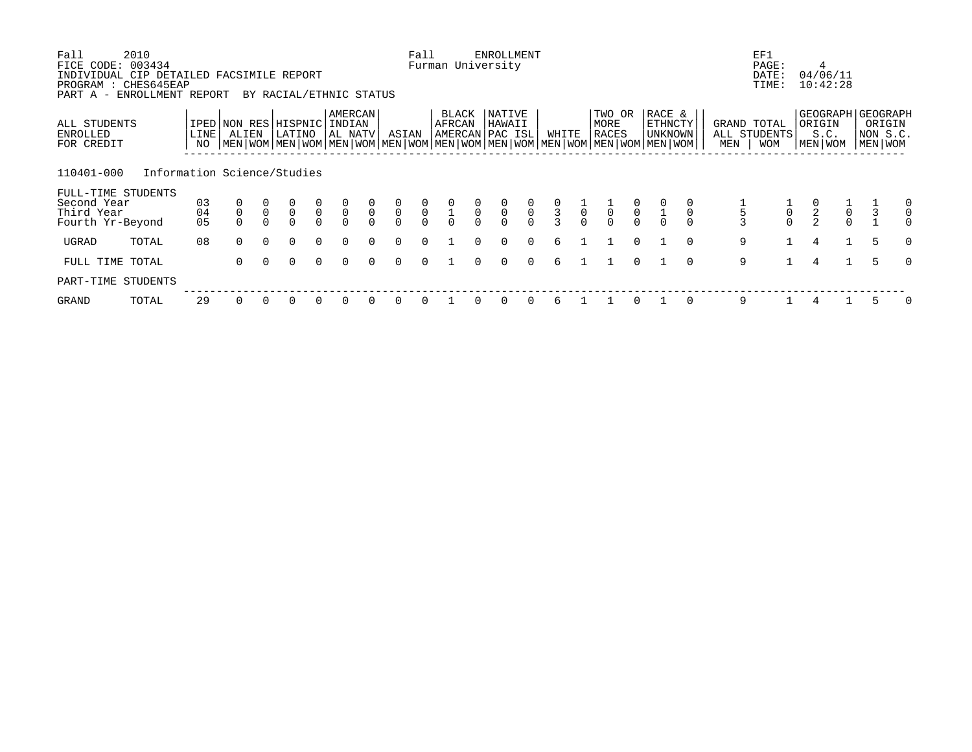| Fall<br>FICE CODE:<br>INDIVIDUAL CIP DETAILED FACSIMILE REPORT<br>PROGRAM : CHES645EAP | 2010<br>003434              |                |             |              |                                                           |                |                                      |                            |                           | Fall                                      |                                           |               | <b>ENROLLMENT</b><br>Furman University |                                           |               |                |                         |                                           |                                                                                                                                             |             |                                    | EF1<br>PAGE:<br>DATE:<br>TIME:   |                                           | 4<br>04/06/11<br>10:42:28       |                                                      |
|----------------------------------------------------------------------------------------|-----------------------------|----------------|-------------|--------------|-----------------------------------------------------------|----------------|--------------------------------------|----------------------------|---------------------------|-------------------------------------------|-------------------------------------------|---------------|----------------------------------------|-------------------------------------------|---------------|----------------|-------------------------|-------------------------------------------|---------------------------------------------------------------------------------------------------------------------------------------------|-------------|------------------------------------|----------------------------------|-------------------------------------------|---------------------------------|------------------------------------------------------|
| PART A - ENROLLMENT REPORT<br>ALL STUDENTS<br><b>ENROLLED</b><br>FOR CREDIT            |                             | LINE<br>NO     | ALIEN       |              | BY RACIAL/ETHNIC STATUS<br>IPED NON RES HISPNIC<br>LATINO |                | AMERCAN<br>INDIAN<br>AL NATV         |                            | ASIAN                     |                                           | BLACK<br>AFRCAN                           |               | NATIVE<br>HAWAII<br>AMERCAN PAC ISL    |                                           | WHITE         |                | TWO OR<br>MORE<br>RACES |                                           | RACE &<br>ETHNCTY<br>UNKNOWN<br>  MEN   WOM   MEN   WOM   MEN   WOM   MEN   WOM   MEN   WOM   MEN   WOM   MEN   WOM   MEN   WOM   MEN   WOM |             | GRAND TOTAL<br>ALL STUDENTS<br>MEN | <b>WOM</b>                       | ORIGIN                                    | S.C.<br>MEN WOM                 | GEOGRAPH   GEOGRAPH<br>ORIGIN<br>NON S.C.<br>MEN WOM |
| 110401-000<br>FULL-TIME STUDENTS<br>Second Year<br>Third Year<br>Fourth Yr-Beyond      | Information Science/Studies | 03<br>04<br>05 | $\mathsf 0$ | $\mathsf{O}$ | $\overline{0}$<br>$\Omega$                                | $\overline{0}$ | $\begin{matrix} 0 \\ 0 \end{matrix}$ | $\overline{0}$<br>$\Omega$ | $\frac{0}{0}$<br>$\Omega$ | $\begin{matrix} 0 \\ 0 \\ 0 \end{matrix}$ | $\begin{matrix} 0 \\ 1 \\ 0 \end{matrix}$ | $\frac{0}{0}$ | $\frac{0}{0}$<br>$\cap$                | $\begin{matrix} 0 \\ 0 \\ 0 \end{matrix}$ | $\frac{0}{3}$ | $\overline{0}$ | $\overline{0}$          | $\begin{matrix} 0 \\ 0 \\ 0 \end{matrix}$ |                                                                                                                                             | $\mathbf 0$ |                                    | $\begin{matrix}0\\0\end{matrix}$ | $\begin{matrix} 0 \\ 2 \\ 2 \end{matrix}$ | $\mathsf{O}\xspace$<br>$\Omega$ | 0<br>$\mathbf 0$<br>$\Omega$                         |
| UGRAD                                                                                  | TOTAL                       | 08             | $\Omega$    | $\Omega$     | $\Omega$                                                  | $\Omega$       | $\Omega$                             | $\cap$                     | $\Omega$                  | $\Omega$                                  |                                           |               | $\Omega$                               | $\Omega$                                  | 6             |                |                         | $\Omega$                                  | $\cap$                                                                                                                                      |             | 9                                  |                                  | 4                                         |                                 | 5<br>$\Omega$                                        |
| FULL TIME TOTAL                                                                        |                             |                | $\Omega$    | $\Omega$     | $\Omega$                                                  | $\Omega$       | $\Omega$                             | $\Omega$                   | $\Omega$                  | $\Omega$                                  |                                           | $\Omega$      | $\Omega$                               | $\Omega$                                  | 6             |                |                         | $\Omega$                                  | $\Omega$                                                                                                                                    |             | 9                                  |                                  | 4                                         |                                 | 5<br>$\Omega$                                        |
| PART-TIME STUDENTS                                                                     |                             |                |             |              |                                                           |                |                                      |                            |                           |                                           |                                           |               |                                        |                                           |               |                |                         |                                           |                                                                                                                                             |             |                                    |                                  |                                           |                                 |                                                      |
| GRAND                                                                                  | TOTAL                       | 29             |             |              |                                                           |                | $\Omega$                             |                            | $\Omega$                  |                                           |                                           |               |                                        |                                           | 6             |                |                         |                                           | $\Omega$                                                                                                                                    |             | 9                                  |                                  |                                           |                                 | 0                                                    |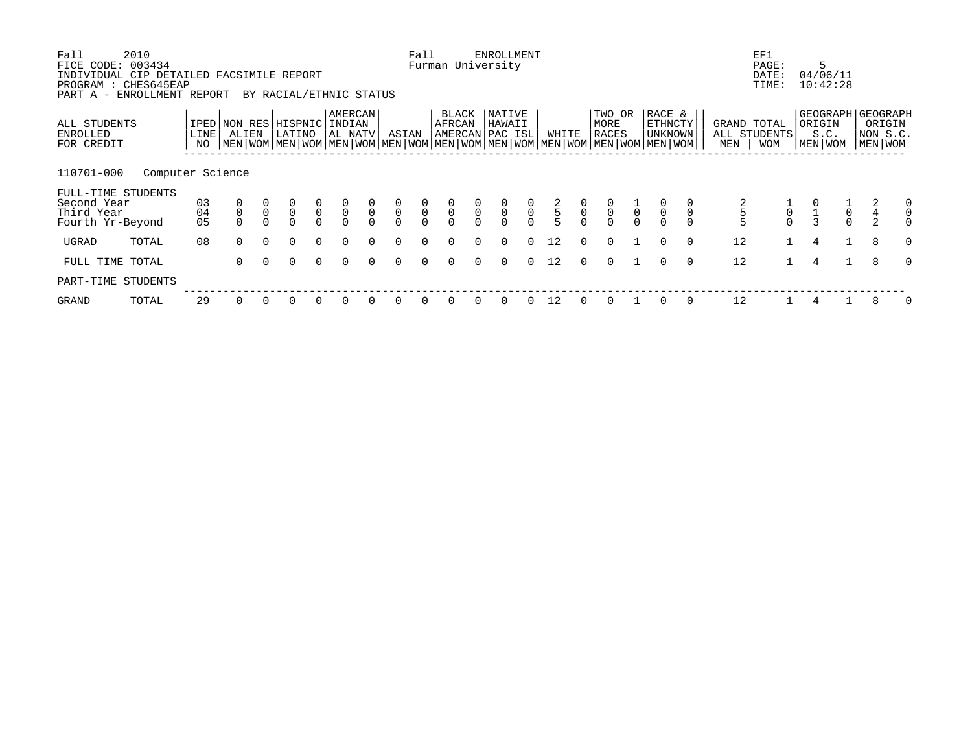| Fall<br>FICE CODE: 003434<br>INDIVIDUAL CIP DETAILED FACSIMILE REPORT<br>PROGRAM : CHES645EAP | 2010             |                |             |              |                                                           |                            |                                      |                          |                           | Fall                                      |                                           |               | <b>ENROLLMENT</b><br>Furman University |                                           |             |                |                                           |                |                                                                                                                                             |             |                                    | EF1<br>PAGE:<br>DATE:<br>TIME: | 5                                         | 04/06/11<br>10:42:28            |               |                                                      |
|-----------------------------------------------------------------------------------------------|------------------|----------------|-------------|--------------|-----------------------------------------------------------|----------------------------|--------------------------------------|--------------------------|---------------------------|-------------------------------------------|-------------------------------------------|---------------|----------------------------------------|-------------------------------------------|-------------|----------------|-------------------------------------------|----------------|---------------------------------------------------------------------------------------------------------------------------------------------|-------------|------------------------------------|--------------------------------|-------------------------------------------|---------------------------------|---------------|------------------------------------------------------|
| PART A - ENROLLMENT REPORT<br>ALL STUDENTS<br>ENROLLED<br>FOR CREDIT                          |                  | LINE<br>NO     | ALIEN       |              | BY RACIAL/ETHNIC STATUS<br>IPED NON RES HISPNIC<br>LATINO |                            | AMERCAN<br>INDIAN<br>AL NATV         |                          | ASIAN                     |                                           | BLACK<br>AFRCAN                           |               | NATIVE<br>HAWAII<br>AMERCAN PAC ISL    |                                           | WHITE       |                | TWO OR<br>MORE<br>RACES                   |                | RACE &<br>ETHNCTY<br>UNKNOWN<br>  MEN   WOM   MEN   WOM   MEN   WOM   MEN   WOM   MEN   WOM   MEN   WOM   MEN   WOM   MEN   WOM   MEN   WOM |             | GRAND TOTAL<br>ALL STUDENTS<br>MEN | <b>WOM</b>                     | ORIGIN<br>MEN WOM                         | S.C.                            |               | GEOGRAPH   GEOGRAPH<br>ORIGIN<br>NON S.C.<br>MEN WOM |
| 110701-000<br>FULL-TIME STUDENTS<br>Second Year<br>Third Year<br>Fourth Yr-Beyond             | Computer Science | 03<br>04<br>05 | $\mathsf 0$ | $\mathsf{O}$ | $\overline{0}$<br>$\Omega$                                | $\overline{0}$<br>$\Omega$ | $\begin{matrix} 0 \\ 0 \end{matrix}$ | $\mathsf{O}$<br>$\Omega$ | $\frac{0}{0}$<br>$\Omega$ | $\begin{matrix} 0 \\ 0 \\ 0 \end{matrix}$ | $\begin{matrix} 0 \\ 0 \\ 0 \end{matrix}$ | $\frac{0}{0}$ | $\frac{0}{0}$                          | $\begin{matrix} 0 \\ 0 \\ 0 \end{matrix}$ | $rac{2}{5}$ | $\int_{0}^{0}$ | $\begin{matrix} 0 \\ 0 \\ 0 \end{matrix}$ | $\overline{0}$ | $\overline{0}$                                                                                                                              | $\mathbf 0$ |                                    | $\mathsf{O}\xspace$            | $\begin{matrix} 0 \\ 1 \\ 3 \end{matrix}$ | $\mathsf{O}\xspace$<br>$\Omega$ | $\frac{4}{2}$ | 0<br>$\mathbf 0$<br>$\Omega$                         |
| UGRAD                                                                                         | TOTAL            | 08             | $\Omega$    | $\Omega$     | $\Omega$                                                  | $\Omega$                   | $\Omega$                             | $\Omega$                 | $\Omega$                  | $\Omega$                                  | $\Omega$                                  | $\cap$        | $\Omega$                               | $\Omega$                                  | 12          | $\cap$         | $\Omega$                                  |                | $\Omega$                                                                                                                                    | $\Omega$    | 12                                 |                                | 4                                         |                                 | 8             | $\Omega$                                             |
| FULL TIME TOTAL                                                                               |                  |                | $\Omega$    | $\Omega$     | $\Omega$                                                  | $\Omega$                   | $\Omega$                             | $\Omega$                 | 0                         | $\Omega$                                  | $\Omega$                                  | $\Omega$      | 0                                      | $\Omega$                                  | 12          | $\Omega$       | $\Omega$                                  |                | $\Omega$                                                                                                                                    | $\Omega$    | 12                                 |                                | 4                                         |                                 | 8             | $\Omega$                                             |
| PART-TIME STUDENTS                                                                            |                  |                |             |              |                                                           |                            |                                      |                          |                           |                                           |                                           |               |                                        |                                           |             |                |                                           |                |                                                                                                                                             |             |                                    |                                |                                           |                                 |               |                                                      |
| GRAND                                                                                         | TOTAL            | 29             |             |              |                                                           |                            | $\Omega$                             |                          | 0                         |                                           |                                           |               |                                        | 0                                         | 12          |                |                                           |                |                                                                                                                                             |             | 12                                 |                                |                                           |                                 |               | 0                                                    |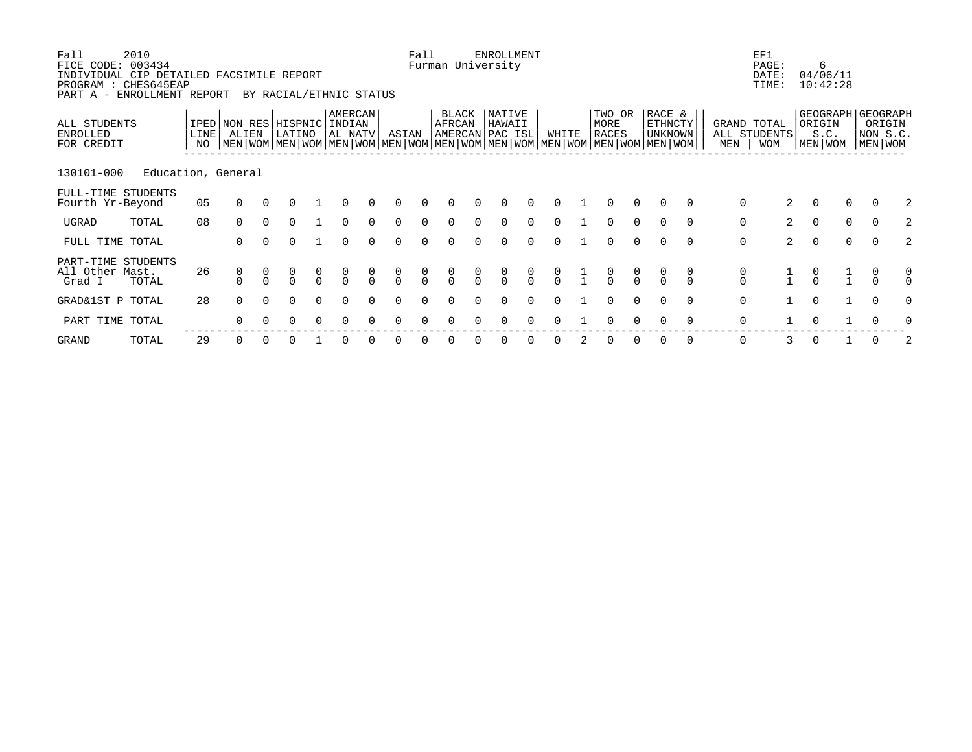| Fall<br>FICE CODE: 003434<br>INDIVIDUAL CIP DETAILED FACSIMILE REPORT<br>PROGRAM : CHES645EAP<br>PART A - ENROLLMENT REPORT | 2010               |                   |          |          | BY RACIAL/ETHNIC STATUS               |          |                    |        |               | Fall          | Furman University                  |          | <b>ENROLLMENT</b> |               |               |                                                                                                                                               |              |                              |          |               | EF1<br>PAGE:<br>DATE:<br>TIME:            |                                  | 6<br>04/06/11<br>10:42:28 |                                                        |               |
|-----------------------------------------------------------------------------------------------------------------------------|--------------------|-------------------|----------|----------|---------------------------------------|----------|--------------------|--------|---------------|---------------|------------------------------------|----------|-------------------|---------------|---------------|-----------------------------------------------------------------------------------------------------------------------------------------------|--------------|------------------------------|----------|---------------|-------------------------------------------|----------------------------------|---------------------------|--------------------------------------------------------|---------------|
| ALL STUDENTS<br><b>ENROLLED</b><br>FOR CREDIT                                                                               |                    | <b>LINE</b><br>NO | ALIEN    |          | IPED NON RES HISPNIC INDIAN<br>LATINO |          | AMERCAN<br>AL NATV |        | ASIAN         |               | BLACK<br>AFRCAN<br>AMERCAN PAC ISL |          | NATIVE<br>HAWAII  |               | WHITE         | TWO OR<br>MORE<br><b>RACES</b><br>  MEN   WOM   MEN   WOM   MEN   WOM   MEN   WOM   MEN   WOM   MEN   WOM   MEN   WOM   MEN   WOM   MEN   WOM |              | RACE &<br>ETHNCTY<br>UNKNOWN |          | MEN           | GRAND TOTAL<br>ALL STUDENTS<br><b>WOM</b> | ORIGIN                           | S.C.<br>MEN WOM           | GEOGRAPH GEOGRAPH<br>ORIGIN<br>NON S.C.<br>  MEN   WOM |               |
| 130101-000                                                                                                                  | Education, General |                   |          |          |                                       |          |                    |        |               |               |                                    |          |                   |               |               |                                                                                                                                               |              |                              |          |               |                                           |                                  |                           |                                                        |               |
| FULL-TIME STUDENTS<br>Fourth Yr-Beyond                                                                                      |                    | 05                | $\Omega$ |          |                                       |          |                    |        |               |               |                                    |          |                   |               |               |                                                                                                                                               |              | 0                            | $\Omega$ | 0             | 2                                         | 0                                | $\Omega$                  | $\Omega$                                               |               |
| UGRAD                                                                                                                       | TOTAL              | 08                | $\Omega$ |          | U                                     |          | $\Omega$           |        | $\Omega$      | $\Omega$      | 0                                  |          | 0                 |               | 0             | $\Omega$                                                                                                                                      | $\Omega$     | $\Omega$                     | $\Omega$ | 0             | $\overline{2}$                            | 0                                | $\mathbf 0$               | 0                                                      |               |
| FULL TIME TOTAL                                                                                                             |                    |                   | $\Omega$ |          |                                       |          | $\Omega$           |        | U             |               | U                                  |          |                   | $\Omega$      | 0             |                                                                                                                                               | <sup>n</sup> | 0                            | $\Omega$ | 0             | $\overline{2}$                            | $\Omega$                         | $\Omega$                  | $\Omega$                                               |               |
| PART-TIME STUDENTS<br>All Other Mast.<br>Grad I                                                                             | TOTAL              | 26                | 0        |          | $\Omega$                              | $\Omega$ | $\Omega$           | $\cap$ | 0<br>$\Omega$ | 0<br>$\Omega$ | $\Omega$                           | $\Omega$ | $\Omega$          | $\frac{0}{0}$ | $\frac{0}{0}$ | $\frac{0}{0}$                                                                                                                                 | $\Omega$     | U<br>$\Omega$                |          | 0<br>$\Omega$ | $\frac{1}{1}$                             | $\begin{matrix}0\\0\end{matrix}$ | $\frac{1}{1}$             | 0<br>$\Omega$                                          | 0<br>$\Omega$ |
| GRAD&1ST P TOTAL                                                                                                            |                    | 28                | 0        |          | 0                                     | $\Omega$ | 0                  |        | $\Omega$      | $\Omega$      | 0                                  |          | 0                 | $\Omega$      | 0             | $\Omega$                                                                                                                                      | $\Omega$     | 0                            | $\Omega$ | 0             |                                           | 0                                |                           | $\Omega$                                               | $\Omega$      |
| PART TIME TOTAL                                                                                                             |                    |                   | 0        |          |                                       |          |                    |        |               |               |                                    |          |                   |               |               |                                                                                                                                               |              |                              | $\Omega$ | 0             |                                           | 0                                |                           | 0                                                      |               |
| <b>GRAND</b>                                                                                                                | TOTAL              | 29                | $\Omega$ | $\Omega$ |                                       |          | O                  |        |               |               |                                    |          |                   |               | 0             | 0                                                                                                                                             |              | 0                            | $\Omega$ | 0             | 3                                         | 0                                |                           | $\Omega$                                               |               |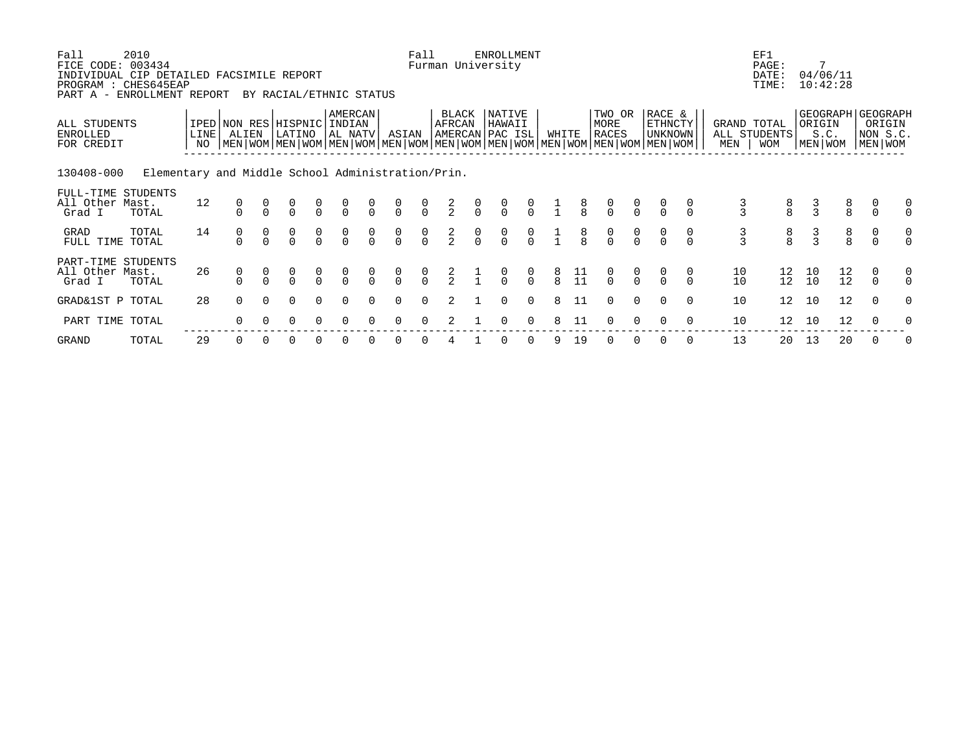| Fall<br>FICE CODE: 003434<br>INDIVIDUAL CIP DETAILED FACSIMILE REPORT<br>PROGRAM : CHES645EAP<br>PART A - | 2010<br>ENROLLMENT REPORT                         |                         |                                                                                                                                                     | BY RACIAL/ETHNIC STATUS              |                                      |                                      |                                      |                                  | Fall                                 |               | Furman University                    | <b>ENROLLMENT</b>                    |                                      |                                       |                 |                                      |                                      |                                            |               |               | EF1<br>PAGE:<br>DATE:<br>TIME: |               | 7<br>04/06/11<br>10:42:28 |                                       |                                                        |               |
|-----------------------------------------------------------------------------------------------------------|---------------------------------------------------|-------------------------|-----------------------------------------------------------------------------------------------------------------------------------------------------|--------------------------------------|--------------------------------------|--------------------------------------|--------------------------------------|----------------------------------|--------------------------------------|---------------|--------------------------------------|--------------------------------------|--------------------------------------|---------------------------------------|-----------------|--------------------------------------|--------------------------------------|--------------------------------------------|---------------|---------------|--------------------------------|---------------|---------------------------|---------------------------------------|--------------------------------------------------------|---------------|
| ALL STUDENTS<br><b>ENROLLED</b><br>FOR CREDIT                                                             |                                                   | LINE <sup> </sup><br>NO | IPED NON RES HISPNIC INDIAN<br>ALIEN<br>  MEN   WOM   MEN   WOM   MEN   WOM   MEN   WOM   MEN   WOM   MEN   WOM   MEN   WOM   MEN   WOM   MEN   WOM | LATINO                               |                                      | <b>AMERCAN</b><br>  AL NATV          |                                      | ASIAN                            |                                      | AFRCAN        | BLACK<br>AMERCAN PAC ISL             | NATIVE<br>HAWAII                     |                                      | WHITE                                 |                 | TWO OR<br>MORE<br><b>RACES</b>       |                                      | RACE &<br><b>ETHNCTY</b><br><b>UNKNOWN</b> |               | MEN   WOM     | GRAND TOTAL<br>ALL STUDENTS    |               | ORIGIN<br>S.C.<br>MEN WOM |                                       | GEOGRAPH GEOGRAPH<br>ORIGIN<br>NON S.C.<br>  MEN   WOM |               |
| 130408-000                                                                                                | Elementary and Middle School Administration/Prin. |                         |                                                                                                                                                     |                                      |                                      |                                      |                                      |                                  |                                      |               |                                      |                                      |                                      |                                       |                 |                                      |                                      |                                            |               |               |                                |               |                           |                                       |                                                        |               |
| FULL-TIME STUDENTS<br>All Other Mast.<br>Grad I                                                           | TOTAL                                             | 12                      | 0                                                                                                                                                   |                                      | $\frac{0}{0}$                        | $\frac{0}{0}$                        | $\frac{0}{0}$                        | $\frac{0}{0}$                    | $\begin{matrix} 0 \\ 0 \end{matrix}$ | $\frac{2}{2}$ | $\frac{0}{0}$                        | $\frac{0}{0}$                        | $\frac{0}{0}$                        |                                       | $\frac{8}{8}$   | $\frac{0}{0}$                        | $\frac{0}{0}$                        |                                            |               | $\frac{3}{3}$ | $\frac{8}{8}$                  | $\frac{3}{3}$ |                           | $\begin{array}{c} 8 \\ 8 \end{array}$ | $\Omega$                                               | 0<br>$\Omega$ |
| GRAD<br>FULL TIME                                                                                         | TOTAL<br>TOTAL                                    | 14                      | $\begin{matrix} 0 \\ 0 \end{matrix}$                                                                                                                | $\begin{matrix} 0 \\ 0 \end{matrix}$ | $\begin{matrix} 0 \\ 0 \end{matrix}$ | $\begin{matrix} 0 \\ 0 \end{matrix}$ | $\begin{matrix} 0 \\ 0 \end{matrix}$ | $\begin{matrix}0\\0\end{matrix}$ | $\begin{matrix} 0 \\ 0 \end{matrix}$ | $\frac{2}{2}$ | $\begin{matrix} 0 \\ 0 \end{matrix}$ | $\begin{matrix} 0 \\ 0 \end{matrix}$ | $\begin{matrix} 0 \\ 0 \end{matrix}$ |                                       | $\frac{8}{8}$   | $\begin{matrix} 0 \\ 0 \end{matrix}$ | $\begin{matrix} 0 \\ 0 \end{matrix}$ | $\begin{matrix} 0 \\ 0 \end{matrix}$       | $\frac{0}{0}$ | $\frac{3}{3}$ | $\frac{8}{8}$                  | $\frac{3}{3}$ |                           | $\frac{8}{8}$                         | $\begin{matrix} 0 \\ 0 \end{matrix}$                   | $\mathbf 0$   |
| PART-TIME STUDENTS<br>All Other Mast.<br>Grad I                                                           | TOTAL                                             | 26                      | 0                                                                                                                                                   |                                      | $\begin{matrix} 0 \\ 0 \end{matrix}$ | $\begin{matrix} 0 \\ 0 \end{matrix}$ | $\frac{0}{0}$                        | 0                                | $\frac{0}{0}$                        | $\frac{2}{2}$ |                                      | $\frac{0}{0}$                        | $\begin{matrix}0\\0\end{matrix}$     | $\begin{array}{c} 8 \\ 8 \end{array}$ | $\frac{11}{11}$ | $\frac{0}{0}$                        | $\frac{0}{0}$                        | $\Omega$                                   |               | 10<br>10      | 12<br>12                       | 10<br>10      |                           | 12<br>12                              | 0<br>$\Omega$                                          | 0<br>$\Omega$ |
| GRAD&1ST P TOTAL                                                                                          |                                                   | 28                      | $\Omega$                                                                                                                                            | 0                                    | $\Omega$                             | $\Omega$                             | $\Omega$                             | $\Omega$                         | $\Omega$                             | 2             |                                      | $\Omega$                             | $\mathbf 0$                          | 8                                     | 11              | $\Omega$                             | 0                                    | $\Omega$                                   | $\Omega$      | 10            | 12 <sup>°</sup>                | 10            |                           | 12                                    | $\mathbf 0$                                            | $\Omega$      |
| PART TIME TOTAL                                                                                           |                                                   |                         | 0                                                                                                                                                   |                                      |                                      |                                      |                                      |                                  |                                      |               |                                      |                                      |                                      |                                       | 11              |                                      |                                      |                                            |               | 10            | 12                             | 10            |                           | 12                                    | $\Omega$                                               |               |

GRAND TOTAL 29 0 0 0 0 0 0 0 0 4 1 0 0 9 19 0 0 0 0 13 20 13 20 0 0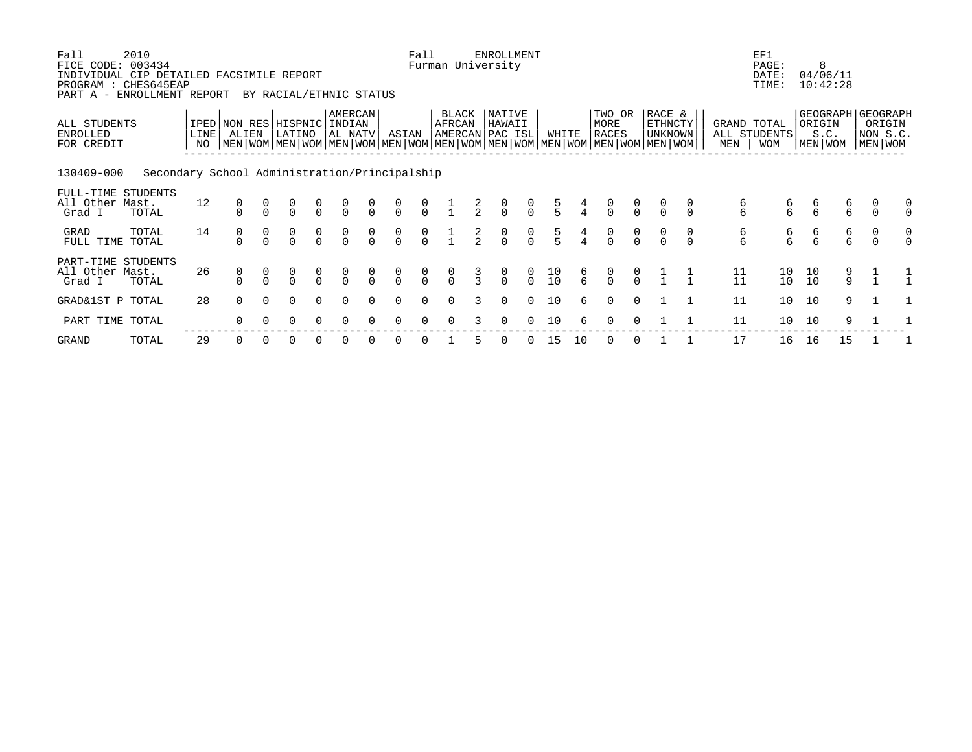| Fall<br>FICE CODE: 003434<br>INDIVIDUAL CIP DETAILED FACSIMILE REPORT<br>PROGRAM<br>PART A - | 2010<br>: CHES645EAP<br>ENROLLMENT REPORT     |                         |            |          | BY RACIAL/ETHNIC STATUS                                                                                                                              |                                      |                                      |                                      |                                      | Fall                                 |                                      |               | <b>ENROLLMENT</b><br>Furman University      |                                      |                                         |               |                                      |                                      |                                      |                                      |                                         | EF1<br>PAGE:<br>DATE:<br>TIME: |               | 8<br>04/06/11<br>10:42:28 |                                                        |               |
|----------------------------------------------------------------------------------------------|-----------------------------------------------|-------------------------|------------|----------|------------------------------------------------------------------------------------------------------------------------------------------------------|--------------------------------------|--------------------------------------|--------------------------------------|--------------------------------------|--------------------------------------|--------------------------------------|---------------|---------------------------------------------|--------------------------------------|-----------------------------------------|---------------|--------------------------------------|--------------------------------------|--------------------------------------|--------------------------------------|-----------------------------------------|--------------------------------|---------------|---------------------------|--------------------------------------------------------|---------------|
| ALL STUDENTS<br><b>ENROLLED</b><br>FOR CREDIT                                                |                                               | LINE <sup>[</sup><br>NO | ALIEN      |          | IPED NON RES HISPNIC INDIAN<br>LATINO<br>  MEN   WOM   MEN   WOM   MEN   WOM   MEN   WOM   MEN   WOM   MEN   WOM   MEN   WOM   MEN   WOM   MEN   WOM |                                      | AMERCAN<br>AL NATV                   |                                      | ASIAN                                |                                      | <b>BLACK</b><br>AFRCAN               |               | <b>NATIVE</b><br>HAWAII<br> AMERCAN PAC ISL |                                      | WHITE                                   |               | TWO OR<br>MORE<br><b>RACES</b>       |                                      | RACE &<br><b>ETHNCTY</b><br>UNKNOWN  |                                      | GRAND TOTAL<br>MEN                      | ALL STUDENTS<br><b>WOM</b>     | ORIGIN        | S.C.<br>MEN WOM           | GEOGRAPH GEOGRAPH<br>ORIGIN<br>NON S.C.<br>  MEN   WOM |               |
| 130409-000                                                                                   | Secondary School Administration/Principalship |                         |            |          |                                                                                                                                                      |                                      |                                      |                                      |                                      |                                      |                                      |               |                                             |                                      |                                         |               |                                      |                                      |                                      |                                      |                                         |                                |               |                           |                                                        |               |
| FULL-TIME STUDENTS<br>All Other Mast.<br>Grad I                                              | TOTAL                                         | 12                      |            |          | 0<br>0                                                                                                                                               | $\begin{matrix} 0 \\ 0 \end{matrix}$ | $\frac{0}{0}$                        | $\frac{0}{0}$                        | $\frac{0}{0}$                        | $\frac{0}{0}$                        |                                      | $\frac{2}{2}$ | $\frac{0}{0}$                               | $\frac{0}{0}$                        | $\frac{5}{5}$                           |               | $\frac{0}{0}$                        | $\begin{matrix} 0 \\ 0 \end{matrix}$ | $\frac{0}{0}$                        |                                      | б<br>6                                  | б<br>6                         | $\frac{6}{6}$ | $\frac{6}{6}$             | 0<br>$\Omega$                                          | 0<br>$\Omega$ |
| GRAD<br>FULL TIME                                                                            | TOTAL<br>TOTAL                                | 14                      | $_{0}^{0}$ |          | $_{0}^{0}$                                                                                                                                           | $_{0}^{0}$                           | $\begin{matrix} 0 \\ 0 \end{matrix}$ | $\begin{matrix} 0 \\ 0 \end{matrix}$ | $\begin{matrix} 0 \\ 0 \end{matrix}$ | $\begin{matrix} 0 \\ 0 \end{matrix}$ |                                      | $\frac{2}{2}$ | $\begin{matrix} 0 \\ 0 \end{matrix}$        | $\begin{matrix} 0 \\ 0 \end{matrix}$ | $\frac{5}{5}$                           |               | $\begin{matrix} 0 \\ 0 \end{matrix}$ | $\begin{matrix} 0 \\ 0 \end{matrix}$ | $\begin{matrix} 0 \\ 0 \end{matrix}$ | $\begin{matrix} 0 \\ 0 \end{matrix}$ | 6<br>6                                  | б<br>б                         | б<br>б        | 6<br>6                    | 0<br>$\Omega$                                          | 0<br>$\Omega$ |
| PART-TIME STUDENTS<br>All Other Mast.<br>Grad I                                              | TOTAL                                         | 26                      |            |          | $\Omega$                                                                                                                                             | $\frac{0}{0}$                        | $\begin{matrix} 0 \\ 0 \end{matrix}$ | $\frac{0}{0}$                        | $\frac{0}{0}$                        | $\frac{0}{0}$                        | $\begin{matrix} 0 \\ 0 \end{matrix}$ | $\frac{3}{3}$ | $\frac{0}{0}$                               | $\frac{0}{0}$                        | $\begin{array}{c} 10 \\ 10 \end{array}$ | $\frac{6}{6}$ | $\frac{0}{0}$                        | $\frac{0}{0}$                        |                                      |                                      | $\begin{array}{c} 11 \\ 11 \end{array}$ | 10<br>10                       | 10<br>10      | $\frac{9}{9}$             |                                                        |               |
| GRAD&1ST P TOTAL                                                                             |                                               | 28                      | 0          | $\Omega$ | $\Omega$                                                                                                                                             | $\Omega$                             | $\Omega$                             | $\Omega$                             | $\Omega$                             | $\Omega$                             | $\Omega$                             | 3             | 0                                           | $\Omega$                             | 10                                      | 6             | $\Omega$                             | 0                                    |                                      |                                      | 11                                      | 10 <sup>°</sup>                | 10            | 9                         |                                                        |               |
| PART TIME TOTAL                                                                              |                                               |                         | 0          |          |                                                                                                                                                      |                                      |                                      |                                      |                                      |                                      |                                      |               |                                             |                                      | 10                                      | б.            |                                      |                                      |                                      |                                      | 11                                      | 10 <sup>°</sup>                | 10            | 9                         |                                                        |               |
|                                                                                              |                                               |                         |            |          |                                                                                                                                                      |                                      |                                      |                                      |                                      |                                      |                                      |               |                                             |                                      |                                         |               |                                      |                                      |                                      |                                      |                                         |                                |               |                           |                                                        |               |

GRAND TOTAL 29 0 0 0 0 0 0 0 0 1 5 0 0 15 10 0 0 1 1 17 16 16 15 1 1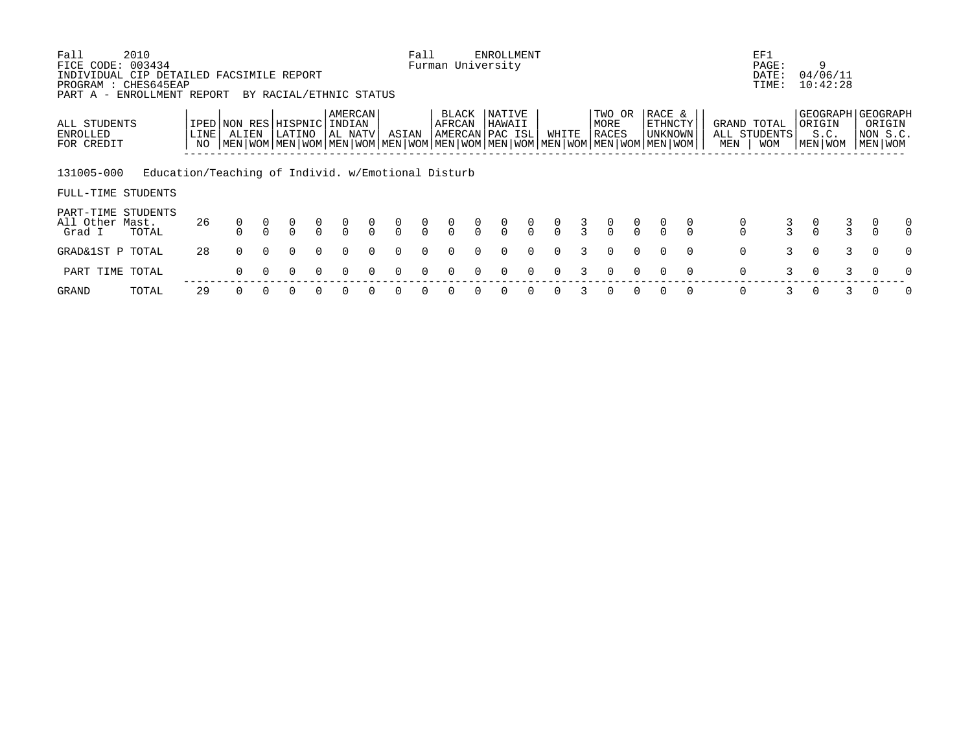| Fall<br>FICE CODE:<br>INDIVIDUAL CIP DETAILED FACSIMILE REPORT<br>PROGRAM<br>PART A - ENROLLMENT REPORT | 2010<br>003434<br>: CHES645EAP                     |            |       |          | BY RACIAL/ETHNIC STATUS                                                                                                                     |               |                              |                                      |               | Fall          |                 |                                  | <b>ENROLLMENT</b><br>Furman University |                |               |               |                                  |                |                              |          |                                      | EF1<br>PAGE:<br>DATE:<br>TIME:            |               | 9<br>04/06/11<br>10:42:28 |   |                                                     |               |
|---------------------------------------------------------------------------------------------------------|----------------------------------------------------|------------|-------|----------|---------------------------------------------------------------------------------------------------------------------------------------------|---------------|------------------------------|--------------------------------------|---------------|---------------|-----------------|----------------------------------|----------------------------------------|----------------|---------------|---------------|----------------------------------|----------------|------------------------------|----------|--------------------------------------|-------------------------------------------|---------------|---------------------------|---|-----------------------------------------------------|---------------|
| ALL STUDENTS<br>ENROLLED<br>FOR CREDIT                                                                  |                                                    | LINE<br>NO | ALIEN |          | IPED NON RES HISPNIC<br>LATINO<br>NEN   WOM   MEN   WOM   MEN   WOM   MEN   WOM   MEN   WOM   MEN   WOM   MEN   WOM   MEN   WOM   MEN   WOM |               | AMERCAN<br>INDIAN<br>AL NATV |                                      | ASIAN         |               | BLACK<br>AFRCAN |                                  | NATIVE<br>HAWAII<br> AMERCAN PAC ISL   |                | WHITE         |               | TWO OR<br>MORE<br>RACES          |                | RACE &<br>ETHNCTY<br>UNKNOWN |          | MEN                                  | GRAND TOTAL<br>ALL STUDENTS<br><b>WOM</b> |               | ORIGIN<br>S.C.<br>MEN WOM |   | GEOGRAPH GEOGRAPH<br>ORIGIN<br> NON S.C.<br>MEN WOM |               |
| 131005-000<br>FULL-TIME STUDENTS                                                                        | Education/Teaching of Individ. w/Emotional Disturb |            |       |          |                                                                                                                                             |               |                              |                                      |               |               |                 |                                  |                                        |                |               |               |                                  |                |                              |          |                                      |                                           |               |                           |   |                                                     |               |
| PART-TIME STUDENTS<br>All Other Mast.<br>Grad I                                                         | TOTAL                                              | 26         |       |          |                                                                                                                                             | $\frac{0}{0}$ | $\frac{0}{0}$                | $\begin{matrix} 0 \\ 0 \end{matrix}$ | $\frac{0}{0}$ | $\frac{0}{0}$ | $\frac{0}{0}$   | $\begin{matrix}0\\0\end{matrix}$ | $\int_{0}^{0}$                         | $\int_{0}^{0}$ | $\frac{0}{0}$ | $\frac{3}{3}$ | $\begin{matrix}0\\0\end{matrix}$ | $\int_{0}^{0}$ |                              |          | $\begin{matrix} 0 \\ 0 \end{matrix}$ | $\frac{3}{3}$                             | $\frac{0}{0}$ | $\frac{3}{3}$             |   | $\begin{matrix} 0 \\ 0 \end{matrix}$                | 0<br>$\Omega$ |
| GRAD&1ST P TOTAL                                                                                        |                                                    | 28         | 0     | $\Omega$ | $\Omega$                                                                                                                                    | $\Omega$      | $\Omega$                     | $\Omega$                             | $\Omega$      | $\Omega$      | $\Omega$        | $\Omega$                         | $\Omega$                               | $\Omega$       | $\Omega$      |               | $\Omega$                         | $\Omega$       | $\Omega$                     | $\Omega$ | 0                                    | 3                                         | $\Omega$      |                           | 3 | $\Omega$                                            | $\Omega$      |
| PART TIME TOTAL                                                                                         |                                                    |            | 0     |          | 0                                                                                                                                           | $\Omega$      | $\Omega$                     | $\Omega$                             | $\Omega$      | $\Omega$      | 0               |                                  | 0                                      | $\Omega$       | 0             | 3             | $\Omega$                         | $\Omega$       | $\Omega$                     | $\Omega$ | 0                                    | 3                                         | $\Omega$      |                           | 3 | $\Omega$                                            | $\Omega$      |
| GRAND                                                                                                   | TOTAL                                              | 29         | 0     |          | O                                                                                                                                           |               |                              |                                      | 0             |               | O               |                                  | 0                                      | $\Omega$       | 0             |               | 0                                | $\Omega$       | $\Omega$                     | 0        | 0                                    | 3                                         |               |                           | 3 | 0                                                   | $\mathbf 0$   |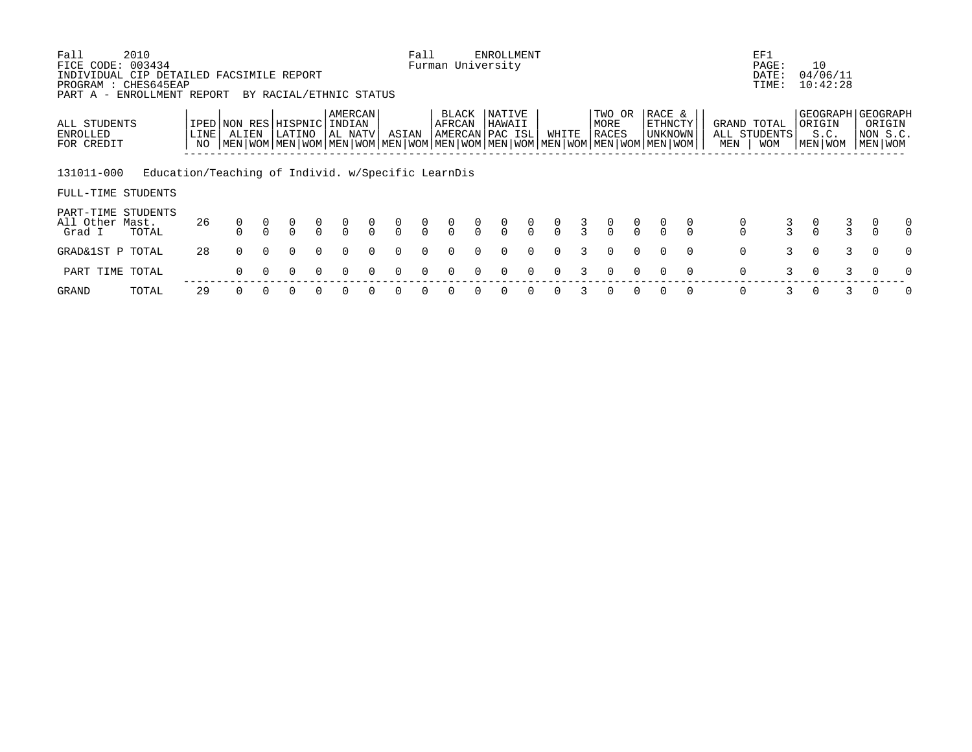| Fall<br>FICE CODE:<br>INDIVIDUAL CIP DETAILED FACSIMILE REPORT<br>PROGRAM<br>PART A - ENROLLMENT REPORT | 2010<br>003434<br>: CHES645EAP                     |      |       |          |               |               | BY RACIAL/ETHNIC STATUS                                                                                                                                        |               |               | Fall          | Furman University |                | <b>ENROLLMENT</b>                   |               |               |               |                                  |                |                              |          |                                      | EF1<br>PAGE:<br>DATE:<br>TIME: |                                      | 10<br>04/06/11<br>10:42:28                         |   |                                |               |
|---------------------------------------------------------------------------------------------------------|----------------------------------------------------|------|-------|----------|---------------|---------------|----------------------------------------------------------------------------------------------------------------------------------------------------------------|---------------|---------------|---------------|-------------------|----------------|-------------------------------------|---------------|---------------|---------------|----------------------------------|----------------|------------------------------|----------|--------------------------------------|--------------------------------|--------------------------------------|----------------------------------------------------|---|--------------------------------|---------------|
| ALL STUDENTS<br>ENROLLED<br>FOR CREDIT                                                                  |                                                    | LINE | ALIEN |          | LATINO        |               | AMERCAN<br>IPED NON RES HISPNIC INDIAN<br>AL NATV<br>NEN   WOM   MEN   WOM   MEN   WOM   MEN   WOM   MEN   WOM   MEN   WOM   MEN   WOM   MEN   WOM   MEN   WOM |               | ASIAN         |               | BLACK<br>AFRCAN   |                | NATIVE<br>HAWAII<br>AMERCAN PAC ISL |               | WHITE         |               | TWO OR<br>MORE<br>RACES          |                | RACE &<br>ETHNCTY<br>UNKNOWN |          | GRAND TOTAL<br>MEN                   | ALL STUDENTS<br><b>WOM</b>     |                                      | GEOGRAPH GEOGRAPH<br>ORIGIN<br>S.C.<br>  MEN   WOM |   | ORIGIN<br> NON S.C.<br>MEN WOM |               |
| 131011-000<br>FULL-TIME STUDENTS                                                                        | Education/Teaching of Individ. w/Specific LearnDis |      |       |          |               |               |                                                                                                                                                                |               |               |               |                   |                |                                     |               |               |               |                                  |                |                              |          |                                      |                                |                                      |                                                    |   |                                |               |
| PART-TIME STUDENTS<br>All Other Mast.<br>Grad I                                                         | TOTAL                                              | 26   |       |          | $\frac{0}{0}$ | $\frac{0}{0}$ | $\frac{0}{0}$                                                                                                                                                  | $\frac{0}{0}$ | $\frac{0}{0}$ | $\frac{0}{0}$ | $\frac{0}{0}$     | $\overline{0}$ | $\frac{0}{0}$                       | $\frac{0}{0}$ | $\frac{0}{0}$ | $\frac{3}{3}$ | $\begin{matrix}0\\0\end{matrix}$ | $\int_{0}^{0}$ |                              |          | $\begin{matrix} 0 \\ 0 \end{matrix}$ | $\frac{3}{3}$                  | $\begin{matrix} 0 \\ 0 \end{matrix}$ | $\frac{3}{3}$                                      |   | 0<br>$\Omega$                  | 0<br>$\Omega$ |
| GRAD&1ST P TOTAL                                                                                        |                                                    | 28   | 0     | $\Omega$ | $\Omega$      | $\Omega$      | $\Omega$                                                                                                                                                       | $\Omega$      | $\Omega$      | $\Omega$      | $\Omega$          | $\Omega$       | $\Omega$                            | $\Omega$      | $\Omega$      |               | $\Omega$                         | $\Omega$       | $\Omega$                     | $\Omega$ | 0                                    | 3                              | $\Omega$                             |                                                    | 3 | $\mathbf 0$                    | $\Omega$      |
| PART TIME TOTAL                                                                                         |                                                    |      | 0     |          | 0             | $\Omega$      | $\Omega$                                                                                                                                                       |               | 0             | $\Omega$      | <sup>n</sup>      |                | 0                                   | $\Omega$      | 0             |               | $\Omega$                         | $\Omega$       | $\Omega$                     | $\Omega$ | 0                                    | 3                              | $\Omega$                             |                                                    | 3 | $\Omega$                       | $\Omega$      |
| GRAND                                                                                                   | TOTAL                                              | 29   |       |          |               |               |                                                                                                                                                                |               | 0             |               |                   |                | 0                                   | $\Omega$      | 0             |               | 0                                | $\Omega$       | 0                            | 0        | 0                                    | 3                              |                                      |                                                    | 3 |                                | 0             |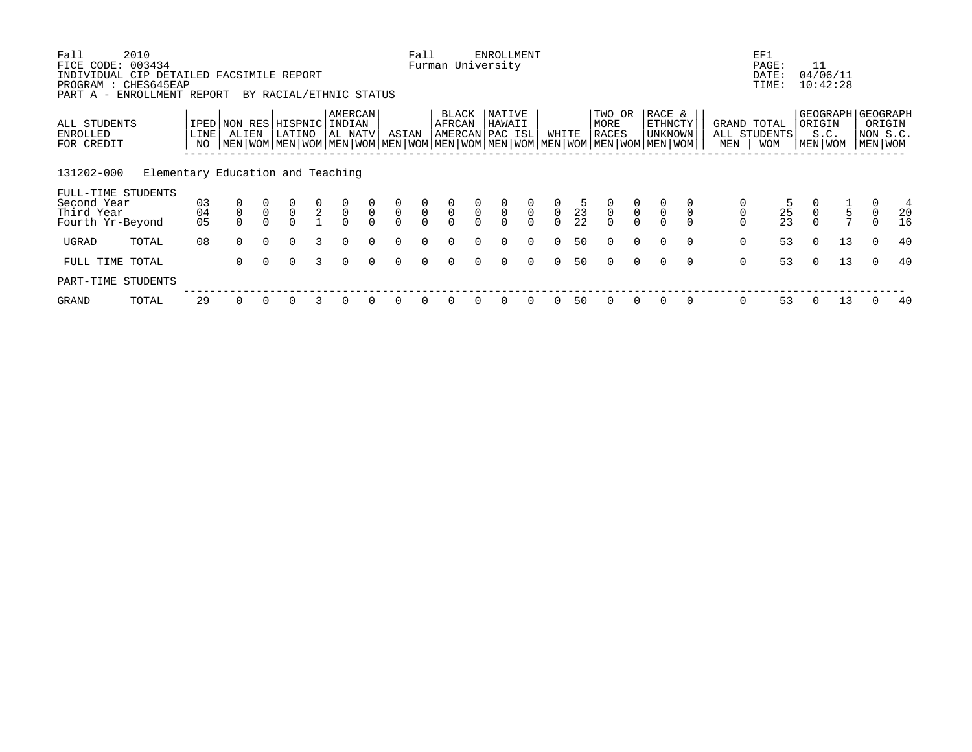| Fall<br>FICE CODE:<br>INDIVIDUAL CIP DETAILED FACSIMILE REPORT      | 2010<br>003434                    |                |                                      |                                      |                                      |               |                                           |               |                                           | Fall                                      |                 |               | <b>ENROLLMENT</b><br>Furman University |                                           |                |                                         |                                           |               |                                                                                                                                                        |             | EF1<br>PAGE:<br>DATE:                        | 11                                                       | 04/06/11                    |                       |               |
|---------------------------------------------------------------------|-----------------------------------|----------------|--------------------------------------|--------------------------------------|--------------------------------------|---------------|-------------------------------------------|---------------|-------------------------------------------|-------------------------------------------|-----------------|---------------|----------------------------------------|-------------------------------------------|----------------|-----------------------------------------|-------------------------------------------|---------------|--------------------------------------------------------------------------------------------------------------------------------------------------------|-------------|----------------------------------------------|----------------------------------------------------------|-----------------------------|-----------------------|---------------|
| PROGRAM : CHES645EAP<br>PART A - ENROLLMENT REPORT                  |                                   |                |                                      |                                      | BY RACIAL/ETHNIC STATUS              |               |                                           |               |                                           |                                           |                 |               |                                        |                                           |                |                                         |                                           |               |                                                                                                                                                        |             | TIME:                                        |                                                          | 10:42:28                    |                       |               |
| ALL STUDENTS<br>ENROLLED<br>FOR CREDIT                              |                                   | LINE  <br>NO   | IPED NON RES HISPNIC INDIAN<br>ALIEN |                                      | LATINO                               |               | AMERCAN<br>AL NATV                        |               | ASIAN                                     |                                           | BLACK<br>AFRCAN |               | NATIVE<br>HAWAII<br>AMERCAN PAC ISL    |                                           | WHITE          |                                         | TWO OR<br>MORE<br>RACES                   |               | RACE &<br><b>ETHNCTY</b><br>  UNKNOWN  <br>  MEN   WOM   MEN   WOM   MEN   WOM   MEN   WOM   MEN   WOM   MEN   WOM   MEN   WOM   MEN   WOM   MEN   WOM | MEN         | GRAND TOTAL<br>ALL STUDENTS<br><b>WOM</b>    | ORIGIN<br>MEN WOM                                        | GEOGRAPH   GEOGRAPH<br>S.C. | NON S.C.<br>MEN   WOM | ORIGIN        |
| 131202-000                                                          | Elementary Education and Teaching |                |                                      |                                      |                                      |               |                                           |               |                                           |                                           |                 |               |                                        |                                           |                |                                         |                                           |               |                                                                                                                                                        |             |                                              |                                                          |                             |                       |               |
| FULL-TIME STUDENTS<br>Second Year<br>Third Year<br>Fourth Yr-Beyond |                                   | 03<br>04<br>05 | $_{0}^{0}$                           | $\begin{matrix} 0 \\ 0 \end{matrix}$ | $\begin{matrix} 0 \\ 0 \end{matrix}$ | $\frac{0}{2}$ | $\begin{matrix} 0 \\ 0 \\ 0 \end{matrix}$ | $\frac{0}{0}$ | $\begin{matrix} 0 \\ 0 \\ 0 \end{matrix}$ | $\begin{matrix} 0 \\ 0 \\ 0 \end{matrix}$ | $\frac{0}{0}$   | $\frac{0}{0}$ | $\overline{0}$                         | $\begin{matrix} 0 \\ 0 \\ 0 \end{matrix}$ | $\overline{0}$ | $\begin{array}{c} 23 \\ 22 \end{array}$ | $\begin{matrix} 0 \\ 0 \\ 0 \end{matrix}$ | $\frac{0}{0}$ |                                                                                                                                                        |             | $\begin{array}{c} 5 \\ 25 \\ 23 \end{array}$ | $\begin{smallmatrix} 0 \\ 0 \\ 0 \\ 0 \end{smallmatrix}$ | $rac{1}{5}$                 | 0                     | 4<br>20<br>16 |
| UGRAD                                                               | TOTAL                             | 08             | $\Omega$                             | $\Omega$                             | $\Omega$                             | 3             | $\Omega$                                  | $\Omega$      | $\Omega$                                  | $\Omega$                                  | $\Omega$        | $\Omega$      | $\Omega$                               | $\Omega$                                  |                | 50                                      | $\Omega$                                  | $\Omega$      | $\Omega$<br>$\Omega$                                                                                                                                   | $\mathbf 0$ | 53                                           | $\Omega$                                                 | 13                          | $\Omega$              | 40            |
| FULL TIME TOTAL                                                     |                                   |                | 0                                    | $\Omega$                             | $\Omega$                             | 3             | $\Omega$                                  | $\Omega$      | $\Omega$                                  | $\Omega$                                  | $\Omega$        | $\Omega$      | $\Omega$                               | $\Omega$                                  |                | 50                                      | $\Omega$                                  | $\Omega$      | $\Omega$<br>$\Omega$                                                                                                                                   | 0           | 53                                           | $\Omega$                                                 | 13                          | $\Omega$              | 40            |
| PART-TIME STUDENTS                                                  |                                   |                |                                      |                                      |                                      |               |                                           |               |                                           |                                           |                 |               |                                        |                                           |                |                                         |                                           |               |                                                                                                                                                        |             |                                              |                                                          |                             |                       |               |
| GRAND                                                               | TOTAL                             | 29             |                                      |                                      | 0                                    |               | 0                                         |               |                                           |                                           |                 |               |                                        |                                           |                | 50                                      |                                           |               |                                                                                                                                                        | 0           | 53                                           |                                                          | 13                          |                       | 40            |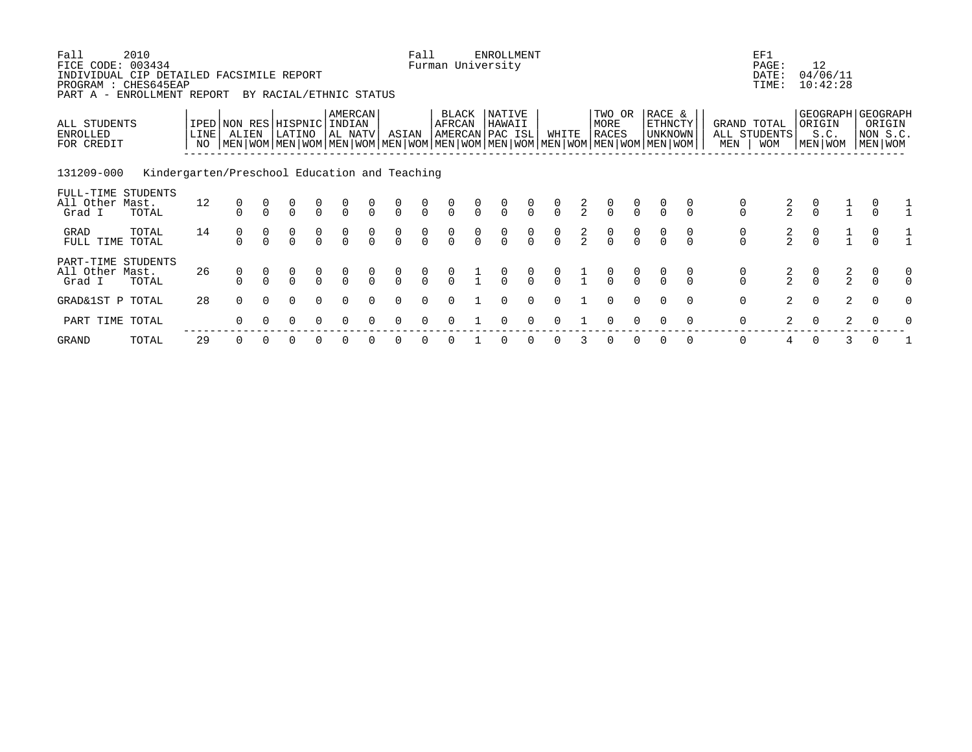| Fall<br>FICE CODE: 003434<br>INDIVIDUAL CIP DETAILED FACSIMILE REPORT<br>PROGRAM : CHES645EAP<br>PART A - ENROLLMENT REPORT | 2010                                          |            |                                      |          | BY RACIAL/ETHNIC STATUS                                                                                                                       |                                      |                                      |                                  |                                      | Fall                                 |                                      |                                      | <b>ENROLLMENT</b><br>Furman University |                                  |                                      |               |                                      |                                      |                                            |               |                                      | EF1<br>PAGE:<br>DATE:<br>TIME:     | 12<br>04/06/11<br>10:42:28                     |                |                                      |               |
|-----------------------------------------------------------------------------------------------------------------------------|-----------------------------------------------|------------|--------------------------------------|----------|-----------------------------------------------------------------------------------------------------------------------------------------------|--------------------------------------|--------------------------------------|----------------------------------|--------------------------------------|--------------------------------------|--------------------------------------|--------------------------------------|----------------------------------------|----------------------------------|--------------------------------------|---------------|--------------------------------------|--------------------------------------|--------------------------------------------|---------------|--------------------------------------|------------------------------------|------------------------------------------------|----------------|--------------------------------------|---------------|
| ALL STUDENTS<br>ENROLLED<br>FOR CREDIT                                                                                      |                                               | LINE<br>NO | ALIEN                                |          | IPED NON RES HISPNIC<br>LATINO<br>  MEN   WOM   MEN   WOM   MEN   WOM   MEN   WOM   MEN   WOM   MEN   WOM   MEN   WOM   MEN   WOM   MEN   WOM |                                      | AMERCAN<br>INDIAN<br> AL NATV        |                                  | ASIAN                                |                                      | BLACK<br>AFRCAN                      |                                      | NATIVE<br>HAWAII<br>AMERCAN PAC ISL    |                                  | WHITE                                |               | TWO OR<br>MORE<br><b>RACES</b>       |                                      | RACE &<br><b>ETHNCTY</b><br><b>UNKNOWN</b> |               | MEN                                  | GRAND TOTAL<br>ALL STUDENTS<br>MOM | GEOGRAPH GEOGRAPH<br>ORIGIN<br>S.C.<br>MEN WOM |                | ORIGIN<br>NON S.C.<br>MEN WOM        |               |
| 131209-000                                                                                                                  | Kindergarten/Preschool Education and Teaching |            |                                      |          |                                                                                                                                               |                                      |                                      |                                  |                                      |                                      |                                      |                                      |                                        |                                  |                                      |               |                                      |                                      |                                            |               |                                      |                                    |                                                |                |                                      |               |
| FULL-TIME STUDENTS<br>All Other Mast.<br>Grad I                                                                             | TOTAL                                         | 12         | $\begin{matrix} 0 \\ 0 \end{matrix}$ |          | $\begin{matrix} 0 \\ 0 \end{matrix}$                                                                                                          | $\begin{matrix} 0 \\ 0 \end{matrix}$ | $\begin{matrix} 0 \\ 0 \end{matrix}$ | $\frac{0}{0}$                    | $\begin{matrix} 0 \\ 0 \end{matrix}$ | $\begin{matrix}0\\0\end{matrix}$     | $\begin{matrix} 0 \\ 0 \end{matrix}$ | $\frac{0}{0}$                        | $\begin{matrix} 0 \\ 0 \end{matrix}$   | $\int_{0}^{0}$                   | $\begin{matrix} 0 \\ 0 \end{matrix}$ | $\frac{2}{2}$ | $\begin{matrix} 0 \\ 0 \end{matrix}$ | $\frac{0}{0}$                        | $\frac{0}{0}$                              |               | $\begin{matrix} 0 \\ 0 \end{matrix}$ | $\frac{2}{2}$                      | $\begin{matrix}0\\0\end{matrix}$               | $\frac{1}{1}$  |                                      |               |
| GRAD<br>FULL TIME                                                                                                           | TOTAL<br>TOTAL                                | 14         | 0<br>$\Omega$                        |          | $\begin{matrix} 0 \\ 0 \end{matrix}$                                                                                                          | $\begin{matrix} 0 \\ 0 \end{matrix}$ | $\begin{matrix}0\\0\end{matrix}$     | $\begin{matrix}0\\0\end{matrix}$ | $\begin{matrix} 0 \\ 0 \end{matrix}$ | $\begin{matrix} 0 \\ 0 \end{matrix}$ | $\begin{matrix} 0 \\ 0 \end{matrix}$ | $\begin{matrix} 0 \\ 0 \end{matrix}$ | $\begin{matrix} 0 \\ 0 \end{matrix}$   | $\begin{matrix}0\\0\end{matrix}$ | $\begin{matrix} 0 \\ 0 \end{matrix}$ | $\frac{2}{2}$ | $\begin{matrix}0\\0\end{matrix}$     | $\begin{matrix} 0 \\ 0 \end{matrix}$ | $\frac{0}{0}$                              | $\frac{0}{0}$ | $\begin{matrix} 0 \\ 0 \end{matrix}$ | $\frac{2}{2}$                      | $\begin{matrix} 0 \\ 0 \end{matrix}$           | $\frac{1}{1}$  | $\begin{matrix} 0 \\ 0 \end{matrix}$ |               |
| PART-TIME STUDENTS<br>All Other Mast.<br>Grad I                                                                             | TOTAL                                         | 26         | 0                                    |          | $\begin{matrix} 0 \\ 0 \end{matrix}$                                                                                                          | $\frac{0}{0}$                        | $\frac{0}{0}$                        | $\frac{0}{0}$                    | $\begin{matrix}0\\0\end{matrix}$     | $\frac{0}{0}$                        | $\begin{matrix} 0 \\ 0 \end{matrix}$ | $\frac{1}{1}$                        | $\frac{0}{0}$                          | $\begin{matrix}0\\0\end{matrix}$ | $\begin{matrix} 0 \\ 0 \end{matrix}$ | $\frac{1}{1}$ | $\frac{0}{0}$                        | $\frac{0}{0}$                        | $\frac{0}{0}$                              |               | $\begin{matrix} 0 \\ 0 \end{matrix}$ | $\frac{2}{2}$                      | $\begin{matrix}0\\0\end{matrix}$               | $\frac{2}{2}$  | $\begin{matrix}0\\0\end{matrix}$     | 0<br>$\Omega$ |
| GRAD&1ST P TOTAL                                                                                                            |                                               | 28         | $\Omega$                             | $\Omega$ | $\Omega$                                                                                                                                      | $\Omega$                             | $\Omega$                             | $\Omega$                         | $\Omega$                             | $\Omega$                             | $\Omega$                             |                                      | 0                                      | 0                                | $\Omega$                             |               | $\Omega$                             | $\mathbf 0$                          | $\Omega$                                   | $\Omega$      | 0                                    | $\overline{2}$                     | $\mathbf 0$                                    | $\overline{2}$ | $\overline{0}$                       | 0             |
| PART TIME TOTAL                                                                                                             |                                               |            | $\Omega$                             |          | 0                                                                                                                                             |                                      |                                      |                                  |                                      |                                      |                                      |                                      | 0                                      | $\Omega$                         | $\Omega$                             |               | $\Omega$                             |                                      | $\Omega$                                   | $\Omega$      | 0                                    | 2                                  | $\Omega$                                       | 2              |                                      |               |

GRAND TOTAL 29 0 0 0 0 0 0 0 0 0 1 0 0 0 3 0 0 0 0 0 4 0 3 0 1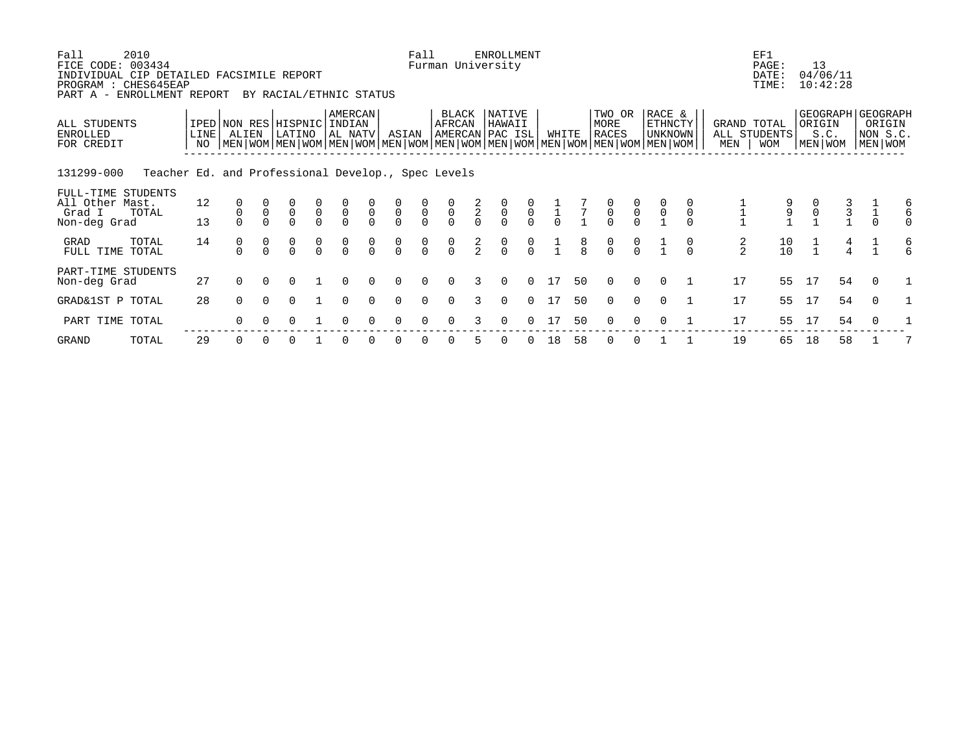| 2010<br>Fall<br>FICE CODE: 003434<br>INDIVIDUAL CIP DETAILED FACSIMILE REPORT<br>PROGRAM : CHES645EAP<br>ENROLLMENT REPORT<br>PART A - |                   |                                                                                                                                                        | BY RACIAL/ETHNIC STATUS |                                  |                                  |                                  |                                  | Fall                             |                | Furman University        | <b>ENROLLMENT</b> |                                  |               |               |                      |                                  |               |                           |               | EF1<br>PAGE:<br>DATE:<br>TIME:          | 13            | 04/06/11<br>10:42:28 |   |                                                        |   |
|----------------------------------------------------------------------------------------------------------------------------------------|-------------------|--------------------------------------------------------------------------------------------------------------------------------------------------------|-------------------------|----------------------------------|----------------------------------|----------------------------------|----------------------------------|----------------------------------|----------------|--------------------------|-------------------|----------------------------------|---------------|---------------|----------------------|----------------------------------|---------------|---------------------------|---------------|-----------------------------------------|---------------|----------------------|---|--------------------------------------------------------|---|
| ALL STUDENTS<br><b>ENROLLED</b><br>FOR CREDIT                                                                                          | LINE <sup>[</sup> | IPED NON RES HISPNIC INDIAN<br>ALIEN<br>NO   MEN   WOM   MEN   WOM   MEN   WOM   MEN   WOM   MEN   WOM   MEN   WOM   MEN   WOM   MEN   WOM   MEN   WOM | LATINO                  |                                  | AMERCAN<br>AL NATV               |                                  | ASIAN                            |                                  | AFRCAN         | BLACK<br>AMERCAN PAC ISL | NATIVE<br>HAWAII  |                                  |               | WHITE         | MORE<br><b>RACES</b> | TWO OR                           | RACE &        | <b>ETHNCTY</b><br>UNKNOWN | MEN           | GRAND TOTAL<br>ALL STUDENTS<br>WOM      | ORIGIN        | S.C.<br>MEN WOM      |   | GEOGRAPH GEOGRAPH<br>ORIGIN<br>NON S.C.<br>  MEN   WOM |   |
| 131299-000<br>Teacher Ed. and Professional Develop., Spec Levels                                                                       |                   |                                                                                                                                                        |                         |                                  |                                  |                                  |                                  |                                  |                |                          |                   |                                  |               |               |                      |                                  |               |                           |               |                                         |               |                      |   |                                                        |   |
| FULL-TIME STUDENTS<br>All Other Mast.<br>Grad I<br>TOTAL<br>Non-deg Grad                                                               | 12<br>13          |                                                                                                                                                        |                         | $\begin{matrix}0\\0\end{matrix}$ | $\begin{matrix}0\\0\end{matrix}$ | $\begin{matrix}0\\0\end{matrix}$ | $\begin{matrix}0\\0\end{matrix}$ | $\overline{0}$                   | $\overline{0}$ | $\frac{2}{0}$            | $\overline{0}$    | $\overline{0}$                   | $\frac{1}{0}$ | $\frac{7}{1}$ |                      | $\overline{0}$<br>$\overline{0}$ | $\frac{0}{1}$ | $\mathbf 0$               |               | $\frac{9}{1}$                           | $\frac{0}{1}$ | $\frac{3}{1}$        |   |                                                        | 6 |
| GRAD<br>TOTAL<br>FULL TIME TOTAL                                                                                                       | 14                | 0<br>$\Omega$                                                                                                                                          |                         | 0<br>$\Omega$                    | $\frac{0}{0}$                    |                                  | $\begin{matrix}0\\0\end{matrix}$ | $\begin{matrix}0\\0\end{matrix}$ | $\frac{0}{0}$  | $\frac{2}{2}$            |                   | $\begin{matrix}0\\0\end{matrix}$ |               |               |                      | $\frac{0}{0}$                    |               |                           | $\frac{2}{2}$ | $\begin{array}{c} 10 \\ 10 \end{array}$ |               | $\overline{4}$       | 4 |                                                        | 6 |
| PART-TIME STUDENTS<br>Non-deg Grad                                                                                                     | 27                | 0                                                                                                                                                      |                         |                                  |                                  |                                  |                                  |                                  |                |                          |                   |                                  | 17            | 50            |                      | $\Omega$                         | $\Omega$      |                           | 17            | 55                                      | 17            | 54                   |   | $\Omega$                                               |   |
| GRAD&1ST P TOTAL                                                                                                                       | 28                | 0                                                                                                                                                      | 0                       |                                  | $\Omega$                         |                                  | $\Omega$                         | $\Omega$                         | 0              |                          | $\Omega$          | $\Omega$                         | 17            | 50            |                      | $\Omega$<br>$\Omega$             | $\Omega$      |                           | 17            | 55                                      | 17            | 54                   |   | 0                                                      |   |
| PART TIME TOTAL                                                                                                                        |                   |                                                                                                                                                        |                         |                                  |                                  |                                  |                                  |                                  |                |                          |                   |                                  |               | 50            |                      |                                  |               |                           | 17            | 55                                      |               | 54                   |   |                                                        |   |

GRAND TOTAL 29 0 0 0 1 0 0 0 0 0 5 0 0 18 58 0 0 1 1 19 65 18 58 1 7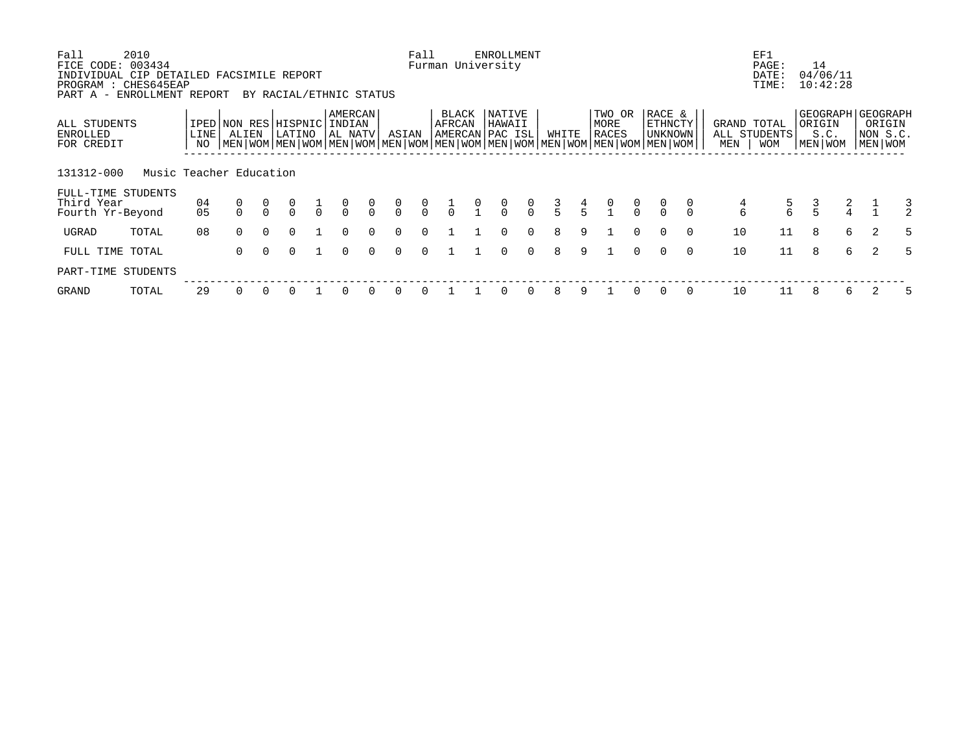| Fall<br>FICE CODE:<br>INDIVIDUAL CIP DETAILED FACSIMILE REPORT<br>PROGRAM : CHES645EAP | 2010<br>003434          |                          |                                                                                                                                      |        |                                              |                              |                                      |                                      | Fall                                 |                               |                                                | <b>ENROLLMENT</b><br>Furman University     |               |               |               |                         |               |                                            |                |               | EF1<br>PAGE:<br>DATE:<br>TIME:            |               | 14<br>04/06/11<br>10:42:28                       |    |                               |   |
|----------------------------------------------------------------------------------------|-------------------------|--------------------------|--------------------------------------------------------------------------------------------------------------------------------------|--------|----------------------------------------------|------------------------------|--------------------------------------|--------------------------------------|--------------------------------------|-------------------------------|------------------------------------------------|--------------------------------------------|---------------|---------------|---------------|-------------------------|---------------|--------------------------------------------|----------------|---------------|-------------------------------------------|---------------|--------------------------------------------------|----|-------------------------------|---|
| PART A - ENROLLMENT REPORT<br>ALL STUDENTS<br>ENROLLED<br>FOR CREDIT                   |                         | LINE <sup>1</sup><br>NO. | IPED NON RES<br>ALIEN<br>  MEN   WOM   MEN   WOM   MEN   WOM   MEN   WOM   MEN   WOM   MEN   WOM   MEN   WOM   MEN   WOM   MEN   WOM |        | BY RACIAL/ETHNIC STATUS<br>HISPNIC<br>LATINO | AMERCAN<br>INDIAN<br>AL NATV |                                      | ASIAN                                |                                      | <b>BLACK</b><br><b>AFRCAN</b> |                                                | <b>NATIVE</b><br>HAWAII<br>AMERCAN PAC ISL |               | WHITE         |               | TWO OR<br>MORE<br>RACES |               | RACE &<br><b>ETHNCTY</b><br><b>UNKNOWN</b> |                | MEN           | GRAND TOTAL<br>ALL STUDENTS<br><b>WOM</b> |               | GEOGRAPH   GEOGRAPH<br>ORIGIN<br>S.C.<br>MEN WOM |    | ORIGIN<br>NON S.C.<br>MEN WOM |   |
| 131312-000<br>FULL-TIME STUDENTS<br>Third Year<br>Fourth Yr-Beyond                     | Music Teacher Education | 04<br>05                 |                                                                                                                                      |        |                                              | $\frac{0}{0}$                | $\begin{matrix} 0 \\ 0 \end{matrix}$ | $\begin{matrix} 0 \\ 0 \end{matrix}$ | $\begin{matrix} 0 \\ 0 \end{matrix}$ |                               | $\begin{smallmatrix} 0 \\ 1 \end{smallmatrix}$ | $\begin{matrix} 0 \\ 0 \end{matrix}$       | $\frac{0}{0}$ | $\frac{3}{5}$ | $\frac{4}{5}$ | $\frac{0}{1}$           | $\frac{0}{0}$ | $\frac{0}{0}$                              | $\int_{0}^{0}$ | $\frac{4}{6}$ | $\frac{5}{6}$                             | $\frac{3}{5}$ | $\frac{2}{4}$                                    |    |                               |   |
| UGRAD                                                                                  | TOTAL                   | 08                       | $\Omega$                                                                                                                             | $\cap$ | $\cap$                                       | $\cap$                       | $\Omega$                             | $\Omega$                             | $\Omega$                             |                               |                                                | $\Omega$                                   | $\Omega$      | 8             | 9             |                         | $\Omega$      | $\Omega$                                   | $\Omega$       | 10            | 11                                        | 8             |                                                  | 6  | $\mathfrak{D}$                | 5 |
| FULL TIME TOTAL                                                                        |                         |                          | $\Omega$                                                                                                                             |        | O.                                           | $\Omega$                     | $\cap$                               | U                                    | $\Omega$                             |                               |                                                | <sup>n</sup>                               | $\Omega$      | 8             | 9             |                         | $\cap$        | $\Omega$                                   | $\Omega$       | 10            | 11                                        | 8             |                                                  | б. | $\mathcal{L}$                 | 5 |
| PART-TIME STUDENTS                                                                     |                         |                          |                                                                                                                                      |        |                                              |                              |                                      |                                      |                                      |                               |                                                |                                            |               |               |               |                         |               |                                            |                |               |                                           |               |                                                  |    |                               |   |
| <b>GRAND</b>                                                                           | TOTAL                   | 29                       | $\Omega$                                                                                                                             |        |                                              | <sup>n</sup>                 |                                      |                                      |                                      |                               |                                                |                                            | $\Omega$      | 8             | 9             |                         |               | $\Omega$                                   | $\Omega$       | 10            |                                           | 8             |                                                  | 6  |                               |   |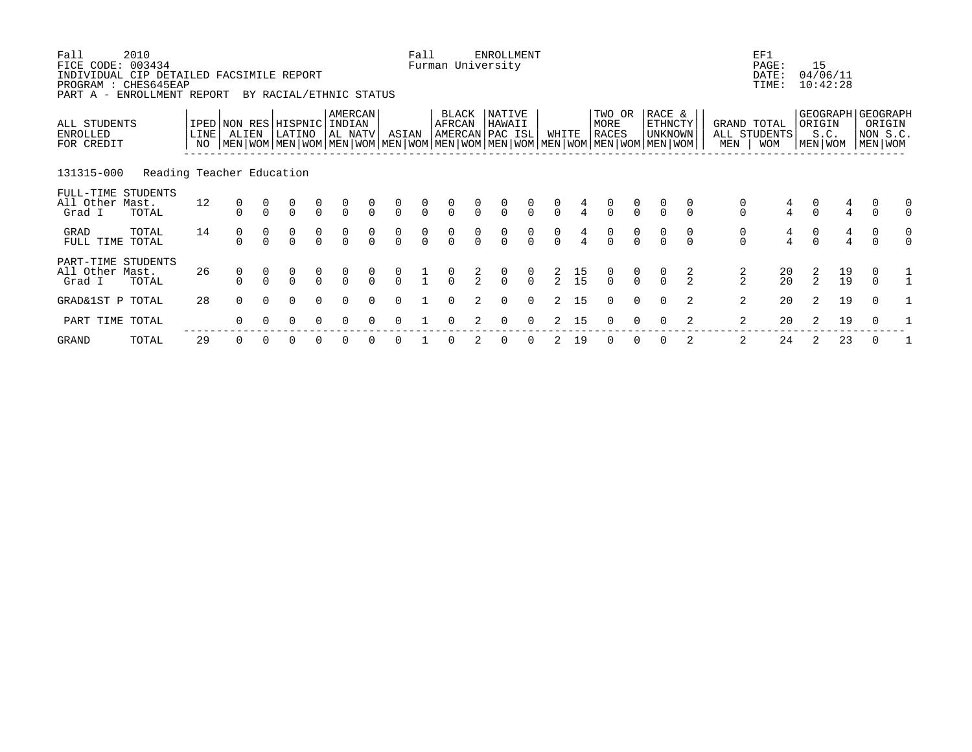| Fall<br>FICE CODE: 003434<br>INDIVIDUAL CIP DETAILED FACSIMILE REPORT<br>PROGRAM : CHES645EAP<br>PART A - | 2010<br>ENROLLMENT REPORT |                    |                                      |               | BY RACIAL/ETHNIC STATUS                                                                                                                              |                                      |                                      |                                      |                                      | Fall                                 |                                      |                                      | ENROLLMENT<br>Furman University             |                                      |                                      |                                         |                                      |                |                                            |                                      |                                      | EF1<br>PAGE:<br>DATE:<br>TIME:            |                                      | 15<br>04/06/11<br>10:42:28 |                                         |                                                        |               |
|-----------------------------------------------------------------------------------------------------------|---------------------------|--------------------|--------------------------------------|---------------|------------------------------------------------------------------------------------------------------------------------------------------------------|--------------------------------------|--------------------------------------|--------------------------------------|--------------------------------------|--------------------------------------|--------------------------------------|--------------------------------------|---------------------------------------------|--------------------------------------|--------------------------------------|-----------------------------------------|--------------------------------------|----------------|--------------------------------------------|--------------------------------------|--------------------------------------|-------------------------------------------|--------------------------------------|----------------------------|-----------------------------------------|--------------------------------------------------------|---------------|
| ALL STUDENTS<br>ENROLLED<br>FOR CREDIT                                                                    |                           | <b>LINE</b><br>NO. | ALIEN                                |               | IPED NON RES HISPNIC INDIAN<br>LATINO<br>  MEN   WOM   MEN   WOM   MEN   WOM   MEN   WOM   MEN   WOM   MEN   WOM   MEN   WOM   MEN   WOM   MEN   WOM |                                      | AMERCAN<br>AL NATV                   |                                      | ASIAN                                |                                      | BLACK<br>AFRCAN                      |                                      | <b>NATIVE</b><br>HAWAII<br> AMERCAN PAC ISL |                                      |                                      | WHITE                                   | TWO OR<br>MORE<br>RACES              |                | RACE &<br><b>ETHNCTY</b><br><b>UNKNOWN</b> |                                      | MEN                                  | GRAND TOTAL<br>ALL STUDENTS<br><b>WOM</b> |                                      | ORIGIN<br>S.C.<br>MEN WOM  |                                         | GEOGRAPH   GEOGRAPH<br>ORIGIN<br>NON S.C.<br>MEN   WOM |               |
| 131315-000                                                                                                | Reading Teacher Education |                    |                                      |               |                                                                                                                                                      |                                      |                                      |                                      |                                      |                                      |                                      |                                      |                                             |                                      |                                      |                                         |                                      |                |                                            |                                      |                                      |                                           |                                      |                            |                                         |                                                        |               |
| FULL-TIME STUDENTS<br>All Other Mast.<br>Grad I                                                           | TOTAL                     | 12                 | $\begin{matrix} 0 \\ 0 \end{matrix}$ |               | $\begin{matrix} 0 \\ 0 \end{matrix}$                                                                                                                 | $\begin{matrix} 0 \\ 0 \end{matrix}$ | $\begin{matrix} 0 \\ 0 \end{matrix}$ | $\begin{matrix} 0 \\ 0 \end{matrix}$ | $\begin{matrix} 0 \\ 0 \end{matrix}$ | $\begin{matrix} 0 \\ 0 \end{matrix}$ | $\begin{matrix} 0 \\ 0 \end{matrix}$ | $\frac{0}{0}$                        | $\begin{matrix} 0 \\ 0 \end{matrix}$        | $\begin{matrix} 0 \\ 0 \end{matrix}$ | $\begin{matrix}0\\0\end{matrix}$     | $\frac{4}{4}$                           | $\begin{matrix} 0 \\ 0 \end{matrix}$ | $\int_{0}^{0}$ |                                            |                                      | $\begin{matrix} 0 \\ 0 \end{matrix}$ | $\frac{4}{4}$                             | $\begin{matrix} 0 \\ 0 \end{matrix}$ |                            | $\frac{4}{4}$                           | $\begin{matrix} 0 \\ 0 \end{matrix}$                   | 0<br>$\Omega$ |
| GRAD<br>FULL TIME                                                                                         | TOTAL<br>TOTAL            | 14                 | $\frac{0}{0}$                        | $\frac{0}{0}$ | $\begin{matrix} 0 \\ 0 \end{matrix}$                                                                                                                 | $\begin{matrix}0\\0\end{matrix}$     | $\begin{matrix}0\\0\end{matrix}$     | $\begin{matrix} 0 \\ 0 \end{matrix}$ | $\begin{matrix}0\\0\end{matrix}$     | $\begin{matrix} 0 \\ 0 \end{matrix}$ | $\begin{matrix}0\\0\end{matrix}$     | $\begin{matrix} 0 \\ 0 \end{matrix}$ | $\begin{matrix} 0 \\ 0 \end{matrix}$        | $\begin{matrix}0\\0\end{matrix}$     | $\begin{matrix} 0 \\ 0 \end{matrix}$ | $\frac{4}{4}$                           | $\begin{matrix}0\\0\end{matrix}$     | $\frac{0}{0}$  | $\frac{0}{0}$                              | $\begin{matrix} 0 \\ 0 \end{matrix}$ | $\begin{matrix} 0 \\ 0 \end{matrix}$ | $\frac{4}{4}$                             | $\begin{matrix} 0 \\ 0 \end{matrix}$ |                            | $\frac{4}{4}$                           | $\begin{matrix} 0 \\ 0 \end{matrix}$                   | 0<br>$\cap$   |
| PART-TIME STUDENTS<br>All Other Mast.<br>Grad I                                                           | TOTAL                     | 26                 | 0                                    |               | $\Omega$                                                                                                                                             | $\frac{0}{0}$                        | $\frac{0}{0}$                        | $\begin{matrix}0\\0\end{matrix}$     | $\frac{0}{0}$                        | $\frac{1}{1}$                        | $\frac{0}{0}$                        | $\frac{2}{2}$                        | $\frac{0}{0}$                               | $\begin{matrix}0\\0\end{matrix}$     | $\frac{2}{2}$                        | $\begin{array}{c} 15 \\ 15 \end{array}$ | $\frac{0}{0}$                        | $\frac{0}{0}$  | $\frac{0}{0}$                              | $\frac{2}{2}$                        | $\frac{2}{2}$                        | $\begin{array}{c} 20 \\ 20 \end{array}$   | $\frac{2}{2}$                        |                            | $\begin{array}{c} 19 \\ 19 \end{array}$ | $\begin{matrix} 0 \\ 0 \end{matrix}$                   |               |
| GRAD&1ST P TOTAL                                                                                          |                           | 28                 | $\Omega$                             |               | $\Omega$                                                                                                                                             | $\Omega$                             | $\Omega$                             | $\Omega$                             | $\Omega$                             |                                      | $\Omega$                             | 2                                    | $\Omega$                                    | $\mathbf 0$                          | 2                                    | 15                                      | $\Omega$                             | $\Omega$       | $\Omega$                                   | 2                                    | 2                                    | 20                                        | 2                                    |                            | 19                                      | $\mathbf 0$                                            |               |
| PART TIME TOTAL                                                                                           |                           |                    | 0                                    |               |                                                                                                                                                      |                                      |                                      |                                      |                                      |                                      |                                      |                                      | $\Omega$                                    | $\Omega$                             |                                      | 15                                      |                                      |                |                                            |                                      | 2                                    | 20                                        |                                      |                            | 19                                      | $\Omega$                                               |               |

GRAND TOTAL 29 0 0 0 0 0 0 0 1 0 2 0 0 2 19 0 0 0 2 2 24 2 23 0 1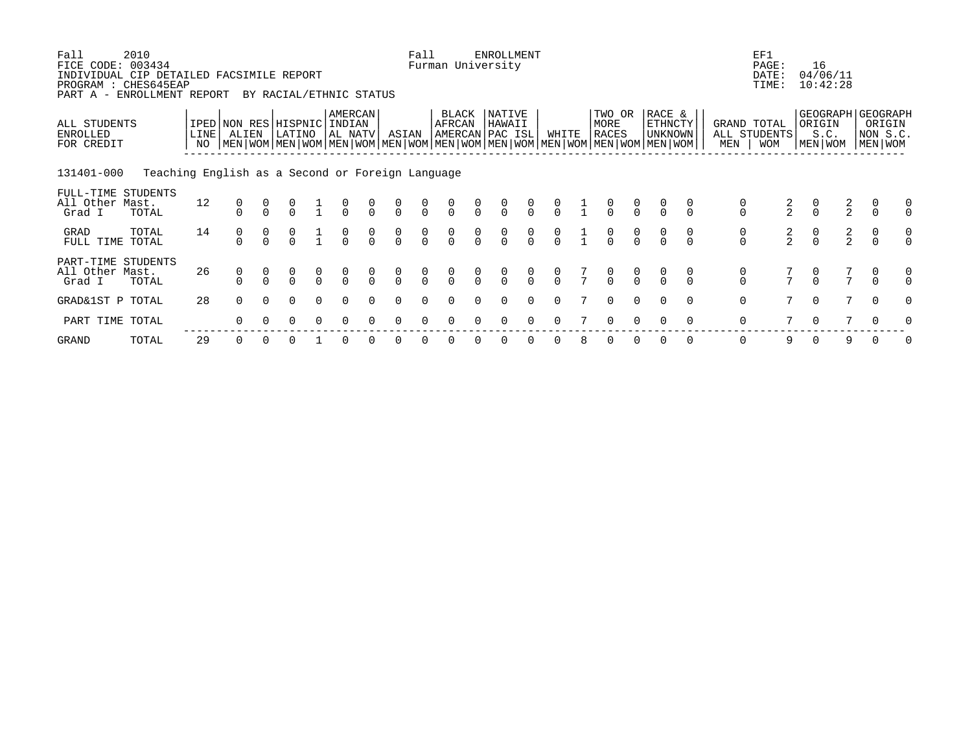| Fall<br>FICE CODE: 003434<br>PART A -           | 2010<br>INDIVIDUAL CIP DETAILED FACSIMILE REPORT<br>PROGRAM : CHES645EAP<br>ENROLLMENT REPORT |            |                                                                                                                                              | BY RACIAL/ETHNIC STATUS |               |                              |                                      |                                      | Fall                                 |                                      |                                  | ENROLLMENT<br>Furman University      |                                      |               |               |                                |                                      |                                            |               |                                      | EF1<br>PAGE:<br>DATE:<br>TIME:            | 16<br>04/06/11<br>10:42:28                         |               |                                      |               |
|-------------------------------------------------|-----------------------------------------------------------------------------------------------|------------|----------------------------------------------------------------------------------------------------------------------------------------------|-------------------------|---------------|------------------------------|--------------------------------------|--------------------------------------|--------------------------------------|--------------------------------------|----------------------------------|--------------------------------------|--------------------------------------|---------------|---------------|--------------------------------|--------------------------------------|--------------------------------------------|---------------|--------------------------------------|-------------------------------------------|----------------------------------------------------|---------------|--------------------------------------|---------------|
| ALL STUDENTS<br><b>ENROLLED</b><br>FOR CREDIT   |                                                                                               | LINE<br>NO | IPED NON RES HISPNIC<br>ALIEN<br>  MEN   WOM   MEN   WOM   MEN   WOM   MEN   WOM   MEN   WOM   MEN   WOM   MEN   WOM   MEN   WOM   MEN   WOM | LATINO                  |               | AMERCAN<br>INDIAN<br>AL NATV |                                      | ASIAN                                |                                      | AFRCAN                               | BLACK                            | NATIVE<br>HAWAII<br>AMERCAN PAC ISL  |                                      | WHITE         |               | TWO OR<br>MORE<br><b>RACES</b> |                                      | RACE &<br><b>ETHNCTY</b><br><b>UNKNOWN</b> |               | MEN                                  | GRAND TOTAL<br>ALL STUDENTS<br><b>WOM</b> | GEOGRAPH GEOGRAPH<br>ORIGIN<br>S.C.<br>  MEN   WOM |               | ORIGIN<br>NON S.C.<br>MEN WOM        |               |
| 131401-000                                      | Teaching English as a Second or Foreign Language                                              |            |                                                                                                                                              |                         |               |                              |                                      |                                      |                                      |                                      |                                  |                                      |                                      |               |               |                                |                                      |                                            |               |                                      |                                           |                                                    |               |                                      |               |
| FULL-TIME STUDENTS<br>All Other Mast.<br>Grad I | TOTAL                                                                                         | 12         |                                                                                                                                              |                         |               | $\frac{0}{0}$                | $\overline{0}$                       | $\begin{matrix} 0 \\ 0 \end{matrix}$ | $\begin{matrix} 0 \\ 0 \end{matrix}$ | $\begin{matrix} 0 \\ 0 \end{matrix}$ | $\frac{0}{0}$                    | $\begin{matrix} 0 \\ 0 \end{matrix}$ | $\begin{matrix} 0 \\ 0 \end{matrix}$ | $\frac{0}{0}$ | $\frac{1}{1}$ | $\frac{0}{0}$                  | $\frac{0}{0}$                        | $\frac{0}{0}$                              |               | $\frac{0}{0}$                        | $\frac{2}{2}$                             | $\begin{matrix} 0 \\ 0 \end{matrix}$               | $\frac{2}{2}$ | 0<br>$\Omega$                        | 0<br>$\Omega$ |
| GRAD<br>FULL TIME                               | TOTAL<br>TOTAL                                                                                | 14         | $\frac{0}{0}$                                                                                                                                |                         |               | $\frac{0}{0}$                | $\begin{matrix} 0 \\ 0 \end{matrix}$ | $\begin{matrix}0\\0\end{matrix}$     | $\begin{matrix} 0 \\ 0 \end{matrix}$ | $\begin{matrix} 0 \\ 0 \end{matrix}$ | $\begin{matrix}0\\0\end{matrix}$ | $\begin{matrix} 0 \\ 0 \end{matrix}$ | $\begin{matrix} 0 \\ 0 \end{matrix}$ | $\frac{0}{0}$ | $\frac{1}{1}$ | $\frac{0}{0}$                  | $\begin{matrix} 0 \\ 0 \end{matrix}$ | $\begin{matrix} 0 \\ 0 \end{matrix}$       | $\frac{0}{0}$ | $\begin{matrix} 0 \\ 0 \end{matrix}$ | $\frac{2}{2}$                             | $\begin{matrix} 0 \\ 0 \end{matrix}$               | $\frac{2}{2}$ | $\begin{matrix} 0 \\ 0 \end{matrix}$ | 0<br>$\Omega$ |
| PART-TIME STUDENTS<br>All Other Mast.<br>Grad I | TOTAL                                                                                         | 26         | 0                                                                                                                                            |                         | $\frac{0}{0}$ | $\frac{0}{0}$                | $\frac{0}{0}$                        | $\begin{matrix} 0 \\ 0 \end{matrix}$ | $\begin{matrix} 0 \\ 0 \end{matrix}$ | $\frac{0}{0}$                        | $\frac{0}{0}$                    | $\frac{0}{0}$                        | $\frac{0}{0}$                        | $\frac{0}{0}$ | $\frac{7}{7}$ | $\frac{0}{0}$                  | $\frac{0}{0}$                        | $\frac{0}{0}$                              |               | $\begin{matrix} 0 \\ 0 \end{matrix}$ | $\overline{7}$                            | $\frac{0}{0}$                                      | $\frac{7}{7}$ | 0<br>$\Omega$                        | 0<br>$\Omega$ |
| GRAD&1ST P TOTAL                                |                                                                                               | 28         | 0                                                                                                                                            | 0                       | $\Omega$      | $\Omega$                     |                                      | $\Omega$                             | $\Omega$                             | 0                                    |                                  | 0                                    | 0                                    | 0             |               | $\Omega$                       | $\Omega$                             | $\Omega$                                   | $\Omega$      | 0                                    | $7\phantom{.0}$                           | $\overline{0}$                                     | 7             | $\mathbf 0$                          | 0             |
| PART TIME TOTAL                                 |                                                                                               |            | 0                                                                                                                                            |                         |               |                              |                                      |                                      |                                      |                                      |                                  |                                      | $\Omega$                             |               |               |                                |                                      |                                            |               | 0                                    | 7                                         |                                                    |               |                                      |               |

GRAND TOTAL 29 0 0 0 1 0 0 0 0 0 0 0 0 0 8 0 0 0 0 0 9 0 9 0 0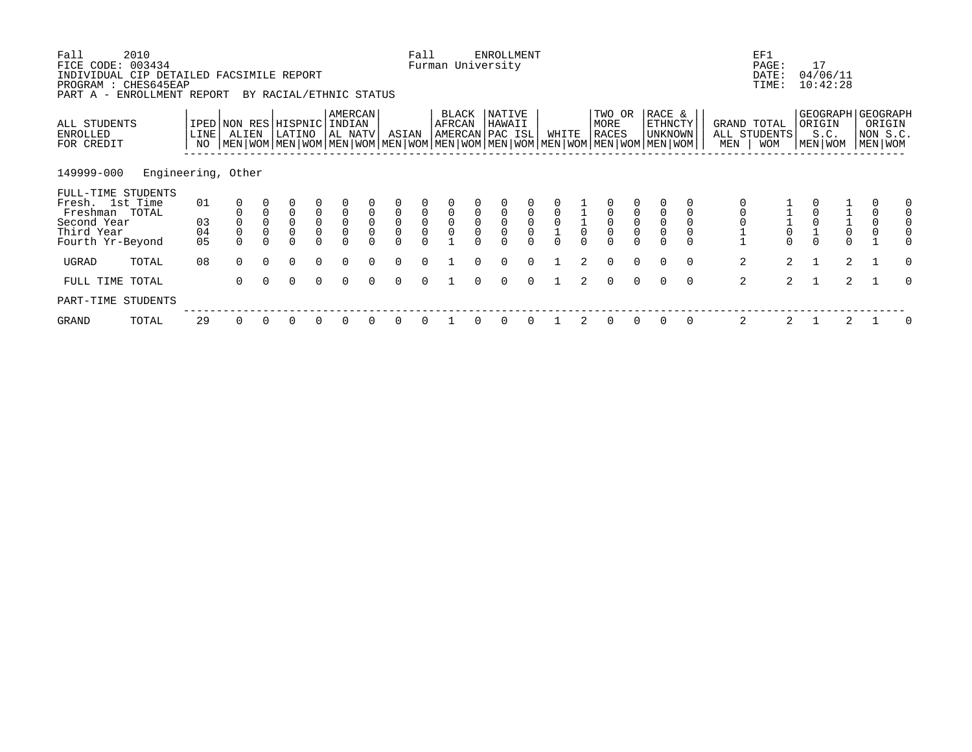| Fall<br>FICE CODE: 003434<br>INDIVIDUAL CIP DETAILED FACSIMILE REPORT<br>PROGRAM : CHES645EAP | 2010               |            |                      |                         |                                                                                                                                               |                     |                   |             |               | Fall                |                 |                     | <b>ENROLLMENT</b><br>Furman University |                         |             |               |                                |                                      |                                  |             |                    | EF1<br>PAGE:<br>DATE:<br>TIME: | 17<br>04/06/11<br>10:42:28 |                           |                               |                          |
|-----------------------------------------------------------------------------------------------|--------------------|------------|----------------------|-------------------------|-----------------------------------------------------------------------------------------------------------------------------------------------|---------------------|-------------------|-------------|---------------|---------------------|-----------------|---------------------|----------------------------------------|-------------------------|-------------|---------------|--------------------------------|--------------------------------------|----------------------------------|-------------|--------------------|--------------------------------|----------------------------|---------------------------|-------------------------------|--------------------------|
| PART A -                                                                                      | ENROLLMENT REPORT  |            |                      |                         | BY RACIAL/ETHNIC STATUS                                                                                                                       |                     | AMERCAN           |             |               |                     |                 |                     | NATIVE                                 |                         |             |               |                                |                                      | RACE &                           |             |                    |                                |                            |                           | GEOGRAPH GEOGRAPH             |                          |
| ALL STUDENTS<br>ENROLLED<br>FOR CREDIT                                                        |                    | LINE<br>NO | ALIEN                |                         | IPED NON RES HISPNIC<br>LATINO<br>  MEN   WOM   MEN   WOM   MEN   WOM   MEN   WOM   MEN   WOM   MEN   WOM   MEN   WOM   MEN   WOM   MEN   WOM |                     | INDIAN<br>AL NATV |             | ASIAN         |                     | BLACK<br>AFRCAN |                     | HAWAII<br>AMERCAN PAC ISL              |                         | WHITE       |               | TWO OR<br>MORE<br><b>RACES</b> |                                      | <b>ETHNCTY</b><br><b>UNKNOWN</b> |             | GRAND TOTAL<br>MEN | ALL STUDENTS<br><b>WOM</b>     | ORIGIN<br>S.C.<br>MEN WOM  |                           | ORIGIN<br>NON S.C.<br>MEN WOM |                          |
| 149999-000                                                                                    | Engineering, Other |            |                      |                         |                                                                                                                                               |                     |                   |             |               |                     |                 |                     |                                        |                         |             |               |                                |                                      |                                  |             |                    |                                |                            |                           |                               |                          |
| FULL-TIME STUDENTS<br>Fresh. 1st Time<br>Freshman                                             | TOTAL              | 01         |                      |                         | 0                                                                                                                                             | $\mathbf 0$         | $\mathbf 0$       | $\mathbf 0$ | 0             | $\mathsf 0$         | 0               | $\mathsf 0$         | 0                                      | $\mathsf 0$             | $\mathbf 0$ |               |                                | $\mathbf 0$                          |                                  |             |                    |                                |                            |                           | 0                             | 0<br>$\mathbf 0$         |
| Second Year                                                                                   |                    | 03         |                      |                         | 0                                                                                                                                             | $\mathsf{O}\xspace$ |                   |             | $\mathsf{O}$  | $\overline{0}$<br>0 | $\overline{0}$  | $\ddot{\mathbf{0}}$ | $\mathsf{O}$                           |                         |             | $\frac{1}{0}$ | $\overline{0}$                 | $\begin{matrix} 0 \\ 0 \end{matrix}$ |                                  |             |                    |                                |                            |                           | 0                             | 0                        |
| Third Year<br>Fourth Yr-Beyond                                                                |                    | 04<br>05   | $\Omega$<br>$\Omega$ | $\mathsf 0$<br>$\Omega$ | 0<br>$\Omega$                                                                                                                                 | $\mathsf{O}\xspace$ | $\mathsf 0$       | $\mathsf 0$ | 0<br>$\Omega$ | $\Omega$            | $\mathsf 0$     | $\mathsf 0$         | $\Omega$                               | $\mathsf 0$<br>$\Omega$ | $\Omega$    |               | 0                              | $\Omega$                             | $\mathsf{O}\xspace$              | $\mathbf 0$ |                    | $\overline{0}$                 |                            | $\frac{1}{0}$<br>$\Omega$ | $\overline{0}$                | $\mathsf{O}$<br>$\Omega$ |
| UGRAD                                                                                         | TOTAL              | 08         | $\Omega$             | $\Omega$                | $\Omega$                                                                                                                                      | $\Omega$            | $\Omega$          | $\Omega$    | $\Omega$      | $\Omega$            |                 | $\Omega$            | $\Omega$                               | $\Omega$                |             | 2             | $\Omega$                       | $\Omega$                             | $\Omega$                         | $\Omega$    | $\overline{a}$     | $\overline{2}$                 |                            | $\overline{2}$            |                               | $\Omega$                 |
| FULL TIME TOTAL                                                                               |                    |            | 0                    |                         | 0                                                                                                                                             | $\Omega$            | $\Omega$          |             | 0             | $\Omega$            |                 |                     | 0                                      | $\Omega$                |             |               | $\Omega$                       |                                      | $\Omega$                         | $\Omega$    | 2                  | $\mathcal{L}$                  |                            | 2                         |                               | $\Omega$                 |
| PART-TIME STUDENTS                                                                            |                    |            |                      |                         |                                                                                                                                               |                     |                   |             |               |                     |                 |                     |                                        |                         |             |               |                                |                                      |                                  |             |                    |                                |                            |                           |                               |                          |
| GRAND                                                                                         | TOTAL              | 29         | 0                    | 0                       | 0                                                                                                                                             | 0                   | 0                 | 0           | 0             | 0                   |                 | 0                   | 0                                      | 0                       |             | 2             | 0                              | 0                                    | 0                                | 0           | 2                  | 2                              |                            | 2                         |                               | 0                        |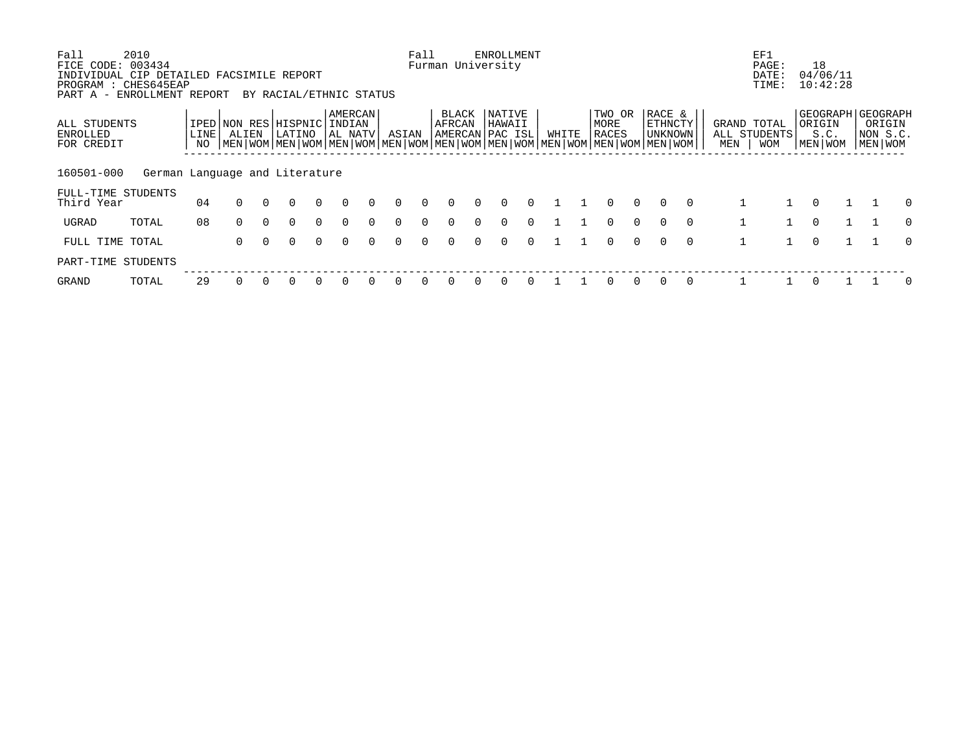| Fall                                               | 2010                           |      |              |          |                                                                                                           |          |                   |          |          | Fall     |                               |        | ENROLLMENT              |          |       |                |          |                          |          |     | EF1          |                                 |          |          |
|----------------------------------------------------|--------------------------------|------|--------------|----------|-----------------------------------------------------------------------------------------------------------|----------|-------------------|----------|----------|----------|-------------------------------|--------|-------------------------|----------|-------|----------------|----------|--------------------------|----------|-----|--------------|---------------------------------|----------|----------|
| FICE CODE: 003434                                  |                                |      |              |          |                                                                                                           |          |                   |          |          |          | Furman University             |        |                         |          |       |                |          |                          |          |     | PAGE:        | 18                              |          |          |
| INDIVIDUAL CIP DETAILED FACSIMILE REPORT           |                                |      |              |          |                                                                                                           |          |                   |          |          |          |                               |        |                         |          |       |                |          |                          |          |     | DATE:        | 04/06/11                        |          |          |
| PROGRAM : CHES645EAP<br>PART A - ENROLLMENT REPORT |                                |      |              |          | BY RACIAL/ETHNIC STATUS                                                                                   |          |                   |          |          |          |                               |        |                         |          |       |                |          |                          |          |     | TIME:        | 10:42:28                        |          |          |
|                                                    |                                |      |              |          |                                                                                                           |          |                   |          |          |          |                               |        |                         |          |       |                |          |                          |          |     |              |                                 |          |          |
| ALL STUDENTS                                       |                                |      | IPED NON RES |          | HISPNIC                                                                                                   |          | AMERCAN<br>INDIAN |          |          |          | <b>BLACK</b><br><b>AFRCAN</b> |        | <b>NATIVE</b><br>HAWAII |          |       | TWO OR<br>MORE |          | RACE &<br><b>ETHNCTY</b> |          |     | GRAND TOTAL  | GEOGRAPH   GEOGRAPH<br>  ORIGIN | ORIGIN   |          |
| ENROLLED                                           |                                | LINE | ALIEN        |          | LATINO                                                                                                    |          | AL NATV           |          | ASIAN    |          | AMERCAN PAC ISL               |        |                         |          | WHITE | RACES          |          | UNKNOWN                  |          |     | ALL STUDENTS | S.C.                            | NON S.C. |          |
| FOR CREDIT                                         |                                | NO.  |              |          | MEN   WOM   MEN   WOM   MEN   WOM   MEN   WOM   MEN   WOM   MEN   WOM   MEN   WOM   MEN   WOM   MEN   WOM |          |                   |          |          |          |                               |        |                         |          |       |                |          |                          |          | MEN | <b>WOM</b>   | MEN   WOM                       | MEN WOM  |          |
|                                                    |                                |      |              |          |                                                                                                           |          |                   |          |          |          |                               |        |                         |          |       |                |          |                          |          |     |              |                                 |          |          |
| 160501-000                                         | German Language and Literature |      |              |          |                                                                                                           |          |                   |          |          |          |                               |        |                         |          |       |                |          |                          |          |     |              |                                 |          |          |
| FULL-TIME STUDENTS                                 |                                |      |              |          |                                                                                                           |          |                   |          |          |          |                               |        |                         |          |       |                |          |                          |          |     |              |                                 |          |          |
| Third Year                                         |                                | 04   | $\Omega$     | $\Omega$ | $\Omega$                                                                                                  | $\Omega$ | $\Omega$          | $\cap$   | $\Omega$ | $\Omega$ | $\Omega$                      | $\cap$ | $\Omega$                | $\Omega$ |       | $\Omega$       | $\Omega$ | $\Omega$                 | $\Omega$ |     |              | $\Omega$                        |          | $\Omega$ |
|                                                    |                                |      |              |          |                                                                                                           |          |                   |          |          |          |                               |        |                         |          |       |                |          |                          |          |     |              |                                 |          |          |
| UGRAD                                              | TOTAL                          | 08   | $\Omega$     | $\Omega$ | $\Omega$                                                                                                  | $\Omega$ | $\Omega$          | $\Omega$ | $\Omega$ | $\Omega$ | 0                             | $\cap$ | $\Omega$                | $\Omega$ |       | $\Omega$       | $\Omega$ | $\Omega$                 | $\Omega$ |     |              | $\Omega$                        |          | $\Omega$ |
| FULL TIME TOTAL                                    |                                |      | $\Omega$     | $\Omega$ | $\Omega$                                                                                                  | $\Omega$ | $\Omega$          | $\cap$   | $\Omega$ | $\cap$   | $\cap$                        | $\cap$ | $\Omega$                | $\cap$   |       | $\Omega$       | $\cap$   | $\Omega$                 | $\Omega$ |     |              | $\Omega$                        |          | $\Omega$ |
| PART-TIME STUDENTS                                 |                                |      |              |          |                                                                                                           |          |                   |          |          |          |                               |        |                         |          |       |                |          |                          |          |     |              |                                 |          |          |
| <b>GRAND</b>                                       | TOTAL                          | 29   |              |          |                                                                                                           |          |                   |          |          |          |                               |        |                         |          |       |                | $\Omega$ |                          | $\Omega$ |     |              | 0                               |          |          |
|                                                    |                                |      |              |          |                                                                                                           |          |                   |          |          |          |                               |        |                         |          |       |                |          |                          |          |     |              |                                 |          |          |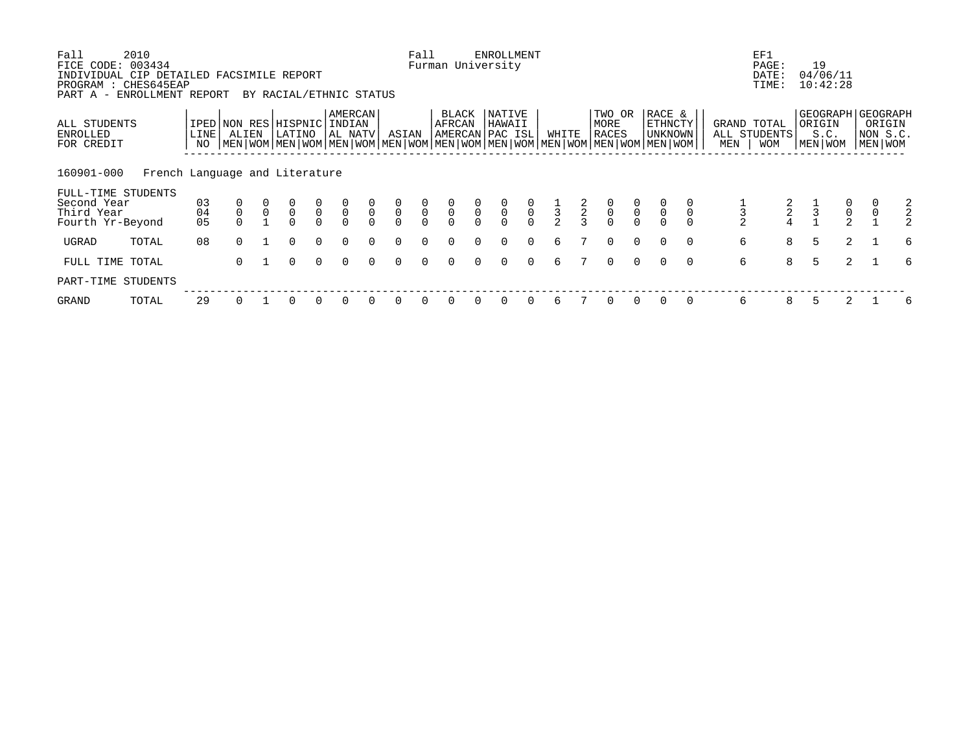| Fall<br>FICE CODE:<br>INDIVIDUAL CIP DETAILED FACSIMILE REPORT | 2010<br>003434                 |                   |                |                |                                       |               |                    |               |                | Fall          |                 |               | <b>ENROLLMENT</b><br>Furman University |                                           |               |               |                                           |                                           |                                                                                                                                             |     | EF1<br>PAGE:<br>DATE:                     |   | 19<br>04/06/11                                   |                                      |                               |   |
|----------------------------------------------------------------|--------------------------------|-------------------|----------------|----------------|---------------------------------------|---------------|--------------------|---------------|----------------|---------------|-----------------|---------------|----------------------------------------|-------------------------------------------|---------------|---------------|-------------------------------------------|-------------------------------------------|---------------------------------------------------------------------------------------------------------------------------------------------|-----|-------------------------------------------|---|--------------------------------------------------|--------------------------------------|-------------------------------|---|
| PROGRAM : CHES645EAP<br>PART A - ENROLLMENT REPORT             |                                |                   |                |                | BY RACIAL/ETHNIC STATUS               |               |                    |               |                |               |                 |               |                                        |                                           |               |               |                                           |                                           |                                                                                                                                             |     | TIME:                                     |   | 10:42:28                                         |                                      |                               |   |
| ALL STUDENTS<br>ENROLLED<br>FOR CREDIT                         |                                | <b>LINE</b><br>NO | ALIEN          |                | IPED NON RES HISPNIC INDIAN<br>LATINO |               | AMERCAN<br>AL NATV |               | ASIAN          |               | BLACK<br>AFRCAN |               | NATIVE<br>HAWAII<br>AMERCAN PAC ISL    |                                           | WHITE         |               | TWO OR<br>MORE<br>RACES                   |                                           | RACE &<br>ETHNCTY<br>UNKNOWN<br>  MEN   WOM   MEN   WOM   MEN   WOM   MEN   WOM   MEN   WOM   MEN   WOM   MEN   WOM   MEN   WOM   MEN   WOM | MEN | GRAND TOTAL<br>ALL STUDENTS<br><b>WOM</b> |   | GEOGRAPH   GEOGRAPH<br>ORIGIN<br>S.C.<br>MEN WOM |                                      | ORIGIN<br>NON S.C.<br>MEN WOM |   |
| 160901-000                                                     | French Language and Literature |                   |                |                |                                       |               |                    |               |                |               |                 |               |                                        |                                           |               |               |                                           |                                           |                                                                                                                                             |     |                                           |   |                                                  |                                      |                               |   |
| FULL-TIME STUDENTS<br>Second Year<br>Third Year                |                                | 03<br>04          | $\overline{0}$ | $\overline{0}$ | $\frac{0}{0}$                         | $\frac{0}{0}$ | $\frac{0}{0}$      | $\frac{0}{0}$ | $\overline{0}$ | $\frac{0}{0}$ | $\overline{0}$  | $\frac{0}{0}$ | $\overline{0}$                         | $\begin{matrix} 0 \\ 0 \\ 0 \end{matrix}$ | $\frac{1}{3}$ | $\frac{2}{3}$ | $\begin{matrix} 0 \\ 0 \\ 0 \end{matrix}$ | $\begin{matrix} 0 \\ 0 \\ 0 \end{matrix}$ | $\overline{0}$<br>$\mathbf 0$                                                                                                               |     | $\frac{2}{4}$                             |   | $\frac{1}{3}$                                    | $\begin{matrix} 0 \\ 0 \end{matrix}$ | $\frac{0}{0}$                 |   |
| Fourth Yr-Beyond                                               |                                | 05                |                |                | $\Omega$                              | $\Omega$      |                    | $\cap$        | $\Omega$       | $\Omega$      |                 |               | $\cap$                                 |                                           |               |               |                                           |                                           |                                                                                                                                             |     |                                           |   |                                                  | $\overline{a}$                       |                               |   |
| UGRAD                                                          | TOTAL                          | 08                | $\cap$         |                | $\Omega$                              | $\Omega$      | $\Omega$           | $\cap$        | $\Omega$       | $\Omega$      | $\Omega$        | $\cap$        | $\Omega$                               | $\Omega$                                  | 6             |               | $\Omega$                                  | $\Omega$                                  | $\cap$<br>$\Omega$                                                                                                                          |     | 6                                         | 8 | 5                                                | 2                                    |                               | 6 |
| FULL TIME                                                      | TOTAL                          |                   | $\Omega$       |                | $\Omega$                              | $\Omega$      | $\Omega$           | $\Omega$      | $\Omega$       | $\Omega$      | $\Omega$        | $\Omega$      | $\Omega$                               | $\Omega$                                  | 6             |               | $\Omega$                                  | $\Omega$                                  | $\Omega$<br>$\Omega$                                                                                                                        |     | 6<br>8                                    |   | 5                                                | $\overline{2}$                       |                               | 6 |
| PART-TIME STUDENTS                                             |                                |                   |                |                |                                       |               |                    |               |                |               |                 |               |                                        |                                           |               |               |                                           |                                           |                                                                                                                                             |     |                                           |   |                                                  |                                      |                               |   |
| GRAND                                                          | TOTAL                          | 29                |                |                |                                       |               |                    |               |                |               |                 |               |                                        |                                           | 6             |               |                                           |                                           |                                                                                                                                             |     | 6<br>8                                    |   |                                                  |                                      |                               | 6 |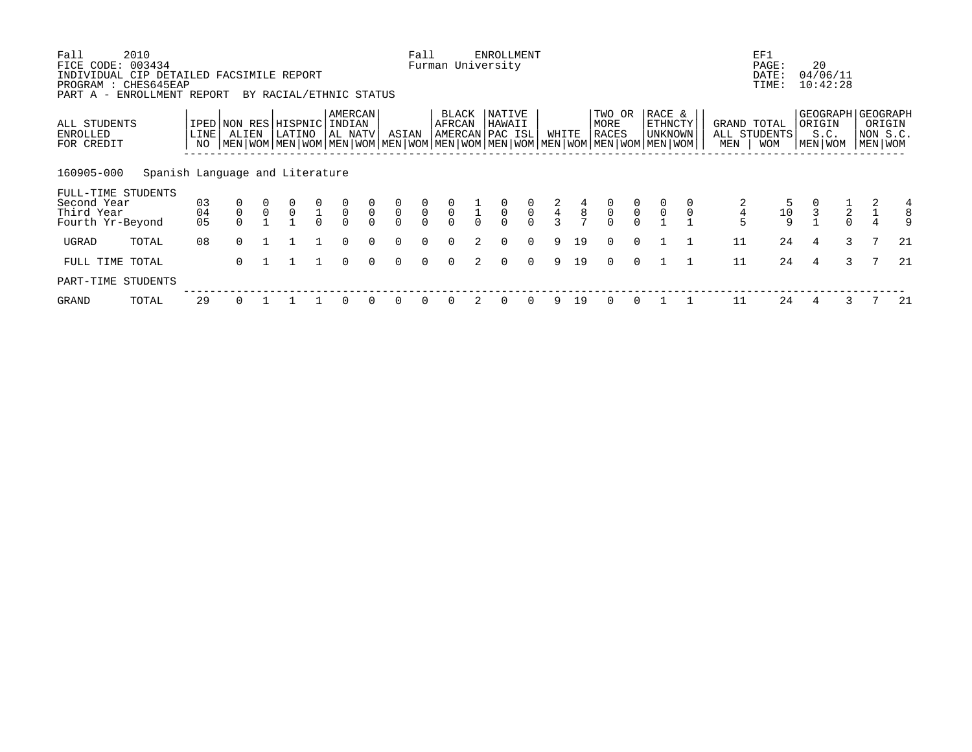| Fall<br>FICE CODE: 003434<br>INDIVIDUAL CIP DETAILED FACSIMILE REPORT | 2010                            |                |             |              |                                                                                                                                                      |               |                                      |                            |                           | Fall                                      |                                           |               | <b>ENROLLMENT</b><br>Furman University    |                                           |               |                                            |                                           |                                           |                              |             |                    | EF1<br>PAGE:<br>DATE:      | 20                | 04/06/11                |                                                      |
|-----------------------------------------------------------------------|---------------------------------|----------------|-------------|--------------|------------------------------------------------------------------------------------------------------------------------------------------------------|---------------|--------------------------------------|----------------------------|---------------------------|-------------------------------------------|-------------------------------------------|---------------|-------------------------------------------|-------------------------------------------|---------------|--------------------------------------------|-------------------------------------------|-------------------------------------------|------------------------------|-------------|--------------------|----------------------------|-------------------|-------------------------|------------------------------------------------------|
| PROGRAM : CHES645EAP<br>PART A - ENROLLMENT REPORT                    |                                 |                |             |              | BY RACIAL/ETHNIC STATUS                                                                                                                              |               |                                      |                            |                           |                                           |                                           |               |                                           |                                           |               |                                            |                                           |                                           |                              |             |                    | TIME:                      |                   | 10:42:28                |                                                      |
| ALL STUDENTS<br>ENROLLED<br>FOR CREDIT                                |                                 | LINE<br>NO     | ALIEN       |              | IPED NON RES HISPNIC INDIAN<br>LATINO<br>  MEN   WOM   MEN   WOM   MEN   WOM   MEN   WOM   MEN   WOM   MEN   WOM   MEN   WOM   MEN   WOM   MEN   WOM |               | AMERCAN<br>AL NATV                   |                            | ASIAN                     |                                           | BLACK<br>AFRCAN                           |               | NATIVE<br>HAWAII<br>AMERCAN PAC ISL       |                                           | WHITE         |                                            | TWO OR<br>MORE<br>RACES                   |                                           | RACE &<br>ETHNCTY<br>UNKNOWN |             | GRAND TOTAL<br>MEN | ALL STUDENTS<br><b>WOM</b> | ORIGIN<br>MEN WOM | S.C.                    | GEOGRAPH   GEOGRAPH<br>ORIGIN<br>NON S.C.<br>MEN WOM |
| 160905-000                                                            | Spanish Language and Literature |                |             |              |                                                                                                                                                      |               |                                      |                            |                           |                                           |                                           |               |                                           |                                           |               |                                            |                                           |                                           |                              |             |                    |                            |                   |                         |                                                      |
| FULL-TIME STUDENTS<br>Second Year<br>Third Year<br>Fourth Yr-Beyond   |                                 | 03<br>04<br>05 | $\mathsf 0$ | $\mathsf{O}$ | $\mathbf 0$                                                                                                                                          | $\frac{1}{0}$ | $\begin{matrix} 0 \\ 0 \end{matrix}$ | $\overline{0}$<br>$\Omega$ | $\frac{0}{0}$<br>$\Omega$ | $\begin{matrix} 0 \\ 0 \\ 0 \end{matrix}$ | $\begin{matrix} 0 \\ 0 \\ 0 \end{matrix}$ | $\frac{1}{0}$ | $\begin{matrix} 0 \\ 0 \\ 0 \end{matrix}$ | $\begin{matrix} 0 \\ 0 \\ 0 \end{matrix}$ | $\frac{2}{3}$ | $\begin{array}{c} 4 \\ 8 \\ 7 \end{array}$ | $\begin{matrix} 0 \\ 0 \\ 0 \end{matrix}$ | $\begin{matrix} 0 \\ 0 \\ 0 \end{matrix}$ | $\overline{0}$               | $\mathbf 0$ | 5                  | 10<br>$\mathsf{Q}$         | 3                 | $\frac{1}{2}$<br>$\cap$ | 4                                                    |
| UGRAD                                                                 | TOTAL                           | 08             | $\cap$      |              |                                                                                                                                                      |               | $\Omega$                             | $\cap$                     | $\Omega$                  | $\Omega$                                  | $\Omega$                                  |               | $\Omega$                                  | $\Omega$                                  | 9             | 19                                         | $\Omega$                                  | $\Omega$                                  |                              |             | 11                 | 24                         | 4                 | 3                       | 21                                                   |
| FULL TIME TOTAL                                                       |                                 |                | $\Omega$    |              |                                                                                                                                                      |               | $\Omega$                             | $\Omega$                   | 0                         | $\Omega$                                  | $\Omega$                                  | 2             | 0                                         | $\mathbf{0}$                              | 9             | 19                                         | $\Omega$                                  | $\Omega$                                  |                              |             | 11                 | 24                         | 4                 | 3                       | 21                                                   |
| PART-TIME STUDENTS                                                    |                                 |                |             |              |                                                                                                                                                      |               |                                      |                            |                           |                                           |                                           |               |                                           |                                           |               |                                            |                                           |                                           |                              |             |                    |                            |                   |                         |                                                      |
| GRAND                                                                 | TOTAL                           | 29             |             |              |                                                                                                                                                      |               | $\Omega$                             |                            | 0                         |                                           |                                           |               | 0                                         | 0                                         | 9             | 19                                         |                                           |                                           |                              |             | 11                 | 24                         |                   |                         | 21                                                   |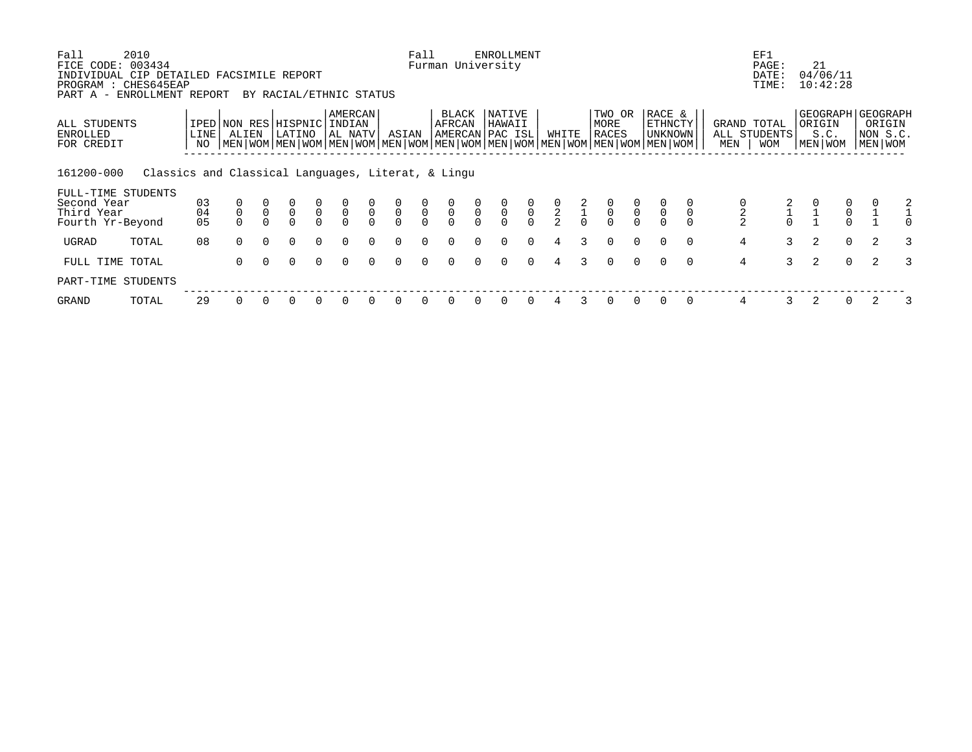| Fall<br>FICE CODE:                                                                             | 2010<br>003434                                     |             |                                      |        |                         |                                      |                    |                |               | Fall           |                                           |               | <b>ENROLLMENT</b><br>Furman University |                                           |                |               |                                                                                                                                        |                |                                       |          |                | EF1<br>PAGE:                              |   | 21                                             |               |                                   |   |
|------------------------------------------------------------------------------------------------|----------------------------------------------------|-------------|--------------------------------------|--------|-------------------------|--------------------------------------|--------------------|----------------|---------------|----------------|-------------------------------------------|---------------|----------------------------------------|-------------------------------------------|----------------|---------------|----------------------------------------------------------------------------------------------------------------------------------------|----------------|---------------------------------------|----------|----------------|-------------------------------------------|---|------------------------------------------------|---------------|-----------------------------------|---|
| INDIVIDUAL CIP DETAILED FACSIMILE REPORT<br>PROGRAM : CHES645EAP<br>PART A - ENROLLMENT REPORT |                                                    |             |                                      |        | BY RACIAL/ETHNIC STATUS |                                      |                    |                |               |                |                                           |               |                                        |                                           |                |               |                                                                                                                                        |                |                                       |          |                | DATE:<br>TIME:                            |   | 04/06/11<br>10:42:28                           |               |                                   |   |
| ALL STUDENTS<br>ENROLLED<br>FOR CREDIT                                                         |                                                    | LINE <br>NO | IPED NON RES HISPNIC INDIAN<br>ALIEN |        | LATINO                  |                                      | AMERCAN<br>AL NATV |                | ASIAN         |                | BLACK<br>AFRCAN                           |               | NATIVE<br>HAWAII<br>AMERCAN PAC ISL    |                                           | WHITE          |               | TWO OR<br>MORE<br>RACES<br>  MEN   WOM   MEN   WOM   MEN   WOM   MEN   WOM   MEN   WOM   MEN   WOM   MEN   WOM   MEN   WOM   MEN   WOM |                | RACE &<br><b>ETHNCTY</b><br>  UNKNOWN |          | MEN            | GRAND TOTAL<br>ALL STUDENTS<br><b>WOM</b> |   | GEOGRAPH GEOGRAPH<br>ORIGIN<br>S.C.<br>MEN WOM |               | ORIGIN<br>NON S.C.<br>  MEN   WOM |   |
| 161200-000<br>FULL-TIME STUDENTS                                                               | Classics and Classical Languages, Literat, & Lingu |             |                                      |        |                         |                                      |                    |                |               |                |                                           |               |                                        |                                           |                |               |                                                                                                                                        |                |                                       |          |                |                                           |   |                                                |               |                                   |   |
| Second Year                                                                                    |                                                    | 03          |                                      |        | $\overline{0}$          | $\begin{matrix} 0 \\ 0 \end{matrix}$ | $\overline{0}$     | $\int_{0}^{0}$ | $\frac{0}{0}$ | $\overline{0}$ |                                           | $\frac{0}{0}$ | $\overline{0}$                         |                                           |                | $\frac{2}{1}$ | $\overline{0}$                                                                                                                         | $\overline{0}$ |                                       |          |                |                                           |   |                                                | $\frac{0}{0}$ |                                   |   |
| Third Year<br>Fourth Yr-Beyond                                                                 |                                                    | 04<br>05    |                                      |        |                         | $\Omega$                             |                    |                | $\Omega$      | $\Omega$       | $\begin{matrix} 0 \\ 0 \\ 0 \end{matrix}$ |               |                                        | $\begin{matrix} 0 \\ 0 \\ 0 \end{matrix}$ | $\frac{0}{2}$  |               |                                                                                                                                        |                |                                       |          |                | $\Omega$                                  |   |                                                | $\Omega$      |                                   |   |
| UGRAD                                                                                          | TOTAL                                              | 08          | $\Omega$                             | $\cap$ | $\Omega$                | $\Omega$                             | $\cap$             | $\cap$         | $\Omega$      | $\Omega$       | $\Omega$                                  | <sup>n</sup>  | $\Omega$                               | $\Omega$                                  | $\overline{4}$ | $\mathcal{L}$ | $\Omega$                                                                                                                               | $\Omega$       | $\Omega$                              | $\Omega$ | $\overline{4}$ | $\mathcal{E}$                             |   | 2                                              | $\Omega$      | 2                                 | 3 |
| FULL TIME TOTAL                                                                                |                                                    |             | 0                                    |        | 0                       | $\Omega$                             | $\Omega$           | $\cap$         | $\Omega$      | $\Omega$       | $\Omega$                                  | $\Omega$      | $\Omega$                               | $\Omega$                                  | 4              |               | $\Omega$                                                                                                                               | $\Omega$       | $\Omega$                              | $\Omega$ | $\overline{4}$ | 3                                         |   | 2                                              | $\Omega$      | 2                                 |   |
| PART-TIME STUDENTS                                                                             |                                                    |             |                                      |        |                         |                                      |                    |                |               |                |                                           |               |                                        |                                           |                |               |                                                                                                                                        |                |                                       |          |                |                                           |   |                                                |               |                                   |   |
| GRAND                                                                                          | TOTAL                                              | 29          |                                      |        |                         |                                      |                    |                |               |                |                                           |               |                                        |                                           |                |               |                                                                                                                                        |                |                                       |          | 4              |                                           | 3 | 2                                              | $\Omega$      | 2                                 |   |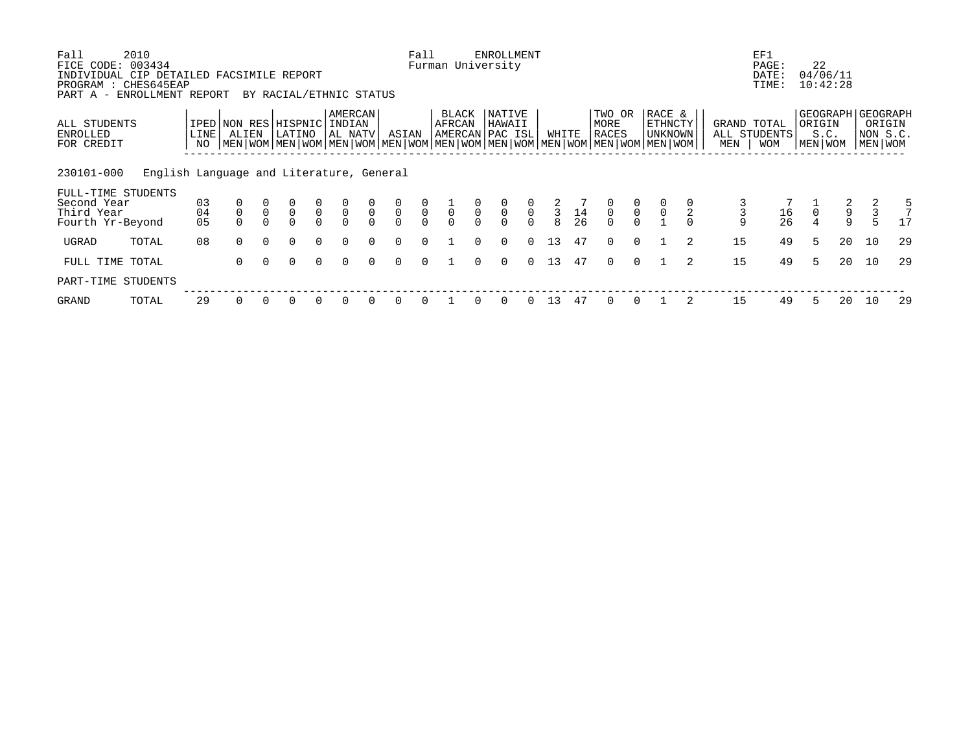| Fall<br>FICE CODE:                                                                             | 2010<br>003434                           |                   |                                      |             |                                      |               |                    |                |               | Fall          |                 |                | <b>ENROLLMENT</b><br>Furman University |                                                |              |                                         |                         |                |                                                                                                                                             |     | EF1<br>PAGE:                              | 22                |                      |                                            |        |
|------------------------------------------------------------------------------------------------|------------------------------------------|-------------------|--------------------------------------|-------------|--------------------------------------|---------------|--------------------|----------------|---------------|---------------|-----------------|----------------|----------------------------------------|------------------------------------------------|--------------|-----------------------------------------|-------------------------|----------------|---------------------------------------------------------------------------------------------------------------------------------------------|-----|-------------------------------------------|-------------------|----------------------|--------------------------------------------|--------|
| INDIVIDUAL CIP DETAILED FACSIMILE REPORT<br>PROGRAM : CHES645EAP<br>PART A - ENROLLMENT REPORT |                                          |                   |                                      |             | BY RACIAL/ETHNIC STATUS              |               |                    |                |               |               |                 |                |                                        |                                                |              |                                         |                         |                |                                                                                                                                             |     | DATE:<br>TIME:                            |                   | 04/06/11<br>10:42:28 |                                            |        |
| ALL STUDENTS<br>ENROLLED<br>FOR CREDIT                                                         |                                          | <b>LINE</b><br>NO | IPED NON RES HISPNIC INDIAN<br>ALIEN |             | LATINO                               |               | AMERCAN<br>AL NATV |                | ASIAN         |               | BLACK<br>AFRCAN |                | NATIVE<br>HAWAII<br>AMERCAN PAC ISL    |                                                | WHITE        |                                         | TWO OR<br>MORE<br>RACES |                | RACE &<br>ETHNCTY<br>UNKNOWN<br>  MEN   WOM   MEN   WOM   MEN   WOM   MEN   WOM   MEN   WOM   MEN   WOM   MEN   WOM   MEN   WOM   MEN   WOM | MEN | GRAND TOTAL<br>ALL STUDENTS<br><b>WOM</b> | ORIGIN<br>MEN WOM | S.C.                 | GEOGRAPH   GEOGRAPH<br>NON S.C.<br>MEN WOM | ORIGIN |
| 230101-000                                                                                     | English Language and Literature, General |                   |                                      |             |                                      |               |                    |                |               |               |                 |                |                                        |                                                |              |                                         |                         |                |                                                                                                                                             |     |                                           |                   |                      |                                            |        |
| FULL-TIME STUDENTS<br>Second Year<br>Third Year                                                |                                          | 03<br>04          | $\mathsf 0$                          | $\mathbf 0$ | $\begin{matrix} 0 \\ 0 \end{matrix}$ | $\frac{0}{0}$ | $\overline{0}$     | $\overline{0}$ | $\frac{0}{0}$ | $\frac{0}{0}$ | $\overline{0}$  | $\overline{0}$ | $\overline{0}$                         | $\begin{smallmatrix} 0 \\ 0 \end{smallmatrix}$ | $rac{2}{3}$  | $\begin{array}{c} 14 \\ 26 \end{array}$ | $\frac{0}{0}$           | $\overline{0}$ |                                                                                                                                             | 3   | 16                                        | $\overline{0}$    | $\frac{2}{9}$        | $\frac{2}{3}$                              | 5      |
| Fourth Yr-Beyond                                                                               |                                          | 05                |                                      |             |                                      | $\Omega$      |                    | $\cap$         | $\Omega$      | $\Omega$      |                 |                |                                        | $\Omega$                                       | $\mathsf{R}$ |                                         | $\cap$                  | $\cap$         |                                                                                                                                             | 9   | 26                                        |                   | $\mathsf{Q}$         | $\overline{5}$                             |        |
| UGRAD                                                                                          | TOTAL                                    | 08                | $\Omega$                             | $\cap$      | $\Omega$                             | $\Omega$      | $\Omega$           | $\cap$         | $\Omega$      | $\Omega$      |                 | $\cap$         | $\Omega$                               | $\Omega$                                       | 13           | 47                                      | $\Omega$                | $\Omega$       | $\overline{2}$                                                                                                                              | 15  | 49                                        | 5                 | 20                   | 10                                         | 29     |
| FULL TIME                                                                                      | TOTAL                                    |                   | 0                                    | $\Omega$    | $\Omega$                             | $\Omega$      | $\Omega$           | $\Omega$       | $\Omega$      | $\Omega$      |                 | $\Omega$       | $\Omega$                               | $\Omega$                                       | 13           | 47                                      | $\Omega$                | $\Omega$       | 2                                                                                                                                           | 15  | 49                                        | 5                 | 20                   | 10                                         | 29     |
| PART-TIME STUDENTS                                                                             |                                          |                   |                                      |             |                                      |               |                    |                |               |               |                 |                |                                        |                                                |              |                                         |                         |                |                                                                                                                                             |     |                                           |                   |                      |                                            |        |
| GRAND                                                                                          | TOTAL                                    | 29                |                                      |             |                                      |               |                    |                |               |               |                 |                |                                        |                                                | 13           | 47                                      |                         |                |                                                                                                                                             | 15  | 49                                        |                   | 20                   | 10                                         | 29     |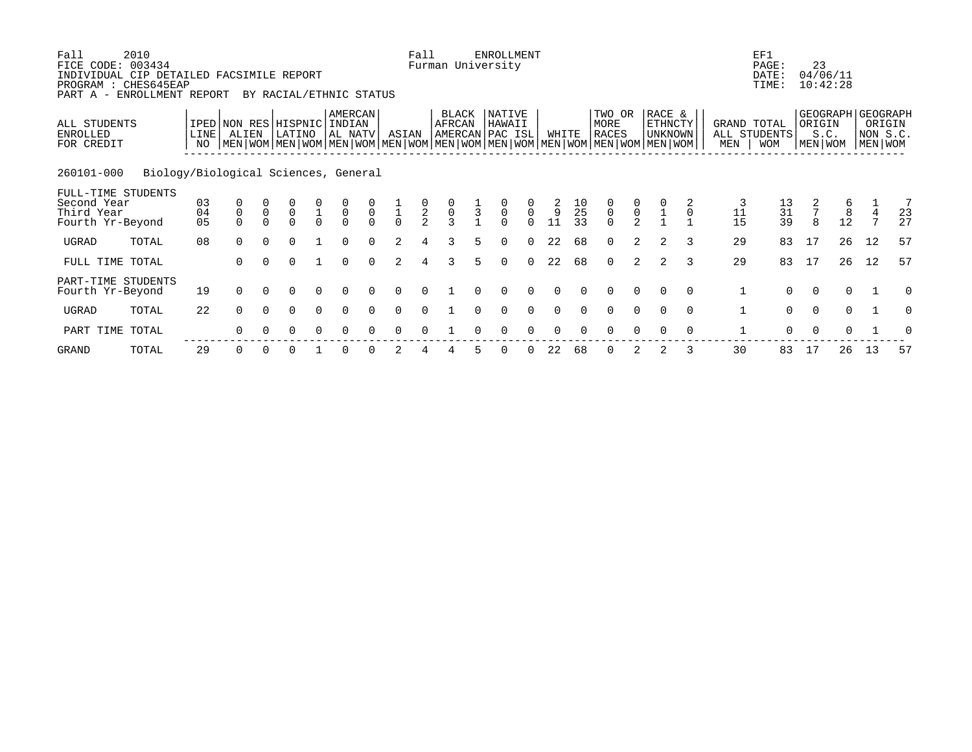| Fall<br>FICE CODE: 003434<br>INDIVIDUAL CIP DETAILED FACSIMILE REPORT<br>PROGRAM : CHES645EAP<br>PART A - ENROLLMENT REPORT | 2010                                 |                |                                                                                                                                      |              |                       |                                      | BY RACIAL/ETHNIC STATUS          |                       |                                      | Fall          |                 |               | <b>ENROLLMENT</b><br>Furman University |                                                  |          |                |                                           |                                           |                                            |          |              | EF1<br>PAGE:<br>DATE:<br>TIME:                | 23                              | 04/06/11<br>10:42:28 |                                  |                                                    |
|-----------------------------------------------------------------------------------------------------------------------------|--------------------------------------|----------------|--------------------------------------------------------------------------------------------------------------------------------------|--------------|-----------------------|--------------------------------------|----------------------------------|-----------------------|--------------------------------------|---------------|-----------------|---------------|----------------------------------------|--------------------------------------------------|----------|----------------|-------------------------------------------|-------------------------------------------|--------------------------------------------|----------|--------------|-----------------------------------------------|---------------------------------|----------------------|----------------------------------|----------------------------------------------------|
| ALL STUDENTS<br><b>ENROLLED</b><br>FOR CREDIT                                                                               |                                      | LINE<br>NO.    | IPED NON RES<br>ALIEN<br>  MEN   WOM   MEN   WOM   MEN   WOM   MEN   WOM   MEN   WOM   MEN   WOM   MEN   WOM   MEN   WOM   MEN   WOM |              | HISPNIC<br>LATINO     |                                      | AMERCAN<br>INDIAN<br> AL NATV    |                       | ASIAN                                |               | BLACK<br>AFRCAN |               | NATIVE<br>HAWAII<br>AMERCAN PAC ISL    |                                                  | WHITE    |                | TWO OR<br>MORE<br><b>RACES</b>            |                                           | RACE &<br><b>ETHNCTY</b><br><b>UNKNOWN</b> |          | MEN          | GRAND TOTAL<br>ALL STUDENTS<br><b>WOM</b>     | ORIGIN                          | S.C.<br>MEN WOM      |                                  | GEOGRAPH GEOGRAPH<br>ORIGIN<br>NON S.C.<br>MEN WOM |
| 260101-000                                                                                                                  | Biology/Biological Sciences, General |                |                                                                                                                                      |              |                       |                                      |                                  |                       |                                      |               |                 |               |                                        |                                                  |          |                |                                           |                                           |                                            |          |              |                                               |                                 |                      |                                  |                                                    |
| FULL-TIME STUDENTS<br>Second Year<br>Third Year<br>Fourth Yr-Beyond                                                         |                                      | 03<br>04<br>05 | 0<br>$\mathsf 0$<br>$\Omega$                                                                                                         | $\mathsf{O}$ | $\mathsf 0$<br>$\cap$ | $\begin{matrix} 1 \\ 0 \end{matrix}$ | $\begin{matrix}0\\0\end{matrix}$ | $\mathsf 0$<br>$\cap$ | $\begin{matrix} 1 \\ 0 \end{matrix}$ | $\frac{0}{2}$ | $\frac{0}{3}$   | $\frac{1}{3}$ | $\mathsf 0$<br>$\Omega$                | $\begin{matrix} 0 \\ 0 \end{matrix}$<br>$\Omega$ | 9<br>11  | 10<br>25<br>33 | $\begin{matrix} 0 \\ 0 \\ 0 \end{matrix}$ | $\begin{matrix} 0 \\ 0 \\ 2 \end{matrix}$ |                                            |          | 11<br>15     | $\begin{array}{c} 13 \\ 31 \\ 39 \end{array}$ | $7\phantom{.0}$<br>$\mathsf{R}$ | 8<br>12              | $\overline{4}$<br>$\overline{ }$ | 7<br>23<br>27                                      |
| UGRAD                                                                                                                       | TOTAL                                | 08             | $\Omega$                                                                                                                             | $\Omega$     | $\Omega$              |                                      | $\Omega$                         | $\Omega$              | $\mathfrak{D}$                       | 4             | ζ               | 5.            | $\Omega$                               | $\Omega$                                         | 22       | 68             | $\Omega$                                  | 2                                         |                                            |          | 29           | 83                                            | 17                              | 26                   | 12                               | 57                                                 |
| FULL TIME TOTAL                                                                                                             |                                      |                | 0                                                                                                                                    |              | 0                     |                                      | $\Omega$                         | $\Omega$              | $\mathcal{L}$                        | 4             | 3               | 5.            | $\Omega$                               | $\Omega$                                         | 22       | 68             | $\Omega$                                  | 2                                         |                                            | 3        | 29           | 83                                            | 17                              | 26                   | 12                               | 57                                                 |
| PART-TIME STUDENTS<br>Fourth Yr-Beyond                                                                                      |                                      | 19             | <sup>n</sup>                                                                                                                         |              |                       |                                      |                                  |                       |                                      |               |                 |               |                                        | $\Omega$                                         | $\Omega$ |                | ∩                                         | 0                                         | $\Omega$                                   | $\Omega$ | 1            | $\Omega$                                      | $\Omega$                        | $\Omega$             |                                  |                                                    |
| UGRAD                                                                                                                       | TOTAL                                | 22             | $\Omega$                                                                                                                             | $\Omega$     | $\Omega$              | $\Omega$                             | $\Omega$                         | $\cap$                | $\Omega$                             | $\Omega$      |                 | $\Omega$      | $\Omega$                               | $\Omega$                                         | $\Omega$ | $\Omega$       | $\Omega$                                  | $\Omega$                                  | $\Omega$                                   | $\Omega$ | $\mathbf{1}$ | $\Omega$                                      | $\Omega$                        | $\Omega$             |                                  | $\Omega$                                           |
| PART TIME                                                                                                                   | TOTAL                                |                |                                                                                                                                      |              |                       |                                      |                                  |                       |                                      |               |                 |               |                                        |                                                  |          |                |                                           |                                           |                                            | $\Omega$ |              | $\Omega$                                      |                                 |                      |                                  |                                                    |
|                                                                                                                             |                                      |                |                                                                                                                                      |              |                       |                                      |                                  |                       |                                      |               |                 |               |                                        |                                                  |          |                |                                           |                                           |                                            |          |              |                                               |                                 |                      |                                  |                                                    |

GRAND TOTAL 29 0 0 0 1 0 0 2 4 4 5 0 0 22 68 0 2 2 3 30 83 17 26 13 57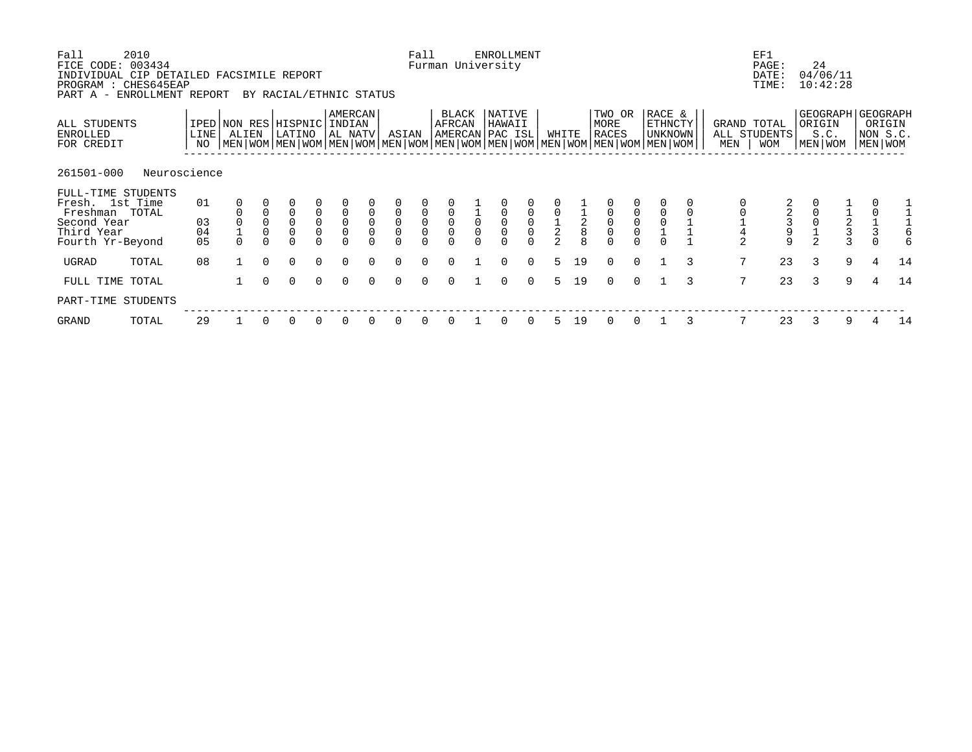| Fall<br>FICE CODE: 003434<br>INDIVIDUAL CIP DETAILED FACSIMILE REPORT<br>PROGRAM : CHES645EAP<br>PART A - ENROLLMENT REPORT | 2010         |                |                                                           |                                         | BY RACIAL/ETHNIC STATUS              |                                             |                                                       |                            |                                 | Fall                                      |                                           |                | <b>ENROLLMENT</b><br>Furman University |                                           |               |               |                                           |                                           |                                                                                                                                             |   |                    | EF1<br>PAGE:<br>DATE:<br>TIME:                    | 24                | 04/06/11<br>10:42:28 |               |                                                      |
|-----------------------------------------------------------------------------------------------------------------------------|--------------|----------------|-----------------------------------------------------------|-----------------------------------------|--------------------------------------|---------------------------------------------|-------------------------------------------------------|----------------------------|---------------------------------|-------------------------------------------|-------------------------------------------|----------------|----------------------------------------|-------------------------------------------|---------------|---------------|-------------------------------------------|-------------------------------------------|---------------------------------------------------------------------------------------------------------------------------------------------|---|--------------------|---------------------------------------------------|-------------------|----------------------|---------------|------------------------------------------------------|
| ALL STUDENTS<br>ENROLLED<br>FOR CREDIT                                                                                      |              | LINE<br>NO     | ALIEN                                                     |                                         | IPED NON RES HISPNIC<br>LATINO       |                                             | AMERCAN<br>INDIAN<br>AL NATV                          |                            | ASIAN                           |                                           | BLACK<br>AFRCAN                           |                | NATIVE<br>HAWAII<br>AMERCAN PAC ISL    |                                           | WHITE         |               | TWO OR<br>MORE<br>RACES                   |                                           | RACE &<br>ETHNCTY<br>UNKNOWN<br>  MEN   WOM   MEN   WOM   MEN   WOM   MEN   WOM   MEN   WOM   MEN   WOM   MEN   WOM   MEN   WOM   MEN   WOM |   | GRAND TOTAL<br>MEN | ALL STUDENTS<br><b>WOM</b>                        | ORIGIN<br>MEN WOM | S.C.                 |               | GEOGRAPH   GEOGRAPH<br>ORIGIN<br>NON S.C.<br>MEN WOM |
| 261501-000                                                                                                                  | Neuroscience |                |                                                           |                                         |                                      |                                             |                                                       |                            |                                 |                                           |                                           |                |                                        |                                           |               |               |                                           |                                           |                                                                                                                                             |   |                    |                                                   |                   |                      |               |                                                      |
| FULL-TIME STUDENTS<br>Fresh. 1st Time<br>Freshman TOTAL                                                                     |              | 01             |                                                           |                                         | 0                                    | $\begin{bmatrix} 0 \\ 0 \\ 0 \end{bmatrix}$ |                                                       | $\mathbf 0$                | $\mathsf{O}\xspace$             |                                           |                                           | $\overline{0}$ |                                        |                                           |               |               |                                           |                                           |                                                                                                                                             |   |                    |                                                   |                   |                      |               |                                                      |
| Second Year<br>Third Year<br>Fourth Yr-Beyond                                                                               |              | 03<br>04<br>05 | $\begin{smallmatrix} 0\\ 1 \end{smallmatrix}$<br>$\Omega$ | $\mathsf{O}$<br>$\mathsf 0$<br>$\Omega$ | $\mathsf{O}\xspace$<br>0<br>$\Omega$ | $\Omega$                                    | $\begin{matrix} 0 \\ 0 \\ 0 \end{matrix}$<br>$\Omega$ | $\mathsf 0$<br>$\mathsf 0$ | $\overline{0}$<br>0<br>$\Omega$ | $\begin{matrix} 0 \\ 0 \\ 0 \end{matrix}$ | $\begin{matrix} 0 \\ 0 \\ 0 \end{matrix}$ | $\mathbf 0$    | $\mathsf{O}\xspace$                    | $\begin{matrix} 0 \\ 0 \\ 0 \end{matrix}$ | $\frac{1}{2}$ | $\frac{1}{2}$ | $\begin{matrix} 0 \\ 0 \\ 0 \end{matrix}$ | $\begin{matrix} 0 \\ 0 \\ 0 \end{matrix}$ | $\frac{0}{1}$                                                                                                                               |   |                    | $\begin{array}{c}\n2 \\ 3 \\ 9 \\ 9\n\end{array}$ |                   | $\frac{1}{2}$        | $\frac{1}{3}$ |                                                      |
| UGRAD                                                                                                                       | TOTAL        | 08             |                                                           | $\Omega$                                | $\Omega$                             | $\Omega$                                    | $\Omega$                                              | $\Omega$                   | $\Omega$                        | $\Omega$                                  | $\Omega$                                  |                | $\Omega$                               | $\Omega$                                  | 5             | 19            | $\Omega$                                  | $\Omega$                                  |                                                                                                                                             | 3 | 7                  | 23                                                | 3                 | 9                    | 4             | 14                                                   |
| FULL TIME TOTAL                                                                                                             |              |                |                                                           | $\cap$                                  | $\Omega$                             | $\Omega$                                    | $\Omega$                                              | $\Omega$                   | $\Omega$                        | $\Omega$                                  | $\Omega$                                  |                | $\Omega$                               | $\Omega$                                  |               | 19            | $\Omega$                                  | $\Omega$                                  |                                                                                                                                             | 3 | 7                  | 23                                                | 3                 | 9                    |               | 14                                                   |
| PART-TIME STUDENTS                                                                                                          |              |                |                                                           |                                         |                                      |                                             |                                                       |                            |                                 |                                           |                                           |                |                                        |                                           |               |               |                                           |                                           |                                                                                                                                             |   |                    |                                                   |                   |                      |               |                                                      |
| GRAND                                                                                                                       | TOTAL        | 29             |                                                           |                                         |                                      |                                             | 0                                                     |                            | 0                               |                                           |                                           |                | 0                                      | 0                                         |               | 19            | $\Omega$                                  |                                           |                                                                                                                                             |   |                    | 23                                                | 3                 | 9                    |               | 14                                                   |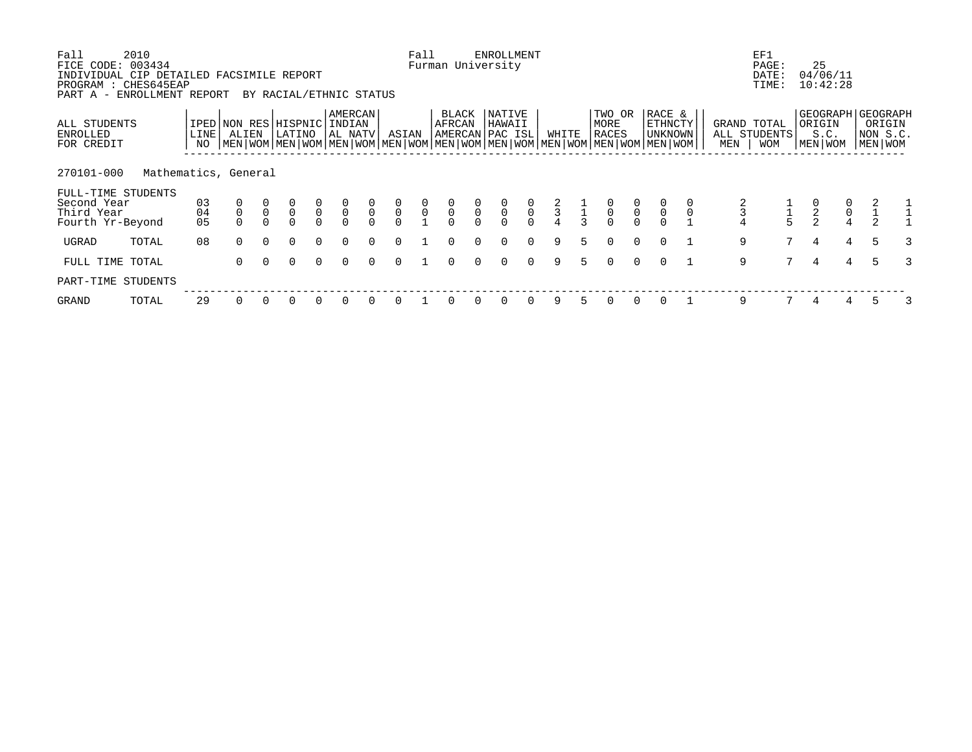| Fall<br>FICE CODE: 003434<br>INDIVIDUAL CIP DETAILED FACSIMILE REPORT<br>PROGRAM : CHES645EAP<br>PART A - ENROLLMENT REPORT | 2010                 |                |             |                | BY RACIAL/ETHNIC STATUS               |                                           |                                           |                            |                                           | Fall                                      | Furman University                         |               | <b>ENROLLMENT</b>         |                                           |               |               |                                           |                                           |                                                                                                                                             |     | EF1<br>PAGE:<br>DATE:<br>TIME:            |                | 25<br>04/06/11<br>10:42:28                       |                                      |                               |  |
|-----------------------------------------------------------------------------------------------------------------------------|----------------------|----------------|-------------|----------------|---------------------------------------|-------------------------------------------|-------------------------------------------|----------------------------|-------------------------------------------|-------------------------------------------|-------------------------------------------|---------------|---------------------------|-------------------------------------------|---------------|---------------|-------------------------------------------|-------------------------------------------|---------------------------------------------------------------------------------------------------------------------------------------------|-----|-------------------------------------------|----------------|--------------------------------------------------|--------------------------------------|-------------------------------|--|
| ALL STUDENTS<br>ENROLLED<br>FOR CREDIT                                                                                      |                      | LINE<br>NO     | ALIEN       |                | IPED NON RES HISPNIC INDIAN<br>LATINO |                                           | AMERCAN<br>AL NATV                        |                            | ASIAN                                     |                                           | BLACK<br>AFRCAN<br>AMERCAN PAC ISL        |               | NATIVE<br>HAWAII          |                                           | WHITE         |               | TWO OR<br>MORE<br>RACES                   |                                           | RACE &<br>ETHNCTY<br>UNKNOWN<br>  MEN   WOM   MEN   WOM   MEN   WOM   MEN   WOM   MEN   WOM   MEN   WOM   MEN   WOM   MEN   WOM   MEN   WOM | MEN | GRAND TOTAL<br>ALL STUDENTS<br><b>WOM</b> |                | GEOGRAPH   GEOGRAPH<br>ORIGIN<br>S.C.<br>MEN WOM |                                      | ORIGIN<br>NON S.C.<br>MEN WOM |  |
| 270101-000<br>FULL-TIME STUDENTS<br>Second Year<br>Third Year<br>Fourth Yr-Beyond                                           | Mathematics, General | 03<br>04<br>05 | $\mathsf 0$ | $\overline{0}$ | $\overline{0}$<br>$\Omega$            | $\begin{matrix} 0 \\ 0 \\ 0 \end{matrix}$ | $\begin{matrix} 0 \\ 0 \\ 0 \end{matrix}$ | $\overline{0}$<br>$\Omega$ | $\begin{matrix} 0 \\ 0 \\ 0 \end{matrix}$ | $\begin{matrix} 0 \\ 0 \\ 1 \end{matrix}$ | $\begin{matrix} 0 \\ 0 \\ 0 \end{matrix}$ | $\frac{0}{0}$ | $\frac{0}{0}$<br>$\Omega$ | $\begin{matrix} 0 \\ 0 \\ 0 \end{matrix}$ | $\frac{2}{3}$ | $\frac{1}{3}$ | $\begin{matrix} 0 \\ 0 \\ 0 \end{matrix}$ | $\begin{matrix} 0 \\ 0 \\ 0 \end{matrix}$ | $\overline{0}$<br>$\mathsf 0$                                                                                                               |     |                                           |                | $\begin{array}{c} 0 \\ 2 \\ 2 \end{array}$       | $\begin{matrix} 0 \\ 0 \end{matrix}$ | $\frac{1}{2}$                 |  |
| UGRAD                                                                                                                       | TOTAL                | 08             | $\Omega$    | $\Omega$       | $\Omega$                              | $\Omega$                                  | $\Omega$                                  | $\Omega$                   | $\Omega$                                  |                                           | $\Omega$                                  | $\cap$        | $\Omega$                  | $\Omega$                                  | 9             | 5.            | $\Omega$                                  | $\Omega$                                  | $\Omega$                                                                                                                                    |     | 9                                         | 7 <sup>7</sup> | $\overline{4}$                                   | 4                                    | 5                             |  |
| FULL TIME TOTAL                                                                                                             |                      |                | $\Omega$    | $\Omega$       | $\Omega$                              | $\Omega$                                  | $\Omega$                                  | $\Omega$                   | $\Omega$                                  |                                           | $\Omega$                                  | $\Omega$      | 0                         | $\Omega$                                  | 9             | 5             | $\Omega$                                  | $\Omega$                                  | $\Omega$                                                                                                                                    |     | 9                                         | 7              | $\overline{4}$                                   | 4                                    | 5                             |  |
| PART-TIME STUDENTS                                                                                                          |                      |                |             |                |                                       |                                           |                                           |                            |                                           |                                           |                                           |               |                           |                                           |               |               |                                           |                                           |                                                                                                                                             |     |                                           |                |                                                  |                                      |                               |  |
| GRAND                                                                                                                       | TOTAL                | 29             |             |                |                                       |                                           | $\Omega$                                  |                            | 0                                         |                                           |                                           |               | 0                         | 0                                         | 9             |               |                                           |                                           |                                                                                                                                             |     | 9                                         |                | 4                                                |                                      |                               |  |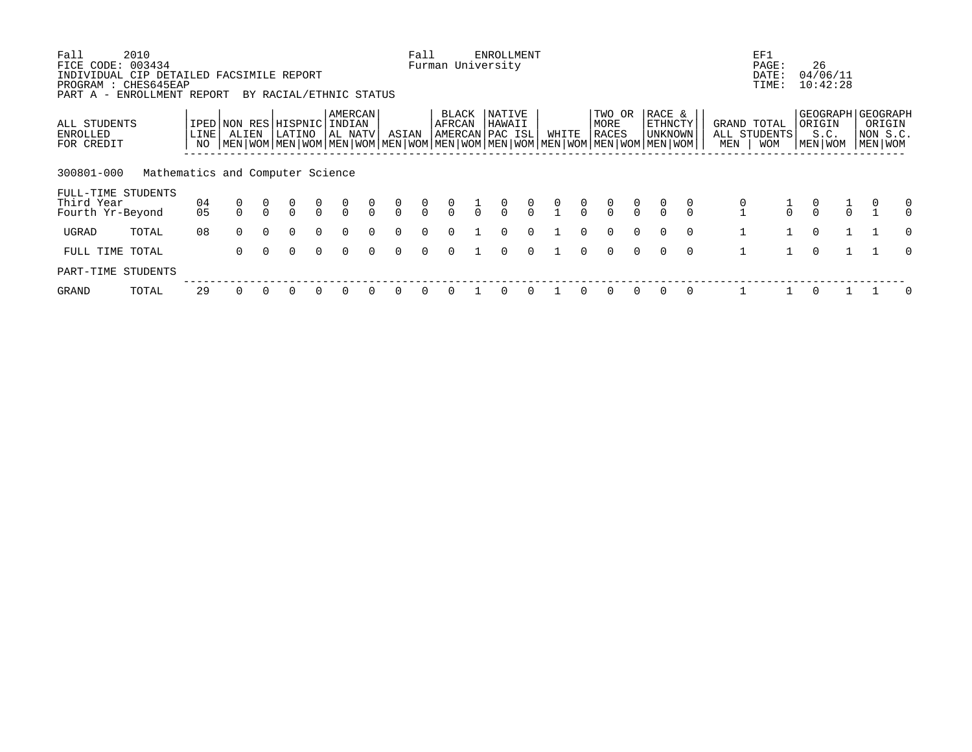| Fall<br>FICE CODE: 003434                                                                      | 2010                             |               |                       |          |                                      |                                      |                                      |                |                                      | Fall                             |                 |               | ENROLLMENT<br>Furman University     |                |       |                |                                                                                                                                      |                |                              |                |     | EF1<br>PAGE:                       | 26                                                     |               |                                    |               |
|------------------------------------------------------------------------------------------------|----------------------------------|---------------|-----------------------|----------|--------------------------------------|--------------------------------------|--------------------------------------|----------------|--------------------------------------|----------------------------------|-----------------|---------------|-------------------------------------|----------------|-------|----------------|--------------------------------------------------------------------------------------------------------------------------------------|----------------|------------------------------|----------------|-----|------------------------------------|--------------------------------------------------------|---------------|------------------------------------|---------------|
| INDIVIDUAL CIP DETAILED FACSIMILE REPORT<br>PROGRAM : CHES645EAP<br>PART A - ENROLLMENT REPORT |                                  |               |                       |          | BY RACIAL/ETHNIC STATUS              |                                      |                                      |                |                                      |                                  |                 |               |                                     |                |       |                |                                                                                                                                      |                |                              |                |     | DATE:<br>TIME:                     | 04/06/11<br>10:42:28                                   |               |                                    |               |
| ALL STUDENTS<br>ENROLLED<br>FOR CREDIT                                                         |                                  | LINE  <br>NO. | IPED NON RES<br>ALIEN |          | HISPNIC <br>LATINO                   |                                      | AMERCAN<br>INDIAN<br>  AL NATV       |                | ASIAN                                |                                  | BLACK<br>AFRCAN |               | NATIVE<br>HAWAII<br>AMERCAN PAC ISL |                | WHITE |                | TWO OR<br>MORE<br>RACES<br>NEN   WOM   MEN   WOM   MEN   WOM   MEN   WOM   MEN   WOM   MEN   WOM   MEN   WOM   MEN   WOM   MEN   WOM |                | RACE &<br>ETHNCTY<br>UNKNOWN |                | MEN | GRAND TOTAL<br>ALL STUDENTS<br>WOM | GEOGRAPH   GEOGRAPH<br>  ORIGIN<br>S.C.<br>  MEN   WOM |               | ORIGIN<br> NON S.C.<br>  MEN   WOM |               |
| 300801-000                                                                                     | Mathematics and Computer Science |               |                       |          |                                      |                                      |                                      |                |                                      |                                  |                 |               |                                     |                |       |                |                                                                                                                                      |                |                              |                |     |                                    |                                                        |               |                                    |               |
| FULL-TIME STUDENTS<br>Third Year<br>Fourth Yr-Beyond                                           |                                  | 04<br>05      | 0                     |          | $\begin{matrix} 0 \\ 0 \end{matrix}$ | $\begin{matrix} 0 \\ 0 \end{matrix}$ | $\begin{matrix} 0 \\ 0 \end{matrix}$ | $\int_{0}^{0}$ | $\begin{matrix} 0 \\ 0 \end{matrix}$ | $\begin{matrix}0\\0\end{matrix}$ | $\frac{0}{0}$   | $\frac{1}{1}$ | $\frac{0}{0}$                       | $\int_{0}^{0}$ |       | $\int_{0}^{0}$ | $\begin{matrix} 0 \\ 0 \end{matrix}$                                                                                                 | $\int_{0}^{0}$ | $\frac{0}{0}$                | $\int_{0}^{0}$ |     | $\frac{1}{0}$                      | $\frac{0}{0}$                                          | $\frac{1}{0}$ |                                    | 0<br>$\Omega$ |
| UGRAD                                                                                          | TOTAL                            | 08            | $\Omega$              | $\Omega$ | $\Omega$                             | $\Omega$                             | $\Omega$                             | $\Omega$       | $\Omega$                             | $\Omega$                         | $\Omega$        |               | $\Omega$                            | $\Omega$       |       | $\Omega$       | $\Omega$                                                                                                                             | $\Omega$       | $\Omega$                     | $\Omega$       |     |                                    | $\Omega$                                               |               |                                    | $\Omega$      |
| FULL TIME TOTAL                                                                                |                                  |               | $\Omega$              | $\Omega$ | $\Omega$                             | $\Omega$                             | $\Omega$                             | $\Omega$       | $\Omega$                             | $\Omega$                         | 0               |               | $\Omega$                            | $\Omega$       |       | $\Omega$       | $\Omega$                                                                                                                             | $\Omega$       | $\Omega$                     | $\Omega$       |     |                                    | $\Omega$                                               |               |                                    | $\Omega$      |
| PART-TIME STUDENTS                                                                             |                                  |               |                       |          |                                      |                                      |                                      |                |                                      |                                  |                 |               |                                     |                |       |                |                                                                                                                                      |                |                              |                |     |                                    |                                                        |               |                                    |               |
| GRAND                                                                                          | TOTAL                            | 29            |                       |          |                                      | $\Omega$                             | $\Omega$                             |                |                                      | $\Omega$                         |                 |               | 0                                   | $\Omega$       |       | $\Omega$       | $\Omega$                                                                                                                             | $\Omega$       | $\Omega$                     | $\Omega$       |     |                                    | $\Omega$                                               |               |                                    | $\Omega$      |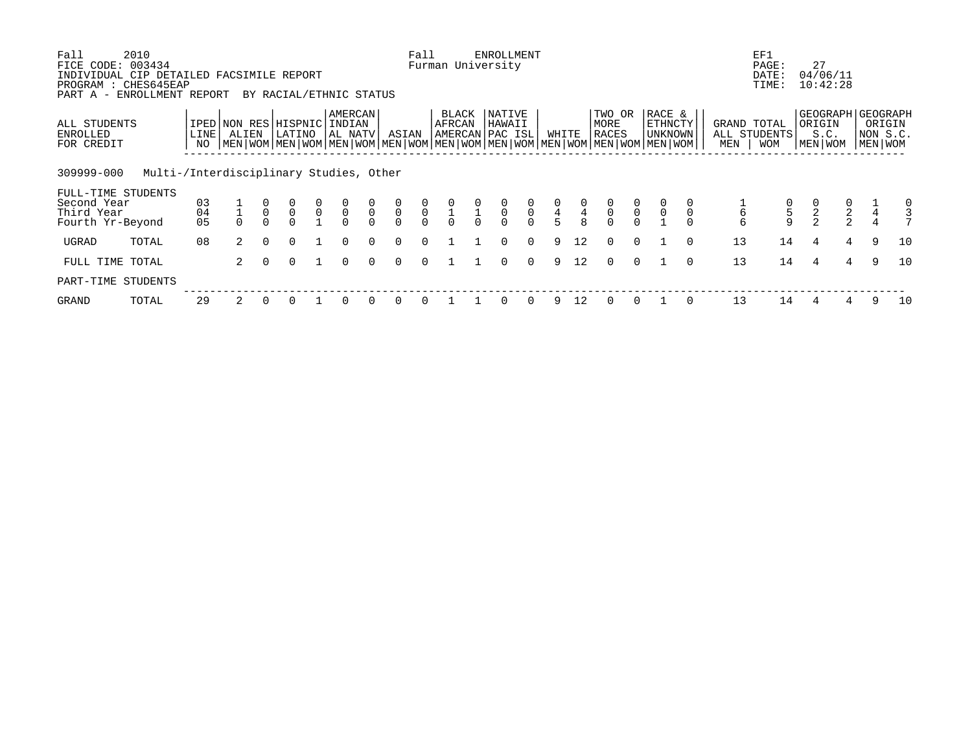| Fall<br>FICE CODE:<br>INDIVIDUAL CIP DETAILED FACSIMILE REPORT | 2010<br>003434                          |            |                                                                                                                                                     |          |                         |               |                                           |               |                                                            | Fall                                      |                                           |                                           | <b>ENROLLMENT</b><br>Furman University |                                           |                                            |               |                                                |                                           |                                       |          |                    | EF1<br>PAGE:<br>DATE:                                 | 27            | 04/06/11                                  |   |                                                          |
|----------------------------------------------------------------|-----------------------------------------|------------|-----------------------------------------------------------------------------------------------------------------------------------------------------|----------|-------------------------|---------------|-------------------------------------------|---------------|------------------------------------------------------------|-------------------------------------------|-------------------------------------------|-------------------------------------------|----------------------------------------|-------------------------------------------|--------------------------------------------|---------------|------------------------------------------------|-------------------------------------------|---------------------------------------|----------|--------------------|-------------------------------------------------------|---------------|-------------------------------------------|---|----------------------------------------------------------|
| PROGRAM<br>PART A - ENROLLMENT REPORT                          | : CHES645EAP                            |            |                                                                                                                                                     |          | BY RACIAL/ETHNIC STATUS |               |                                           |               |                                                            |                                           |                                           |                                           |                                        |                                           |                                            |               |                                                |                                           |                                       |          |                    | TIME:                                                 |               | 10:42:28                                  |   |                                                          |
| ALL STUDENTS<br>ENROLLED<br>FOR CREDIT                         |                                         | LINE<br>NO | IPED NON RES HISPNIC INDIAN<br>ALIEN<br>  MEN   WOM   MEN   WOM   MEN   WOM   MEN   WOM   MEN   WOM   MEN   WOM   MEN   WOM   MEN   WOM   MEN   WOM |          | LATINO                  |               | AMERCAN<br>AL NATV                        |               | ASIAN                                                      |                                           | BLACK<br>AFRCAN                           |                                           | NATIVE<br>HAWAII<br> AMERCAN PAC ISL   |                                           | WHITE                                      |               | TWO OR<br>MORE<br>RACES                        |                                           | RACE &<br><b>ETHNCTY</b><br>  UNKNOWN |          | GRAND TOTAL<br>MEN | ALL STUDENTS<br><b>WOM</b>                            | ORIGIN        | S.C.<br>MEN WOM                           |   | GEOGRAPH   GEOGRAPH<br>ORIGIN<br>NON S.C.<br>  MEN   WOM |
| 309999-000                                                     | Multi-/Interdisciplinary Studies, Other |            |                                                                                                                                                     |          |                         |               |                                           |               |                                                            |                                           |                                           |                                           |                                        |                                           |                                            |               |                                                |                                           |                                       |          |                    |                                                       |               |                                           |   |                                                          |
| FULL-TIME STUDENTS<br>Second Year<br>Third Year                |                                         | 03<br>04   |                                                                                                                                                     |          | U<br>0                  | $\frac{0}{0}$ | $\begin{matrix} 0 \\ 0 \\ 0 \end{matrix}$ | $\frac{0}{0}$ | $\begin{smallmatrix} 0 \\ 0 \end{smallmatrix}$<br>$\Omega$ | $\begin{matrix} 0 \\ 0 \\ 0 \end{matrix}$ | $\begin{matrix} 0 \\ 1 \\ 0 \end{matrix}$ | $\begin{matrix} 0 \\ 1 \\ 0 \end{matrix}$ | $\overline{0}$<br>$\cap$               | $\begin{matrix} 0 \\ 0 \\ 0 \end{matrix}$ | $\begin{array}{c} 0 \\ 4 \\ 5 \end{array}$ | $\frac{0}{4}$ | $\begin{smallmatrix} 0 \\ 0 \end{smallmatrix}$ | $\begin{matrix} 0 \\ 0 \\ 0 \end{matrix}$ |                                       |          | б                  | $\begin{array}{c} 0 \\ 5 \end{array}$<br>$\mathsf{Q}$ | $\frac{0}{2}$ | $\begin{matrix} 0 \\ 2 \\ 2 \end{matrix}$ |   | 0                                                        |
| Fourth Yr-Beyond                                               |                                         | 05         |                                                                                                                                                     |          |                         |               |                                           |               |                                                            |                                           |                                           |                                           |                                        |                                           |                                            |               |                                                |                                           |                                       |          |                    |                                                       |               |                                           |   |                                                          |
| UGRAD                                                          | TOTAL                                   | 08         | $\overline{a}$                                                                                                                                      | $\Omega$ | $\Omega$                |               | <sup>n</sup>                              | $\cap$        | $\cap$                                                     | $\cap$                                    |                                           |                                           | 0                                      | $\Omega$                                  | 9                                          | 12            | $\Omega$                                       | $\Omega$                                  |                                       | $\cap$   | 13                 | 14                                                    | 4             | $\overline{4}$                            | 9 | 10                                                       |
| FULL TIME TOTAL                                                |                                         |            | 2                                                                                                                                                   |          | 0                       |               | $\Omega$                                  | $\cap$        | $\Omega$                                                   | $\cap$                                    |                                           |                                           | 0                                      | $\Omega$                                  | 9                                          | 12            | $\Omega$                                       | $\Omega$                                  |                                       | $\Omega$ | 13                 | 14                                                    | 4             | 4                                         | 9 | 10                                                       |
| PART-TIME STUDENTS                                             |                                         |            |                                                                                                                                                     |          |                         |               |                                           |               |                                                            |                                           |                                           |                                           |                                        |                                           |                                            |               |                                                |                                           |                                       |          |                    |                                                       |               |                                           |   |                                                          |
| GRAND                                                          | TOTAL                                   | 29         |                                                                                                                                                     |          |                         |               |                                           |               |                                                            |                                           |                                           |                                           |                                        |                                           | 9                                          | 12            |                                                |                                           |                                       |          | 13                 | 14                                                    | 4             |                                           | 9 | 10                                                       |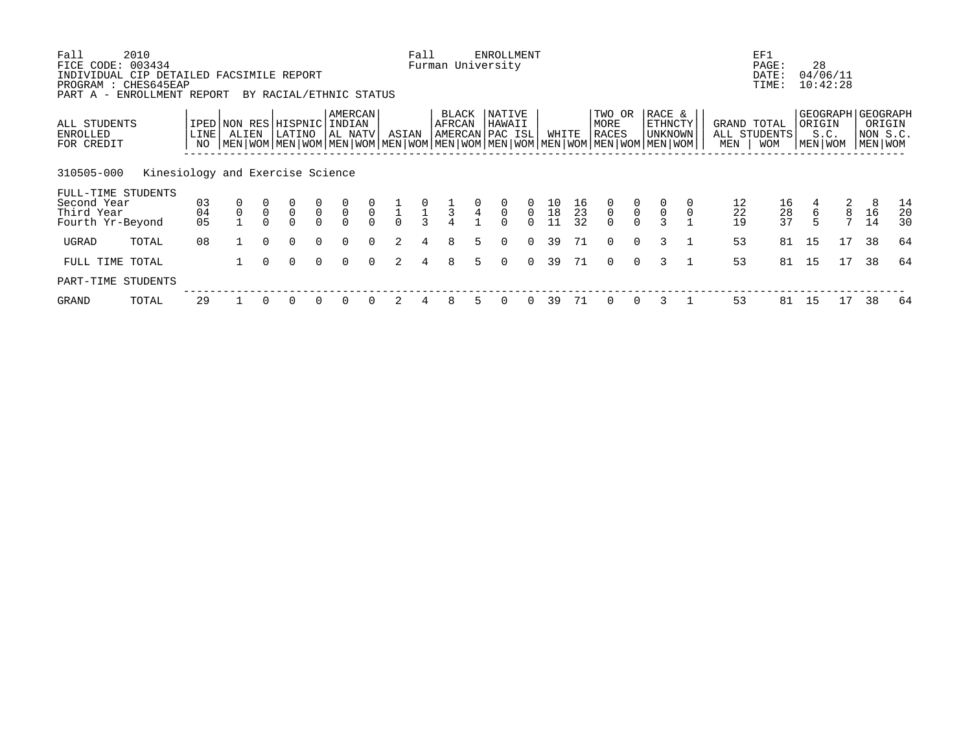| Fall<br>FICE CODE: 003434<br>INDIVIDUAL CIP DETAILED FACSIMILE REPORT | 2010                             |            |             |              |                                 |                            |                              |                            |               | Fall                                       | Furman University                  |                                            | <b>ENROLLMENT</b>     |                         |                       |                |                                                                                                                                        |                                                |                              |                                    | EF1<br>PAGE:<br>DATE: | 28                | 04/06/11 |                                            |          |
|-----------------------------------------------------------------------|----------------------------------|------------|-------------|--------------|---------------------------------|----------------------------|------------------------------|----------------------------|---------------|--------------------------------------------|------------------------------------|--------------------------------------------|-----------------------|-------------------------|-----------------------|----------------|----------------------------------------------------------------------------------------------------------------------------------------|------------------------------------------------|------------------------------|------------------------------------|-----------------------|-------------------|----------|--------------------------------------------|----------|
| PROGRAM : CHES645EAP<br>PART A - ENROLLMENT REPORT                    |                                  |            |             |              | BY RACIAL/ETHNIC STATUS         |                            |                              |                            |               |                                            |                                    |                                            |                       |                         |                       |                |                                                                                                                                        |                                                |                              |                                    | TIME:                 |                   | 10:42:28 |                                            |          |
| ALL STUDENTS<br>ENROLLED<br>FOR CREDIT                                |                                  | LINE<br>NO | ALIEN       |              | IPED NON RES HISPNIC<br>LATINO  |                            | AMERCAN<br>INDIAN<br>AL NATV |                            | ASIAN         |                                            | BLACK<br>AFRCAN<br>AMERCAN PAC ISL |                                            | NATIVE<br>HAWAII      |                         | WHITE                 |                | TWO OR<br>MORE<br>RACES<br>  MEN   WOM   MEN   WOM   MEN   WOM   MEN   WOM   MEN   WOM   MEN   WOM   MEN   WOM   MEN   WOM   MEN   WOM |                                                | RACE &<br>ETHNCTY<br>UNKNOWN | GRAND TOTAL<br>ALL STUDENTS<br>MEN | <b>WOM</b>            | ORIGIN<br>MEN WOM | S.C.     | GEOGRAPH   GEOGRAPH<br>NON S.C.<br>MEN WOM | ORIGIN   |
| 310505-000                                                            | Kinesiology and Exercise Science |            |             |              |                                 |                            |                              |                            |               |                                            |                                    |                                            |                       |                         |                       |                |                                                                                                                                        |                                                |                              |                                    |                       |                   |          |                                            |          |
| FULL-TIME STUDENTS<br>Second Year<br>Third Year                       |                                  | 03<br>04   | $\mathbf 0$ | $\mathsf{O}$ | $\mathsf{O}\xspace$<br>$\Omega$ | $\overline{0}$<br>$\Omega$ | $\frac{0}{0}$                | $\overline{0}$<br>$\Omega$ | $\frac{1}{0}$ | $\begin{array}{c} 0 \\ 1 \\ 3 \end{array}$ | $\frac{1}{3}$                      | $\begin{array}{c} 0 \\ 4 \\ 1 \end{array}$ | $\mathsf 0$<br>$\cap$ | $\mathbf 0$<br>$\Omega$ | $\frac{10}{18}$<br>11 | 16<br>23<br>32 | $\frac{0}{0}$                                                                                                                          | $\begin{smallmatrix} 0 \\ 0 \end{smallmatrix}$ | $\mathsf 0$                  | 12<br>22                           | 16<br>28<br>37        | 4<br>$\sqrt{6}$   | 2<br>8   | 8<br>16                                    | 14<br>20 |
| Fourth Yr-Beyond<br>UGRAD                                             | TOTAL                            | 05<br>08   |             | $\cap$       | $\Omega$                        | $\Omega$                   | $\Omega$                     | $\Omega$                   | $\mathcal{L}$ | 4                                          | 8                                  | 5.                                         | $\Omega$              | $\Omega$                | 39                    | 71             | $\Omega$                                                                                                                               | $\Omega$                                       | २                            | 19<br>53                           | 81                    | 15                | 17       | 14<br>38                                   | 30<br>64 |
| FULL TIME TOTAL                                                       |                                  |            |             | $\Omega$     | $\Omega$                        | $\Omega$                   | $\Omega$                     | $\Omega$                   | 2             | 4                                          | 8                                  | 5.                                         | 0                     | $\Omega$                | 39                    | 71             | $\Omega$                                                                                                                               | $\Omega$                                       | 3                            | 53                                 | 81                    | 15                | 17       | 38                                         | 64       |
| PART-TIME STUDENTS                                                    |                                  |            |             |              |                                 |                            |                              |                            |               |                                            |                                    |                                            |                       |                         |                       |                |                                                                                                                                        |                                                |                              |                                    |                       |                   |          |                                            |          |
| GRAND                                                                 | TOTAL                            | 29         |             |              |                                 | $\Omega$                   | $\Omega$                     |                            |               |                                            | 8                                  |                                            |                       | 0                       | 39                    | 71             |                                                                                                                                        |                                                |                              | 53                                 | 81                    | 15                | 17       | 38                                         | 64       |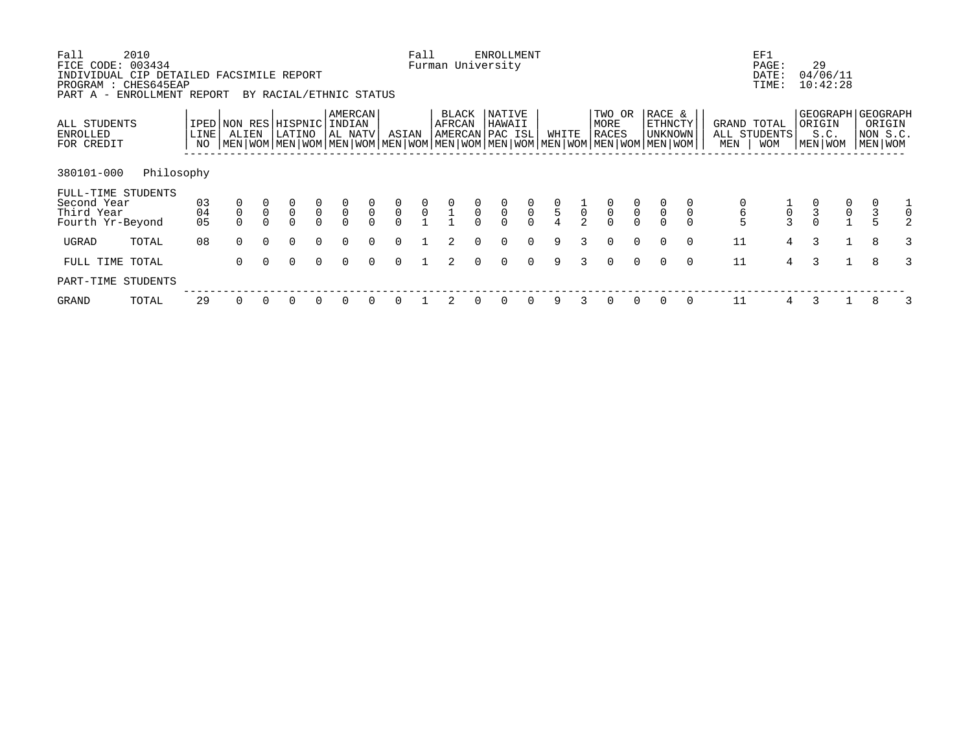| Second Year<br>Third Year<br>Fourth Yr-Beyond<br>UGRAD<br>TOTAL                                                     | $\begin{matrix} 03 \\ 04 \end{matrix}$<br>05<br>08 | $\begin{matrix} 0 \\ 0 \end{matrix}$<br>$\Omega$                                                                                                    | $\mathsf{O}\xspace$ | $\begin{matrix} 0 \\ 0 \end{matrix}$<br>$\Omega$<br>$\Omega$ | $\begin{matrix} 0 \\ 0 \\ 0 \end{matrix}$<br>$\Omega$ | $\begin{matrix} 0 \\ 0 \\ 0 \end{matrix}$<br>$\Omega$ | $\frac{0}{0}$ | $\begin{matrix} 0 \\ 0 \\ 0 \end{matrix}$<br>$\Omega$ | $\begin{matrix} 0 \\ 0 \\ 1 \end{matrix}$ | $\begin{matrix} 0 \\ 1 \\ 1 \end{matrix}$ | $\begin{matrix} 0 \\ 0 \\ 0 \end{matrix}$ | $\begin{matrix} 0 \\ 0 \\ 0 \end{matrix}$<br>$\begin{matrix} 0 \\ 0 \\ 0 \end{matrix}$<br>$\Omega$<br>$\Omega$ | $\begin{array}{c} 0 \\ 5 \\ 4 \end{array}$<br>9 | $\frac{1}{2}$ | $\begin{matrix} 0 \\ 0 \\ 0 \end{matrix}$<br>$\Omega$ | $\begin{matrix} 0 \\ 0 \\ 0 \end{matrix}$<br>$\Omega$ | $\Omega$                            | 6<br>11                            | $\begin{matrix} 1 \\ 0 \\ 3 \end{matrix}$<br>$4\overline{ }$ | $\begin{matrix} 0 \\ 3 \\ 0 \end{matrix}$<br>3 | $\mathsf{O}\xspace$  | 8                                          |                |
|---------------------------------------------------------------------------------------------------------------------|----------------------------------------------------|-----------------------------------------------------------------------------------------------------------------------------------------------------|---------------------|--------------------------------------------------------------|-------------------------------------------------------|-------------------------------------------------------|---------------|-------------------------------------------------------|-------------------------------------------|-------------------------------------------|-------------------------------------------|----------------------------------------------------------------------------------------------------------------|-------------------------------------------------|---------------|-------------------------------------------------------|-------------------------------------------------------|-------------------------------------|------------------------------------|--------------------------------------------------------------|------------------------------------------------|----------------------|--------------------------------------------|----------------|
|                                                                                                                     |                                                    |                                                                                                                                                     |                     |                                                              |                                                       |                                                       |               |                                                       |                                           |                                           |                                           |                                                                                                                |                                                 |               |                                                       |                                                       |                                     |                                    |                                                              |                                                |                      |                                            | $\overline{0}$ |
| 380101-000<br>Philosophy<br>FULL-TIME STUDENTS                                                                      |                                                    |                                                                                                                                                     |                     |                                                              |                                                       |                                                       |               |                                                       |                                           |                                           |                                           |                                                                                                                |                                                 |               |                                                       |                                                       |                                     |                                    |                                                              |                                                |                      |                                            |                |
| ALL STUDENTS<br>ENROLLED<br>FOR CREDIT                                                                              | LINE<br>NO                                         | IPED NON RES HISPNIC INDIAN<br>ALIEN<br>  MEN   WOM   MEN   WOM   MEN   WOM   MEN   WOM   MEN   WOM   MEN   WOM   MEN   WOM   MEN   WOM   MEN   WOM |                     | LATINO                                                       |                                                       | AMERCAN<br>AL NATV                                    |               | ASIAN                                                 |                                           | BLACK<br>AFRCAN<br>AMERCAN PAC ISL        |                                           | NATIVE<br>HAWAII                                                                                               |                                                 | WHITE         | TWO OR<br>MORE<br>RACES                               |                                                       | RACE &<br>ETHNCTY<br><b>UNKNOWN</b> | GRAND TOTAL<br>ALL STUDENTS<br>MEN | <b>WOM</b>                                                   | ORIGIN<br>MEN WOM                              | S.C.                 | GEOGRAPH   GEOGRAPH<br>NON S.C.<br>MEN WOM | ORIGIN         |
| FICE CODE: 003434<br>INDIVIDUAL CIP DETAILED FACSIMILE REPORT<br>PROGRAM : CHES645EAP<br>PART A - ENROLLMENT REPORT |                                                    |                                                                                                                                                     |                     | BY RACIAL/ETHNIC STATUS                                      |                                                       |                                                       |               |                                                       | Fall                                      | Furman University                         |                                           | ENROLLMENT                                                                                                     |                                                 |               |                                                       |                                                       |                                     |                                    | EF1<br>PAGE:<br>DATE:<br>TIME:                               | 29                                             | 04/06/11<br>10:42:28 |                                            |                |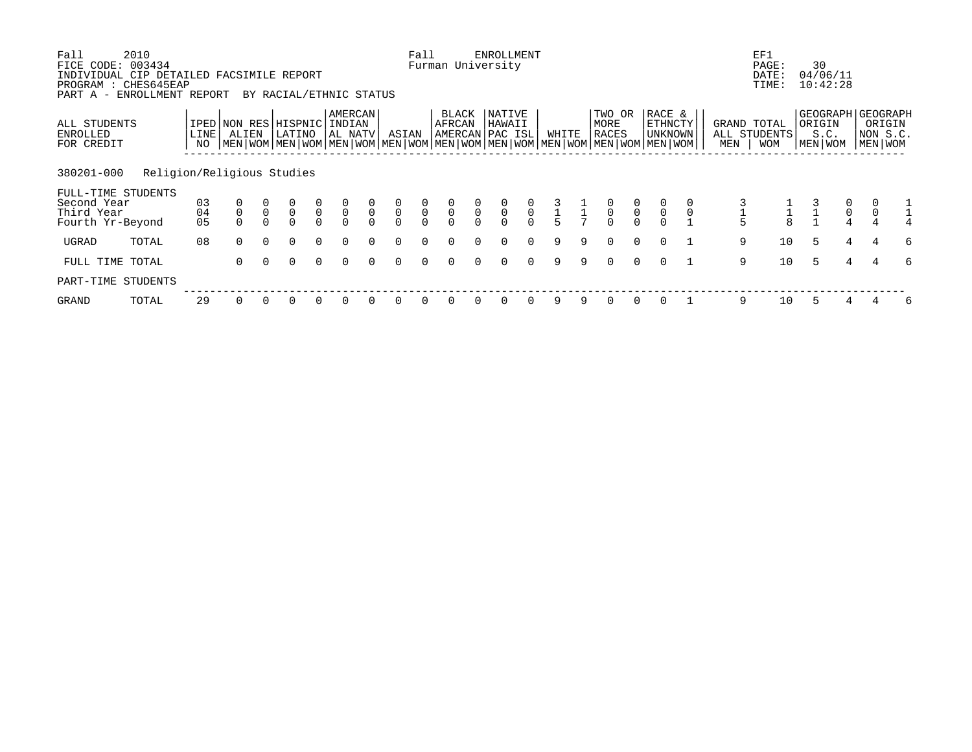| Fall<br>FICE CODE:<br>INDIVIDUAL CIP DETAILED FACSIMILE REPORT<br>PROGRAM : CHES645EAP<br>PART A - ENROLLMENT REPORT | 2010<br>003434             |                |             |                | BY RACIAL/ETHNIC STATUS        |                |                                           |                            |                                     | Fall                                      |                                           |               | <b>ENROLLMENT</b><br>Furman University |                                           |       |                                                         |                                           |                                           |                                                                                                                                             |             |                    | EF1<br>PAGE:<br>DATE:<br>TIME: | 30     | 04/06/11<br>10:42:28                 |                     |                                                      |
|----------------------------------------------------------------------------------------------------------------------|----------------------------|----------------|-------------|----------------|--------------------------------|----------------|-------------------------------------------|----------------------------|-------------------------------------|-------------------------------------------|-------------------------------------------|---------------|----------------------------------------|-------------------------------------------|-------|---------------------------------------------------------|-------------------------------------------|-------------------------------------------|---------------------------------------------------------------------------------------------------------------------------------------------|-------------|--------------------|--------------------------------|--------|--------------------------------------|---------------------|------------------------------------------------------|
| ALL STUDENTS<br><b>ENROLLED</b><br>FOR CREDIT                                                                        |                            | LINE<br>NO     | ALIEN       |                | IPED NON RES HISPNIC<br>LATINO |                | AMERCAN<br>INDIAN<br>AL NATV              |                            | ASIAN                               |                                           | BLACK<br>AFRCAN                           |               | NATIVE<br>HAWAII<br>AMERCAN PAC ISL    |                                           | WHITE |                                                         | TWO OR<br>MORE<br>RACES                   |                                           | RACE &<br>ETHNCTY<br>UNKNOWN<br>  MEN   WOM   MEN   WOM   MEN   WOM   MEN   WOM   MEN   WOM   MEN   WOM   MEN   WOM   MEN   WOM   MEN   WOM |             | GRAND TOTAL<br>MEN | ALL STUDENTS<br><b>WOM</b>     | ORIGIN | S.C.<br>MEN WOM                      |                     | GEOGRAPH   GEOGRAPH<br>ORIGIN<br>NON S.C.<br>MEN WOM |
| 380201-000<br>FULL-TIME STUDENTS<br>Second Year<br>Third Year<br>Fourth Yr-Beyond                                    | Religion/Religious Studies | 03<br>04<br>05 | $\mathsf 0$ | $\overline{0}$ | $\overline{0}$<br>$\Omega$     | $\overline{0}$ | $\begin{matrix} 0 \\ 0 \\ 0 \end{matrix}$ | $\overline{0}$<br>$\Omega$ | $\begin{matrix}0\\0\\0\end{matrix}$ | $\begin{matrix} 0 \\ 0 \\ 0 \end{matrix}$ | $\begin{matrix} 0 \\ 0 \\ 0 \end{matrix}$ | $\frac{0}{0}$ | $\overline{0}$                         | $\begin{matrix} 0 \\ 0 \\ 0 \end{matrix}$ |       | $\begin{array}{cc} 3 & 1 \\ 1 & 1 \\ 5 & 7 \end{array}$ | $\begin{matrix} 0 \\ 0 \\ 0 \end{matrix}$ | $\begin{matrix} 0 \\ 0 \\ 0 \end{matrix}$ | $\overline{0}$                                                                                                                              | $\mathsf 0$ | 5                  | $\frac{1}{8}$                  |        | $\begin{matrix} 0 \\ 0 \end{matrix}$ | $\mathsf{O}\xspace$ |                                                      |
| UGRAD                                                                                                                | TOTAL                      | 08             | $\Omega$    | $\Omega$       | $\Omega$                       | $\Omega$       | $\Omega$                                  | $\Omega$                   | $\Omega$                            | $\Omega$                                  | $\Omega$                                  |               | $\Omega$                               | $\Omega$                                  | 9     | 9                                                       | $\Omega$                                  | $\Omega$                                  | $\Omega$                                                                                                                                    |             | 9                  | 10                             | 5      | 4                                    | 4                   | 6                                                    |
| FULL TIME TOTAL                                                                                                      |                            |                | 0           | $\Omega$       | $\Omega$                       | $\Omega$       | $\Omega$                                  | $\Omega$                   | 0                                   | $\Omega$                                  | $\Omega$                                  | $\Omega$      | 0                                      | $\Omega$                                  | 9     | 9                                                       | $\Omega$                                  | $\Omega$                                  | $\Omega$                                                                                                                                    |             | 9                  | 10                             | 5      | 4                                    |                     | 6                                                    |
| PART-TIME STUDENTS                                                                                                   |                            |                |             |                |                                |                |                                           |                            |                                     |                                           |                                           |               |                                        |                                           |       |                                                         |                                           |                                           |                                                                                                                                             |             |                    |                                |        |                                      |                     |                                                      |
| GRAND                                                                                                                | TOTAL                      | 29             |             |                |                                |                | $\Omega$                                  |                            | 0                                   |                                           |                                           |               | $\Omega$                               | 0                                         | 9     |                                                         |                                           |                                           |                                                                                                                                             |             | 9                  | 10                             |        |                                      |                     | 6                                                    |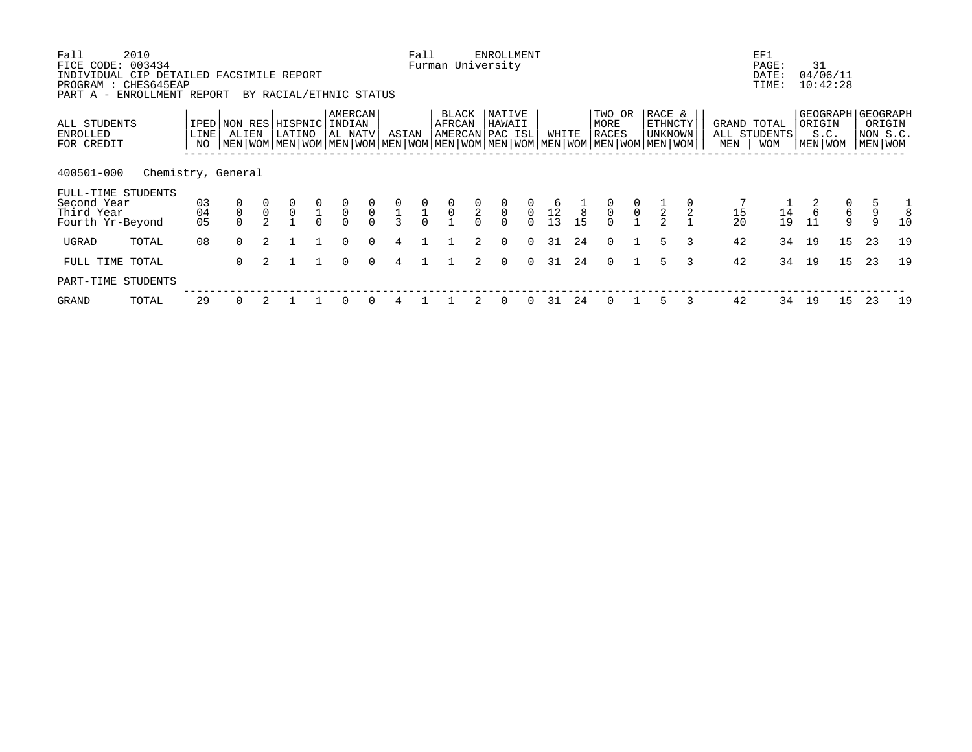| Fall<br>FICE CODE:                                                  | 2010<br>003434<br>INDIVIDUAL CIP DETAILED FACSIMILE REPORT |                |                               |                     |                         |                           |                              |                            |                                          | Fall                      | Furman University                         |                         | <b>ENROLLMENT</b>                                |                         |                      |         |                                                                                                                                        |                                      |                                     |               |                    | EF1<br>PAGE:<br>DATE:      | 31                    | 04/06/11 |                                                        |         |
|---------------------------------------------------------------------|------------------------------------------------------------|----------------|-------------------------------|---------------------|-------------------------|---------------------------|------------------------------|----------------------------|------------------------------------------|---------------------------|-------------------------------------------|-------------------------|--------------------------------------------------|-------------------------|----------------------|---------|----------------------------------------------------------------------------------------------------------------------------------------|--------------------------------------|-------------------------------------|---------------|--------------------|----------------------------|-----------------------|----------|--------------------------------------------------------|---------|
| PROGRAM                                                             | : CHES645EAP<br>PART A - ENROLLMENT REPORT                 |                |                               |                     | BY RACIAL/ETHNIC STATUS |                           |                              |                            |                                          |                           |                                           |                         |                                                  |                         |                      |         |                                                                                                                                        |                                      |                                     |               |                    | TIME:                      |                       | 10:42:28 |                                                        |         |
| ALL STUDENTS<br>ENROLLED<br>FOR CREDIT                              |                                                            | LINE<br>NO     | IPED NON RES HISPNIC<br>ALIEN |                     | LATINO                  |                           | AMERCAN<br>INDIAN<br>AL NATV |                            | ASIAN                                    |                           | <b>BLACK</b><br>AFRCAN<br>AMERCAN PAC ISL |                         | NATIVE<br>HAWAII                                 |                         | WHITE                |         | TWO OR<br>MORE<br>RACES<br>  MEN   WOM   MEN   WOM   MEN   WOM   MEN   WOM   MEN   WOM   MEN   WOM   MEN   WOM   MEN   WOM   MEN   WOM |                                      | RACE &<br><b>ETHNCTY</b><br>UNKNOWN |               | GRAND TOTAL<br>MEN | ALL STUDENTS<br><b>WOM</b> | ORIGIN<br>  MEN   WOM | S.C.     | GEOGRAPH   GEOGRAPH<br>ORIGIN<br>NON S.C.<br>MEN   WOM |         |
| 400501-000                                                          | Chemistry, General                                         |                |                               |                     |                         |                           |                              |                            |                                          |                           |                                           |                         |                                                  |                         |                      |         |                                                                                                                                        |                                      |                                     |               |                    |                            |                       |          |                                                        |         |
| FULL-TIME STUDENTS<br>Second Year<br>Third Year<br>Fourth Yr-Beyond |                                                            | 03<br>04<br>05 | $\mathsf 0$                   | $\mathsf{O}\xspace$ | $\frac{0}{0}$           | $\frac{0}{1}$<br>$\Omega$ | $\overline{0}$<br>$\Omega$   | $\overline{0}$<br>$\Omega$ | $\frac{0}{1}$<br>$\overline{\mathbf{3}}$ | $\frac{0}{1}$<br>$\Omega$ | $\frac{0}{0}$                             | $\frac{0}{2}$<br>$\cap$ | $\begin{matrix} 0 \\ 0 \end{matrix}$<br>$\Omega$ | $\mathbf 0$<br>$\Omega$ | 1 <sup>6</sup><br>13 | 8<br>15 | $\frac{0}{0}$<br>$\Omega$                                                                                                              | $\begin{matrix} 0 \\ 0 \end{matrix}$ | $\frac{1}{2}$                       |               | 15<br>20           | 14<br>19                   | 6<br>11               | 6<br>9   | 9<br>9                                                 | 8<br>10 |
| UGRAD                                                               | TOTAL                                                      | 08             | $\Omega$                      |                     |                         |                           | $\cap$                       | $\cap$                     | 4                                        |                           |                                           | $2^{1}$                 | $\Omega$                                         | $\Omega$                | 31                   | 24      | $\Omega$                                                                                                                               |                                      | 5                                   | $\mathcal{L}$ | 42                 | 34                         | 19                    | 15       | 23                                                     | 19      |
| FULL TIME TOTAL                                                     |                                                            |                | $\Omega$                      | 2                   |                         |                           | $\Omega$                     | $\Omega$                   | 4                                        |                           |                                           | 2                       | $\Omega$                                         | $\Omega$                | 31                   | 24      | $\Omega$                                                                                                                               |                                      | 5                                   | 3             | 42                 | 34                         | 19                    | 15       | 23                                                     | 19      |
| PART-TIME STUDENTS                                                  |                                                            |                |                               |                     |                         |                           |                              |                            |                                          |                           |                                           |                         |                                                  |                         |                      |         |                                                                                                                                        |                                      |                                     |               |                    |                            |                       |          |                                                        |         |
| GRAND                                                               | TOTAL                                                      | 29             |                               |                     |                         |                           |                              |                            |                                          |                           |                                           |                         | 0                                                | $\Omega$                | 31                   | 24      | $\Omega$                                                                                                                               |                                      |                                     |               | 42                 | 34                         | 19                    | 15       | 23                                                     | 19      |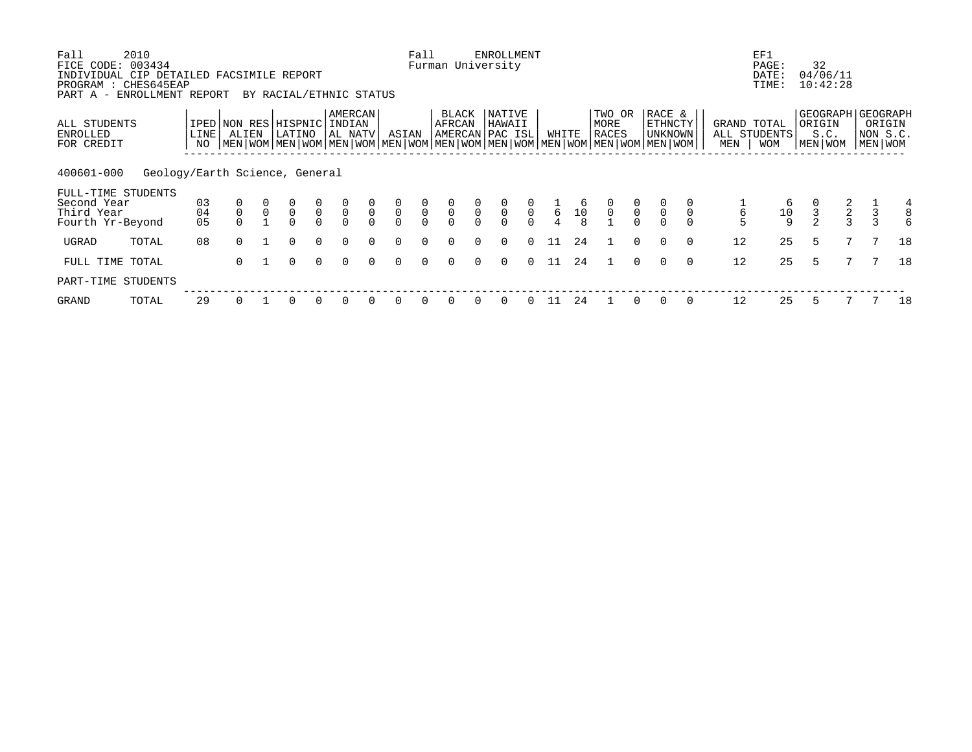| Fall<br>FICE CODE:<br>INDIVIDUAL CIP DETAILED FACSIMILE REPORT | 2010<br>003434                 |            |             |              |                                       |                |                                      |             |                                      | Fall                                      |                                           |               | <b>ENROLLMENT</b><br>Furman University |                |                 |              |                                                                                                                                        |                |                              |          |                                    | EF1<br>PAGE:<br>DATE: | 32                | 04/06/11      |               |                                                      |
|----------------------------------------------------------------|--------------------------------|------------|-------------|--------------|---------------------------------------|----------------|--------------------------------------|-------------|--------------------------------------|-------------------------------------------|-------------------------------------------|---------------|----------------------------------------|----------------|-----------------|--------------|----------------------------------------------------------------------------------------------------------------------------------------|----------------|------------------------------|----------|------------------------------------|-----------------------|-------------------|---------------|---------------|------------------------------------------------------|
| PROGRAM : CHES645EAP<br>PART A - ENROLLMENT REPORT             |                                |            |             |              | BY RACIAL/ETHNIC STATUS               |                |                                      |             |                                      |                                           |                                           |               |                                        |                |                 |              |                                                                                                                                        |                |                              |          |                                    | TIME:                 |                   | 10:42:28      |               |                                                      |
| ALL STUDENTS<br>ENROLLED<br>FOR CREDIT                         |                                | LINE<br>NO | ALIEN       |              | IPED NON RES HISPNIC INDIAN<br>LATINO |                | AMERCAN<br>AL NATV                   |             | ASIAN                                |                                           | BLACK<br>AFRCAN                           |               | NATIVE<br>HAWAII<br>AMERCAN PAC ISL    |                | WHITE           |              | TWO OR<br>MORE<br>RACES<br>  MEN   WOM   MEN   WOM   MEN   WOM   MEN   WOM   MEN   WOM   MEN   WOM   MEN   WOM   MEN   WOM   MEN   WOM |                | RACE &<br>ETHNCTY<br>UNKNOWN |          | GRAND TOTAL<br>ALL STUDENTS<br>MEN | <b>WOM</b>            | ORIGIN<br>MEN WOM | S.C.          |               | GEOGRAPH   GEOGRAPH<br>ORIGIN<br>NON S.C.<br>MEN WOM |
| 400601-000<br>FULL-TIME STUDENTS                               | Geology/Earth Science, General |            |             |              |                                       |                |                                      |             |                                      |                                           |                                           |               |                                        |                |                 |              |                                                                                                                                        |                |                              |          |                                    |                       |                   |               |               |                                                      |
| Second Year<br>Third Year                                      |                                | 03<br>04   | $\mathsf 0$ | $\mathsf{O}$ | $\overline{0}$                        |                | $\begin{matrix} 0 \\ 0 \end{matrix}$ | $\mathbf 0$ | $\begin{matrix} 0 \\ 0 \end{matrix}$ | $\begin{matrix} 0 \\ 0 \\ 0 \end{matrix}$ | $\begin{matrix} 0 \\ 0 \\ 0 \end{matrix}$ | $\frac{0}{0}$ | $\overline{0}$                         |                | $6\overline{6}$ | 10           | $\frac{0}{0}$                                                                                                                          | $\overline{0}$ | $\mathsf 0$                  |          | 6                                  | 6                     | $\mathsf 3$       | $\frac{2}{3}$ |               | 4                                                    |
| Fourth Yr-Beyond                                               |                                | 05         |             |              | $\Omega$                              | $\overline{0}$ |                                      | $\Omega$    | $\Omega$                             |                                           |                                           |               |                                        | $\overline{0}$ |                 | $\mathsf{R}$ |                                                                                                                                        |                |                              |          |                                    | $\frac{10}{9}$        |                   |               | $\frac{3}{3}$ | б                                                    |
| UGRAD                                                          | TOTAL                          | 08         | $\Omega$    |              | $\Omega$                              | $\Omega$       | $\Omega$                             | $\Omega$    | $\Omega$                             | $\Omega$                                  | $\Omega$                                  | $\cap$        | $\Omega$                               | $\Omega$       | -11             | 24           |                                                                                                                                        | $\Omega$       | $\Omega$                     | $\Omega$ | 12                                 | 25                    | 5                 |               |               | 18                                                   |
| FULL TIME TOTAL                                                |                                |            | 0           |              | $\Omega$                              | $\Omega$       | $\Omega$                             | $\Omega$    | 0                                    | $\Omega$                                  | $\Omega$                                  | $\Omega$      | $\Omega$                               | $\Omega$       | 11              | 24           |                                                                                                                                        | $\Omega$       | $\Omega$                     | $\Omega$ | 12                                 | 25                    | 5                 |               |               | 18                                                   |
| PART-TIME STUDENTS                                             |                                |            |             |              |                                       |                |                                      |             |                                      |                                           |                                           |               |                                        |                |                 |              |                                                                                                                                        |                |                              |          |                                    |                       |                   |               |               |                                                      |
| GRAND                                                          | TOTAL                          | 29         |             |              |                                       |                | $\Omega$                             |             |                                      |                                           |                                           |               |                                        |                |                 | 24           |                                                                                                                                        |                |                              |          | 12                                 | 25                    |                   |               |               | 18                                                   |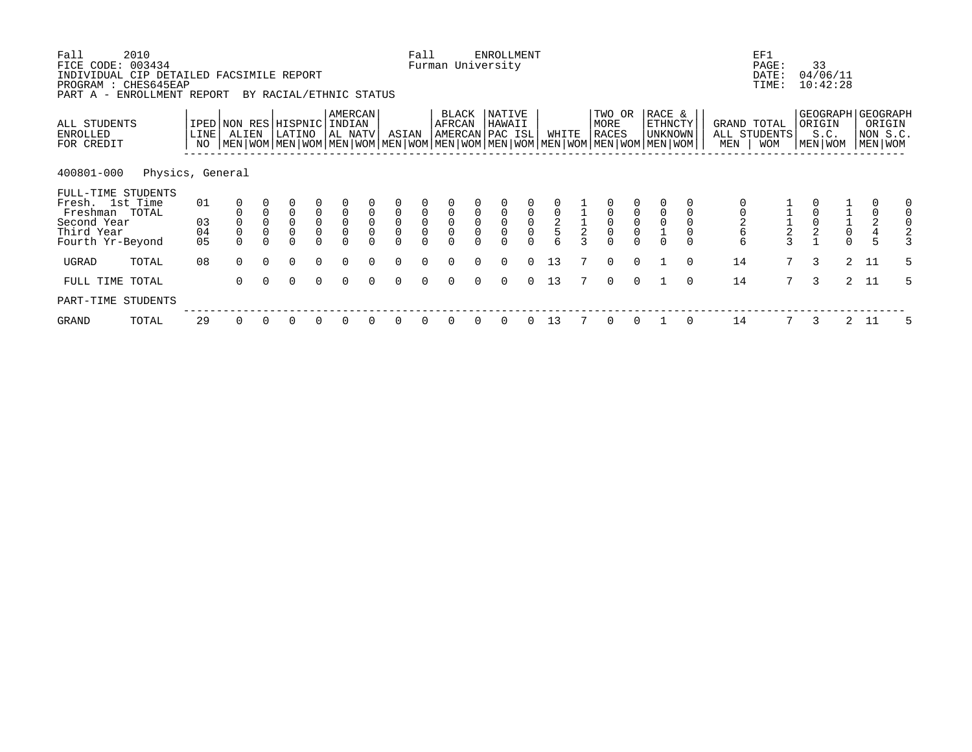| Fall<br>FICE CODE: 003434                         | 2010<br>INDIVIDUAL CIP DETAILED FACSIMILE REPORT<br>PROGRAM : CHES645EAP |                |                                                                                                                                              |                         |                         |                                            |                              |             |                    | Fall                                             |                                                 |                                            | <b>ENROLLMENT</b><br>Furman University |                                 |                    |               |                                       |                                      |                                            |             |                    | EF1<br>PAGE:<br>DATE:<br>TIME: | 33                | 04/06/11<br>10:42:28                       |             |                                                    |
|---------------------------------------------------|--------------------------------------------------------------------------|----------------|----------------------------------------------------------------------------------------------------------------------------------------------|-------------------------|-------------------------|--------------------------------------------|------------------------------|-------------|--------------------|--------------------------------------------------|-------------------------------------------------|--------------------------------------------|----------------------------------------|---------------------------------|--------------------|---------------|---------------------------------------|--------------------------------------|--------------------------------------------|-------------|--------------------|--------------------------------|-------------------|--------------------------------------------|-------------|----------------------------------------------------|
| PART A -                                          | ENROLLMENT REPORT                                                        |                |                                                                                                                                              |                         | BY RACIAL/ETHNIC STATUS |                                            |                              |             |                    |                                                  |                                                 |                                            |                                        |                                 |                    |               |                                       |                                      |                                            |             |                    |                                |                   |                                            |             |                                                    |
| ALL STUDENTS<br>ENROLLED<br>FOR CREDIT            |                                                                          | LINE<br>NO     | IPED NON RES HISPNIC<br>ALIEN<br>  MEN   WOM   MEN   WOM   MEN   WOM   MEN   WOM   MEN   WOM   MEN   WOM   MEN   WOM   MEN   WOM   MEN   WOM |                         | LATINO                  |                                            | AMERCAN<br>INDIAN<br>AL NATV |             | ASIAN              |                                                  | BLACK<br>AFRCAN                                 |                                            | NATIVE<br>HAWAII<br>AMERCAN PAC ISL    |                                 | WHITE              |               | TWO OR<br>MORE<br><b>RACES</b>        |                                      | RACE &<br><b>ETHNCTY</b><br><b>UNKNOWN</b> |             | GRAND TOTAL<br>MEN | ALL STUDENTS<br><b>WOM</b>     | ORIGIN<br>MEN WOM | S.C.                                       |             | GEOGRAPH GEOGRAPH<br>ORIGIN<br>NON S.C.<br>MEN WOM |
| 400801-000                                        | Physics, General                                                         |                |                                                                                                                                              |                         |                         |                                            |                              |             |                    |                                                  |                                                 |                                            |                                        |                                 |                    |               |                                       |                                      |                                            |             |                    |                                |                   |                                            |             |                                                    |
| FULL-TIME STUDENTS<br>Fresh. 1st Time<br>Freshman | TOTAL                                                                    | 01             |                                                                                                                                              |                         | 0                       | $\mathsf 0$                                | $\mathbf 0$                  | $\mathbf 0$ | 0                  | $\mathbf 0$                                      | 0                                               | $\mathsf 0$                                | 0                                      | $\mathbf 0$                     | $\mathsf 0$        |               |                                       | $\mathbf{0}$                         |                                            |             |                    |                                |                   |                                            | 0           | 0<br>$\mathbf 0$                                   |
| Second Year<br>Third Year<br>Fourth Yr-Beyond     |                                                                          | 03<br>04<br>05 | $\Omega$                                                                                                                                     | $\mathsf 0$<br>$\Omega$ | 0<br>0<br>$\Omega$      | $\mathsf{O}\xspace$<br>$\mathsf{O}\xspace$ | $\mathsf 0$                  | $\mathsf 0$ | 0<br>0<br>$\Omega$ | $\begin{matrix} 0 \\ 0 \end{matrix}$<br>$\Omega$ | $\mathsf{O}\xspace$<br>$\mathsf{O}\xspace$<br>U | $\ddot{\mathbf{0}}$<br>$\mathsf{O}\xspace$ | $\mathsf 0$<br>$\Omega$                | $\mathsf{O}\xspace$<br>$\Omega$ | $\frac{2}{5}$<br>6 | $\frac{1}{2}$ | $\mathsf{O}\xspace$<br>$\overline{0}$ | $\begin{matrix} 0 \\ 0 \end{matrix}$ | $\Omega$                                   | $\mathbf 0$ | 6<br>6             | $\frac{1}{2}$                  |                   | $\begin{array}{c} 1 \\ 1 \\ 0 \end{array}$ | $_4^2$<br>5 | $\mathsf{O}$<br>$\overline{2}$<br>3                |
| UGRAD                                             | TOTAL                                                                    | 08             | $\Omega$                                                                                                                                     | $\Omega$                | $\Omega$                | $\Omega$                                   | $\Omega$                     | $\Omega$    | $\Omega$           | $\Omega$                                         | $\Omega$                                        | $\Omega$                                   | $\Omega$                               | $\Omega$                        | 13                 |               | $\Omega$                              | $\Omega$                             |                                            | $\Omega$    | 14                 | 7 <sup>7</sup>                 | 3                 |                                            | $2 \t11$    | 5                                                  |
| FULL TIME TOTAL                                   |                                                                          |                | $\Omega$                                                                                                                                     |                         | $\Omega$                | $\Omega$                                   | $\Omega$                     |             | 0                  | $\Omega$                                         | O                                               | $\Omega$                                   | $\Omega$                               | $\Omega$                        | 13                 |               | $\Omega$                              | $\Omega$                             |                                            | $\Omega$    | 14                 | $7^{\circ}$                    | 3                 | 2                                          | 11          | 5                                                  |
| PART-TIME STUDENTS                                |                                                                          |                |                                                                                                                                              |                         |                         |                                            |                              |             |                    |                                                  |                                                 |                                            |                                        |                                 |                    |               |                                       |                                      |                                            |             |                    |                                |                   |                                            |             |                                                    |
| GRAND                                             | TOTAL                                                                    | 29             | 0                                                                                                                                            | 0                       | 0                       | 0                                          | 0                            | 0           | 0                  | 0                                                | 0                                               | 0                                          | 0                                      | 0                               | 13                 |               | 0                                     | 0                                    |                                            | 0           | 14                 | 7                              | 3                 | $\mathbf{2}$                               | -11         | 5                                                  |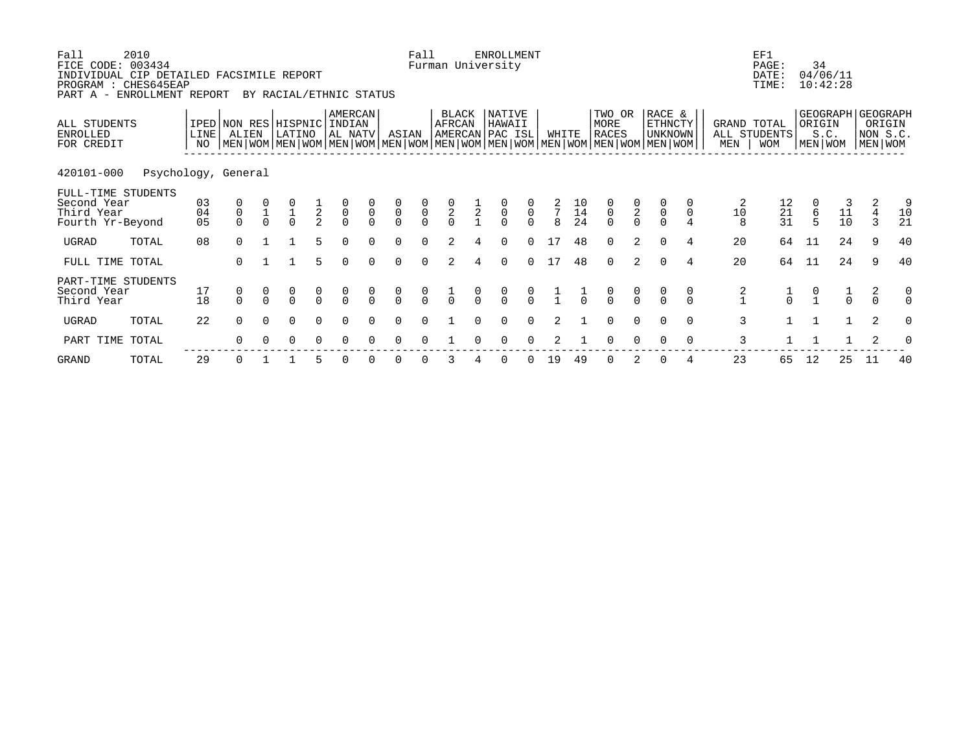| Fall<br>FICE CODE: 003434<br>INDIVIDUAL CIP DETAILED FACSIMILE REPORT<br>PROGRAM : CHES645EAP<br>PART A - ENROLLMENT REPORT | 2010                |                            |                                                                                                                                                     |          | BY RACIAL/ETHNIC STATUS |               |                                           |                                           |                                     | Fall                                      |                                           |               | <b>ENROLLMENT</b><br>Furman University    |                                           |               |                       |                                           |                                           |                                            |               |                                             | EF1<br>PAGE:<br>DATE:<br>TIME:                | 34            | 04/06/11<br>10:42:28                    |                               |               |
|-----------------------------------------------------------------------------------------------------------------------------|---------------------|----------------------------|-----------------------------------------------------------------------------------------------------------------------------------------------------|----------|-------------------------|---------------|-------------------------------------------|-------------------------------------------|-------------------------------------|-------------------------------------------|-------------------------------------------|---------------|-------------------------------------------|-------------------------------------------|---------------|-----------------------|-------------------------------------------|-------------------------------------------|--------------------------------------------|---------------|---------------------------------------------|-----------------------------------------------|---------------|-----------------------------------------|-------------------------------|---------------|
| ALL STUDENTS<br>ENROLLED<br>FOR CREDIT                                                                                      |                     | LINE  <br>NO               | IPED NON RES HISPNIC INDIAN<br>ALIEN<br>  MEN   WOM   MEN   WOM   MEN   WOM   MEN   WOM   MEN   WOM   MEN   WOM   MEN   WOM   MEN   WOM   MEN   WOM |          | LATINO                  |               | AMERCAN<br>AL NATV                        |                                           | ASIAN                               |                                           | BLACK<br>AFRCAN                           |               | NATIVE<br>HAWAII<br>AMERCAN PAC ISL       |                                           | WHITE         |                       | TWO OR<br>MORE<br><b>RACES</b>            |                                           | RACE &<br><b>ETHNCTY</b><br><b>UNKNOWN</b> |               | MEN                                         | GRAND TOTAL<br>ALL STUDENTS<br><b>WOM</b>     | ORIGIN        | GEOGRAPH GEOGRAPH<br>S.C.<br>MEN   WOM  | ORIGIN<br>NON S.C.<br>MEN WOM |               |
| 420101-000                                                                                                                  | Psychology, General |                            |                                                                                                                                                     |          |                         |               |                                           |                                           |                                     |                                           |                                           |               |                                           |                                           |               |                       |                                           |                                           |                                            |               |                                             |                                               |               |                                         |                               |               |
| FULL-TIME STUDENTS<br>Second Year<br>Third Year<br>Fourth Yr-Beyond                                                         |                     | 03<br>04<br>0 <sub>5</sub> | $\begin{matrix} 0 \\ 0 \end{matrix}$                                                                                                                |          |                         | $\frac{1}{2}$ | $\begin{matrix} 0 \\ 0 \\ 0 \end{matrix}$ | $\begin{matrix} 0 \\ 0 \\ 0 \end{matrix}$ | $\begin{matrix}0\\0\\0\end{matrix}$ | $\begin{matrix} 0 \\ 0 \\ 0 \end{matrix}$ | $\begin{matrix} 0 \\ 2 \\ 0 \end{matrix}$ | $\frac{1}{2}$ | $\begin{matrix} 0 \\ 0 \\ 0 \end{matrix}$ | $\begin{matrix} 0 \\ 0 \\ 0 \end{matrix}$ | $\frac{2}{7}$ | $\frac{10}{14}$<br>24 | $\begin{matrix} 0 \\ 0 \\ 0 \end{matrix}$ | $\begin{matrix} 0 \\ 2 \\ 0 \end{matrix}$ | $\begin{matrix}0\\0\end{matrix}$           |               | 2<br>$\begin{array}{c} 10 \\ 8 \end{array}$ | $\begin{array}{c} 12 \\ 21 \\ 31 \end{array}$ | $\frac{6}{5}$ | $\begin{array}{c} 11 \\ 10 \end{array}$ | 2<br>4<br>$\mathbf{3}$        | 9<br>10<br>21 |
| UGRAD                                                                                                                       | TOTAL               | 08                         | $\Omega$                                                                                                                                            |          |                         | 5.            | $\Omega$                                  |                                           | $\Omega$                            | $\Omega$                                  | $\mathfrak{D}$                            |               | $\Omega$                                  | $\cap$                                    | 17            | 48                    | $\Omega$                                  | $\overline{2}$                            | $\cap$                                     | 4             | 20                                          | 64                                            | 11            | 24                                      | 9                             | 40            |
| FULL TIME TOTAL                                                                                                             |                     |                            | $\Omega$                                                                                                                                            |          |                         | 5             | $\Omega$                                  | $\cap$                                    | $\Omega$                            | $\Omega$                                  | 2                                         |               | $\Omega$                                  | $\Omega$                                  | 17            | 48                    | $\Omega$                                  | 2                                         | $\Omega$                                   | 4             | 20                                          | 64                                            | 11            | 24                                      | 9                             | 40            |
| PART-TIME STUDENTS<br>Second Year<br>Third Year                                                                             |                     | 17<br>18                   | $\begin{matrix} 0 \\ 0 \end{matrix}$                                                                                                                |          | $\frac{0}{0}$           | $\frac{0}{0}$ | $\frac{0}{0}$                             | $\frac{0}{0}$                             | $\frac{0}{0}$                       | $\frac{0}{0}$                             | $\frac{1}{0}$                             | $\frac{0}{0}$ | $\frac{0}{0}$                             | $\frac{0}{0}$                             |               |                       | $\frac{0}{0}$                             | $\frac{0}{0}$                             |                                            | $\frac{0}{0}$ | $\frac{2}{1}$                               |                                               |               | $\frac{1}{0}$                           | $\frac{2}{0}$                 | 0             |
| UGRAD                                                                                                                       | TOTAL               | 22                         | $\Omega$                                                                                                                                            | $\Omega$ | $\Omega$                | $\Omega$      | $\Omega$                                  | $\Omega$                                  | $\Omega$                            | $\Omega$                                  |                                           |               | $\Omega$                                  | $\Omega$                                  | 2             |                       | $\Omega$                                  | $\Omega$                                  | $\Omega$                                   | $\Omega$      | 3                                           |                                               | $\mathbf{1}$  | $\mathbf{1}$                            | 2                             | $\Omega$      |
| PART TIME                                                                                                                   | TOTAL               |                            |                                                                                                                                                     |          | O                       | 0             |                                           |                                           |                                     |                                           |                                           |               |                                           |                                           |               |                       |                                           |                                           |                                            | 0             | 3                                           |                                               |               |                                         |                               |               |
|                                                                                                                             |                     |                            |                                                                                                                                                     |          |                         |               |                                           |                                           |                                     |                                           |                                           |               |                                           |                                           |               |                       |                                           |                                           |                                            |               |                                             |                                               |               |                                         |                               |               |

GRAND TOTAL 29 0 1 1 5 0 0 0 0 3 4 0 0 19 49 0 2 0 4 23 65 12 25 11 40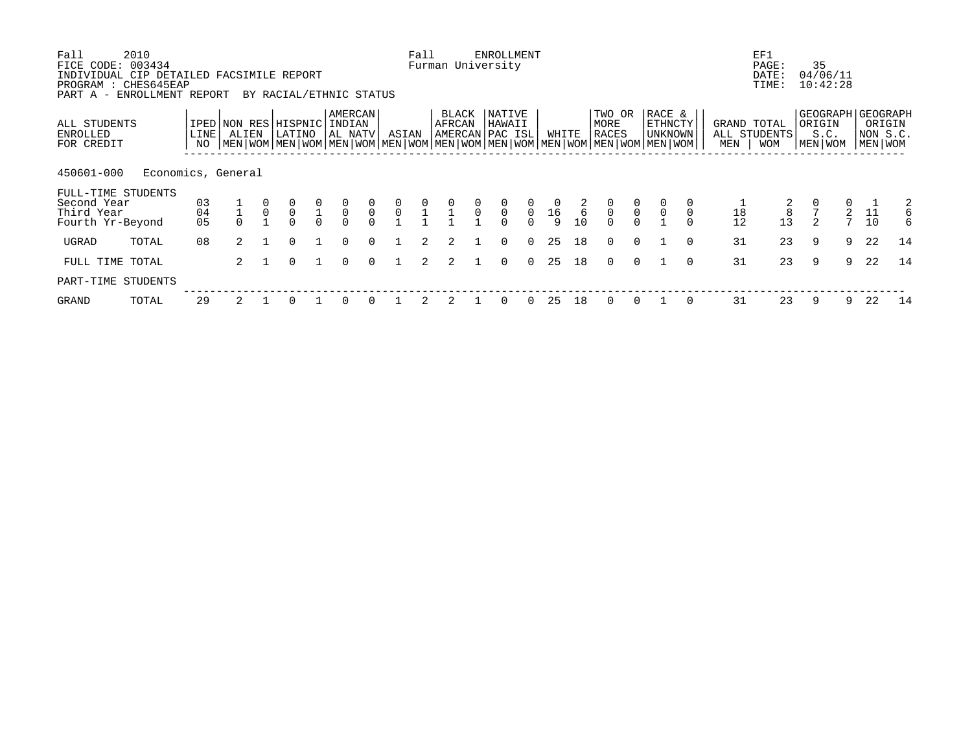| Fall<br>FICE CODE: 003434<br>PROGRAM                                              | 2010<br>INDIVIDUAL CIP DETAILED FACSIMILE REPORT<br>: CHES645EAP<br>PART A - ENROLLMENT REPORT |                |                | BY RACIAL/ETHNIC STATUS                                                                                                                              |                                           |                    |                                           |                                      | Fall           |                 |                                            | <b>ENROLLMENT</b><br>Furman University |                |                                                        |                     |                         |                                           |                                       |          |                    | EF1<br>PAGE:<br>DATE:<br>TIME: | 35                | 04/06/11<br>10:42:28 |          |                                                        |
|-----------------------------------------------------------------------------------|------------------------------------------------------------------------------------------------|----------------|----------------|------------------------------------------------------------------------------------------------------------------------------------------------------|-------------------------------------------|--------------------|-------------------------------------------|--------------------------------------|----------------|-----------------|--------------------------------------------|----------------------------------------|----------------|--------------------------------------------------------|---------------------|-------------------------|-------------------------------------------|---------------------------------------|----------|--------------------|--------------------------------|-------------------|----------------------|----------|--------------------------------------------------------|
| ALL STUDENTS<br>ENROLLED<br>FOR CREDIT                                            |                                                                                                | LINE  <br>NO   | ALIEN          | IPED NON RES HISPNIC INDIAN<br>LATINO<br>  MEN   WOM   MEN   WOM   MEN   WOM   MEN   WOM   MEN   WOM   MEN   WOM   MEN   WOM   MEN   WOM   MEN   WOM |                                           | AMERCAN<br>AL NATV |                                           | ASIAN                                |                | BLACK<br>AFRCAN |                                            | NATIVE<br>HAWAII<br>AMERCAN PAC ISL    |                | WHITE                                                  |                     | TWO OR<br>MORE<br>RACES |                                           | RACE &<br><b>ETHNCTY</b><br>  UNKNOWN |          | GRAND TOTAL<br>MEN | ALL STUDENTS<br><b>WOM</b>     | ORIGIN<br>MEN WOM | S.C.                 |          | GEOGRAPH GEOGRAPH<br>ORIGIN<br>NON S.C.<br>  MEN   WOM |
| 450601-000<br>FULL-TIME STUDENTS<br>Second Year<br>Third Year<br>Fourth Yr-Beyond | Economics, General                                                                             | 03<br>04<br>05 |                |                                                                                                                                                      | $\begin{matrix} 0 \\ 1 \\ 0 \end{matrix}$ | $\overline{0}$     | $\begin{matrix} 0 \\ 0 \\ 0 \end{matrix}$ | $\begin{matrix} 0 \\ 0 \end{matrix}$ | $\frac{0}{1}$  | $\frac{0}{1}$   | $\begin{matrix} 0 \\ 0 \\ -1 \end{matrix}$ | $\int_{0}^{0}$                         | $\overline{0}$ | $\begin{array}{c} 0 \\ 16 \end{array}$<br>$\mathsf{Q}$ | $\frac{2}{6}$<br>10 | $\frac{0}{0}$           | $\begin{matrix} 0 \\ 0 \\ 0 \end{matrix}$ | $\mathsf 0$                           |          | 18<br>12           | $\,8\,$<br>13                  | $\mathfrak{D}$    | 2<br>$\overline{7}$  | 11<br>10 | 2<br>6<br>$6\overline{6}$                              |
| UGRAD                                                                             | TOTAL                                                                                          | 08             | $\overline{a}$ | $\Omega$                                                                                                                                             |                                           | $\Omega$           | $\Omega$                                  |                                      | $\overline{2}$ | 2               |                                            | $\Omega$                               | $\Omega$       | 25                                                     | 18                  | $\Omega$                | $\Omega$                                  |                                       | $\cap$   | 31                 | 23                             | 9                 | 9                    | 22       | 14                                                     |
| FULL TIME TOTAL                                                                   |                                                                                                |                | 2              | <sup>n</sup>                                                                                                                                         |                                           | $\Omega$           | $\cap$                                    |                                      | 2              | 2               |                                            | $\Omega$                               | $\Omega$       | 25                                                     | 18                  | $\Omega$                | $\Omega$                                  |                                       | $\Omega$ | 31                 | 23                             | 9                 | 9                    | 22       | 14                                                     |
| PART-TIME STUDENTS                                                                |                                                                                                |                |                |                                                                                                                                                      |                                           |                    |                                           |                                      |                |                 |                                            |                                        |                |                                                        |                     |                         |                                           |                                       |          |                    |                                |                   |                      |          |                                                        |
| GRAND                                                                             | TOTAL                                                                                          | 29             |                |                                                                                                                                                      |                                           |                    |                                           |                                      |                |                 |                                            |                                        |                | 25                                                     | 18                  |                         |                                           |                                       |          | 31                 | 23                             | 9                 | 9                    | 22       | 14                                                     |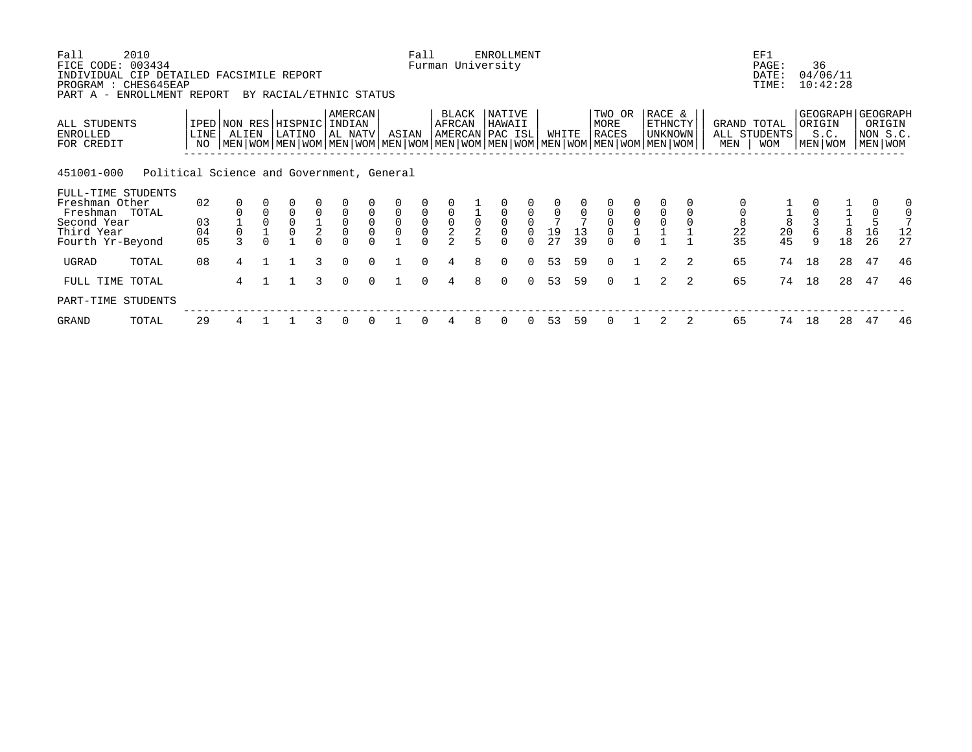| Fall<br>FICE CODE:                                                           | 2010<br>003434                            |              |                                      |                         |               |                    |             |          | Fall           |                                            |                                       | <b>ENROLLMENT</b><br>Furman University |              |                 |    |                                                                                                                                               |             |                                     |   |                    | EF1<br>PAGE:                     | 36                |                      |                                                        |                               |
|------------------------------------------------------------------------------|-------------------------------------------|--------------|--------------------------------------|-------------------------|---------------|--------------------|-------------|----------|----------------|--------------------------------------------|---------------------------------------|----------------------------------------|--------------|-----------------|----|-----------------------------------------------------------------------------------------------------------------------------------------------|-------------|-------------------------------------|---|--------------------|----------------------------------|-------------------|----------------------|--------------------------------------------------------|-------------------------------|
| INDIVIDUAL CIP DETAILED FACSIMILE REPORT<br>PROGRAM : CHES645EAP<br>PART A - | ENROLLMENT REPORT                         |              |                                      | BY RACIAL/ETHNIC STATUS |               |                    |             |          |                |                                            |                                       |                                        |              |                 |    |                                                                                                                                               |             |                                     |   |                    | DATE:<br>TIME:                   |                   | 04/06/11<br>10:42:28 |                                                        |                               |
| ALL STUDENTS<br>ENROLLED<br>FOR CREDIT                                       |                                           | LINE  <br>NO | IPED NON RES HISPNIC INDIAN<br>ALIEN | LATINO                  |               | AMERCAN<br>AL NATV |             | ASIAN    |                | BLACK<br>AFRCAN                            |                                       | NATIVE<br>HAWAII<br>AMERCAN PAC ISL    |              | WHITE           |    | TWO OR<br>MORE<br><b>RACES</b><br>  MEN   WOM   MEN   WOM   MEN   WOM   MEN   WOM   MEN   WOM   MEN   WOM   MEN   WOM   MEN   WOM   MEN   WOM |             | RACE &<br><b>ETHNCTY</b><br>UNKNOWN |   | GRAND TOTAL<br>MEN | ALL STUDENTS<br><b>WOM</b>       | ORIGIN<br>MEN WOM | S.C.                 | GEOGRAPH GEOGRAPH<br>ORIGIN<br>NON S.C.<br>  MEN   WOM |                               |
| 451001-000                                                                   | Political Science and Government, General |              |                                      |                         |               |                    |             |          |                |                                            |                                       |                                        |              |                 |    |                                                                                                                                               |             |                                     |   |                    |                                  |                   |                      |                                                        |                               |
| FULL-TIME STUDENTS<br>Freshman Other<br>Freshman                             | TOTAL                                     | 02           |                                      | $\Omega$                | $\mathbf 0$   | $\mathbf 0$        | $\Omega$    | $\Omega$ | $\mathbf 0$    | $\Omega$                                   |                                       | 0                                      | $\mathbf 0$  | $\Omega$        |    | $\Omega$                                                                                                                                      | $\mathbf 0$ | $\Omega$                            |   |                    |                                  |                   |                      | 0                                                      | $\overline{0}$<br>$\mathbf 0$ |
| Second Year<br>Third Year                                                    |                                           | 03<br>04     |                                      | 0                       | $\frac{1}{2}$ | $\overline{0}$     | $\mathsf 0$ | 0        | $\overline{0}$ | $\begin{array}{c} 0 \\ 2 \\ 2 \end{array}$ | $\mathsf{O}\xspace$<br>$\overline{2}$ | 0                                      | $\mathsf{O}$ |                 | 13 | $\overline{0}$                                                                                                                                |             |                                     |   | 8<br>22            | $\frac{1}{8}$<br>$\frac{20}{45}$ | 6                 | $\,8\,$              | $\frac{5}{16}$                                         | 12                            |
| Fourth Yr-Beyond                                                             |                                           | 05           |                                      |                         |               |                    |             |          |                |                                            |                                       |                                        | $\Omega$     | $\frac{19}{27}$ | 39 | $\Omega$                                                                                                                                      |             |                                     |   | 35                 |                                  | 9                 | 18                   |                                                        | 27                            |
| UGRAD                                                                        | TOTAL                                     | 08           | 4                                    |                         | 3             | $\Omega$           | $\Omega$    |          | $\Omega$       | 4                                          | 8                                     | 0                                      | $\Omega$     | 53              | 59 | $\Omega$                                                                                                                                      |             | 2                                   | 2 | 65                 | 74                               | 18                | 28                   | 47                                                     | 46                            |
| FULL TIME TOTAL                                                              |                                           |              | 4                                    |                         | 3             | $\Omega$           |             |          |                |                                            |                                       |                                        | $\Omega$     | 53              | 59 | $\Omega$                                                                                                                                      |             | 2                                   | 2 | 65                 | 74                               | 18                | 28                   | 47                                                     | 46                            |
| PART-TIME STUDENTS                                                           |                                           |              |                                      |                         |               |                    |             |          |                |                                            |                                       |                                        |              |                 |    |                                                                                                                                               |             |                                     |   |                    |                                  |                   |                      |                                                        |                               |
| GRAND                                                                        | TOTAL                                     | 29           | 4                                    |                         | 3             | 0                  | 0           |          |                | 4                                          | 8                                     | 0                                      | 0            | 53              | 59 | 0                                                                                                                                             |             | 2                                   |   | 65                 | 74                               | 18                | 28                   | 47                                                     | 46                            |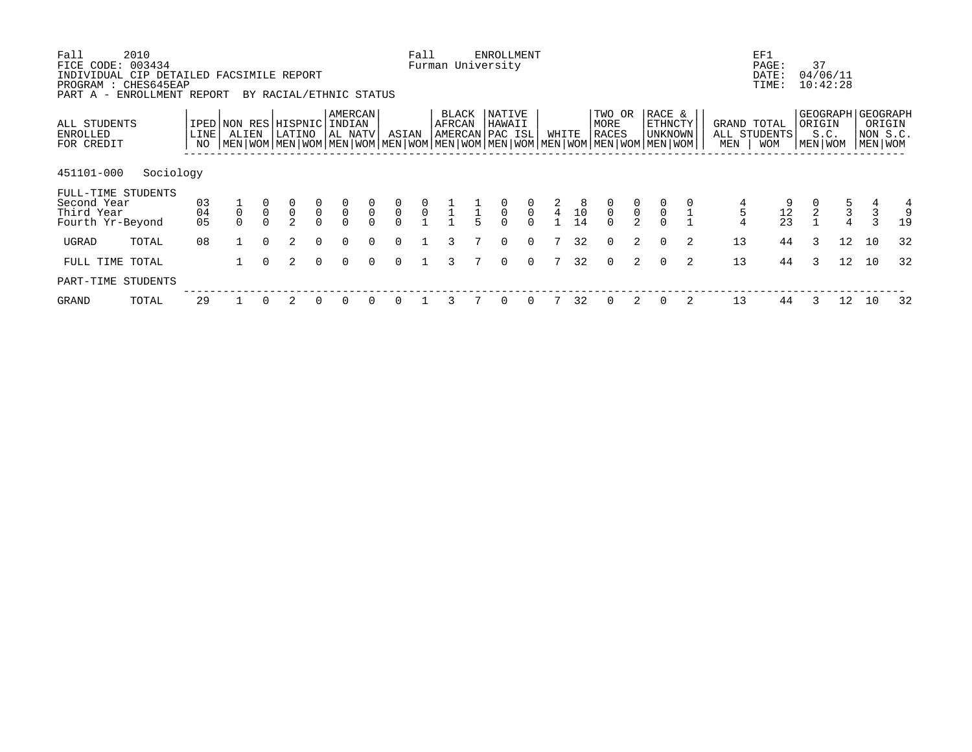| Fall<br>2010<br>FICE CODE: 003434<br>INDIVIDUAL CIP DETAILED FACSIMILE REPORT<br>PROGRAM : CHES645EAP<br>ENROLLMENT REPORT<br>PART A - |                   |       |          | BY RACIAL/ETHNIC STATUS                                                                                                                            |                                           |                                           |                                           |                                           | Fall                                      | Furman University                   |               | <b>ENROLLMENT</b> |                                           |                 |          |                                |                                           |                                |   |                    | EF1<br>PAGE:<br>DATE:<br>TIME: | 37<br>04/06/11<br>10:42:28 |                                            |                                                        |              |
|----------------------------------------------------------------------------------------------------------------------------------------|-------------------|-------|----------|----------------------------------------------------------------------------------------------------------------------------------------------------|-------------------------------------------|-------------------------------------------|-------------------------------------------|-------------------------------------------|-------------------------------------------|-------------------------------------|---------------|-------------------|-------------------------------------------|-----------------|----------|--------------------------------|-------------------------------------------|--------------------------------|---|--------------------|--------------------------------|----------------------------|--------------------------------------------|--------------------------------------------------------|--------------|
| ALL STUDENTS<br>ENROLLED<br>FOR CREDIT                                                                                                 | <b>LINE</b><br>NO | ALIEN |          | IPED NON RES HISPNIC INDIAN<br>LATINO<br>NEN   WOM   MEN   WOM   MEN   WOM   MEN   WOM   MEN   WOM   MEN   WOM   MEN   WOM   MEN   WOM   MEN   WOM |                                           | AMERCAN<br>  AL NATV                      |                                           | ASIAN                                     |                                           | BLACK<br>AFRCAN<br> AMERCAN PAC ISL |               | NATIVE<br>HAWAII  |                                           | WHITE           |          | TWO OR<br>MORE<br><b>RACES</b> |                                           | RACE &<br>ETHNCTY<br>  UNKNOWN |   | GRAND TOTAL<br>MEN | ALL STUDENTS<br><b>WOM</b>     | ORIGIN<br>S.C.<br>MEN WOM  |                                            | GEOGRAPH GEOGRAPH<br>ORIGIN<br>NON S.C.<br>  MEN   WOM |              |
| 451101-000                                                                                                                             | Sociology         |       |          |                                                                                                                                                    |                                           |                                           |                                           |                                           |                                           |                                     |               |                   |                                           |                 |          |                                |                                           |                                |   |                    |                                |                            |                                            |                                                        |              |
| FULL-TIME STUDENTS<br>Second Year<br>Third Year<br>Fourth Yr-Beyond                                                                    | 03<br>04<br>05    |       |          |                                                                                                                                                    | $\begin{matrix} 0 \\ 0 \\ 0 \end{matrix}$ | $\begin{matrix} 0 \\ 0 \\ 0 \end{matrix}$ | $\begin{matrix} 0 \\ 0 \\ 0 \end{matrix}$ | $\begin{matrix} 0 \\ 0 \\ 0 \end{matrix}$ | $\begin{matrix} 0 \\ 0 \\ 1 \end{matrix}$ |                                     | $\frac{1}{5}$ | $\overline{0}$    | $\begin{matrix} 0 \\ 0 \\ 0 \end{matrix}$ | $\frac{2}{4}$   | $10^{8}$ | $\frac{0}{0}$                  | $\begin{matrix} 0 \\ 0 \\ 2 \end{matrix}$ | $\frac{0}{0}$                  |   | 5                  | $\frac{12}{23}$                | $\frac{0}{2}$              | $\begin{array}{c} 5 \\ 3 \\ 4 \end{array}$ |                                                        | 4<br>9<br>19 |
| UGRAD<br>TOTAL                                                                                                                         | 08                |       | $\Omega$ | $\overline{a}$                                                                                                                                     | $\Omega$                                  | $\Omega$                                  |                                           | $\Omega$                                  |                                           |                                     |               | 0                 | $\Omega$                                  | 7               | 32       | $\Omega$                       | 2                                         | $\Omega$                       | 2 | 13                 | 44                             | 3                          | 12                                         | 10                                                     | 32           |
| FULL TIME TOTAL                                                                                                                        |                   |       | $\Omega$ | $\mathcal{L}$                                                                                                                                      | $\Omega$                                  | $\Omega$                                  | $\cap$                                    | $\Omega$                                  |                                           | ς                                   |               | $\Omega$          | $\Omega$                                  | $7\overline{ }$ | 32       | $\Omega$                       | 2                                         | $\Omega$                       | 2 | 13                 | 44                             | 3                          | 12 <sup>°</sup>                            | 10                                                     | 32           |
| PART-TIME STUDENTS                                                                                                                     |                   |       |          |                                                                                                                                                    |                                           |                                           |                                           |                                           |                                           |                                     |               |                   |                                           |                 |          |                                |                                           |                                |   |                    |                                |                            |                                            |                                                        |              |
| GRAND<br>TOTAL                                                                                                                         | 29                |       |          |                                                                                                                                                    |                                           |                                           |                                           |                                           |                                           |                                     |               |                   |                                           |                 | 32       |                                |                                           |                                |   | 13                 | 44                             |                            | 12                                         | 10                                                     | 32           |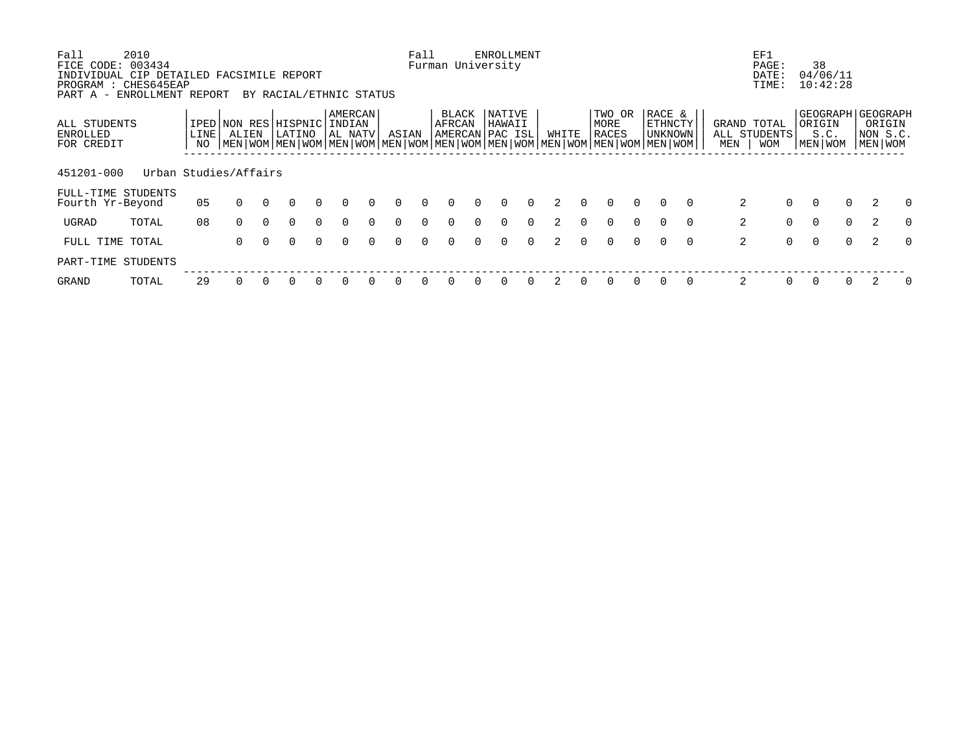| Fall                   | 2010                                               |            |                                                                                                                      |          |                         |          |                          |          |          | Fall     |                   |          | <b>ENROLLMENT</b> |          |               |          |                |          |                          |          |     | EF1                        |                |                             |          |                     |          |
|------------------------|----------------------------------------------------|------------|----------------------------------------------------------------------------------------------------------------------|----------|-------------------------|----------|--------------------------|----------|----------|----------|-------------------|----------|-------------------|----------|---------------|----------|----------------|----------|--------------------------|----------|-----|----------------------------|----------------|-----------------------------|----------|---------------------|----------|
| FICE CODE:             | 003434<br>INDIVIDUAL CIP DETAILED FACSIMILE REPORT |            |                                                                                                                      |          |                         |          |                          |          |          |          | Furman University |          |                   |          |               |          |                |          |                          |          |     | PAGE:<br>DATE:             |                | 38<br>04/06/11              |          |                     |          |
| PART A -               | PROGRAM : CHES645EAP<br>ENROLLMENT REPORT          |            |                                                                                                                      |          | BY RACIAL/ETHNIC STATUS |          |                          |          |          |          |                   |          |                   |          |               |          |                |          |                          |          |     | TIME:                      |                | 10:42:28                    |          |                     |          |
| ALL STUDENTS           |                                                    |            | IPED NON RES                                                                                                         |          | 'HISPNIC                |          | <b>AMERCAN</b><br>INDIAN |          |          |          | BLACK<br>AFRCAN   |          | NATIVE<br>HAWAII  |          |               |          | TWO OR<br>MORE |          | RACE &<br><b>ETHNCTY</b> |          |     | GRAND TOTAL                |                | GEOGRAPH GEOGRAPH<br>ORIGIN |          | ORIGIN              |          |
| ENROLLED<br>FOR CREDIT |                                                    | LINE<br>NO | ALIEN<br>  MEN   WOM   MEN   WOM   MEN   WOM   MEN   WOM   MEN   WOM   MEN   WOM   MEN   WOM   MEN   WOM   MEN   WOM |          | LATINO                  |          | AL NATV                  |          | ASIAN    |          | AMERCAN PAC ISL   |          |                   |          | WHITE         |          | <b>RACES</b>   |          | UNKNOWN                  |          | MEN | ALL STUDENTS<br><b>WOM</b> |                | S.C.<br>MEN WOM             |          | NON S.C.<br>MEN WOM |          |
| 451201-000             | Urban Studies/Affairs                              |            |                                                                                                                      |          |                         |          |                          |          |          |          |                   |          |                   |          |               |          |                |          |                          |          |     |                            |                |                             |          |                     |          |
| Fourth Yr-Beyond       | FULL-TIME STUDENTS                                 | 05         | $\Omega$                                                                                                             | $\Omega$ | $\Omega$                | $\Omega$ | $\Omega$                 | $\Omega$ | $\Omega$ | $\Omega$ | $\Omega$          | $\Omega$ | $\Omega$          | $\Omega$ | 2             | $\Omega$ | $\Omega$       | $\Omega$ | $\Omega$                 | $\Omega$ |     | 2                          | $\overline{0}$ | $\Omega$                    | $\Omega$ | 2                   | $\Omega$ |
| UGRAD                  | TOTAL                                              | 08         | $\Omega$                                                                                                             | $\Omega$ | $\Omega$                | $\Omega$ | $\Omega$                 | $\Omega$ | $\Omega$ | $\Omega$ | $\Omega$          | $\Omega$ | $\Omega$          | $\Omega$ | $\mathcal{L}$ | $\Omega$ | $\Omega$       | $\Omega$ | $\Omega$                 | $\Omega$ |     | 2                          | $\overline{0}$ | 0                           | $\Omega$ | 2                   | $\Omega$ |
| FULL TIME TOTAL        |                                                    |            | $\Omega$                                                                                                             | $\Omega$ | $\Omega$                | $\Omega$ | $\Omega$                 | $\Omega$ | $\Omega$ | $\Omega$ | $\Omega$          | $\Omega$ | $\Omega$          | $\Omega$ |               | $\Omega$ | $\Omega$       | $\Omega$ | $\Omega$                 | $\Omega$ |     | 2                          | $\overline{0}$ | $\Omega$                    | $\Omega$ | 2                   | $\Omega$ |
|                        | PART-TIME STUDENTS                                 |            |                                                                                                                      |          |                         |          |                          |          |          |          |                   |          |                   |          |               |          |                |          |                          |          |     |                            |                |                             |          |                     |          |
| GRAND                  | TOTAL                                              | 29         |                                                                                                                      |          |                         |          |                          |          |          |          |                   |          | 0                 | $\Omega$ |               |          | O              |          |                          | $\Omega$ |     | 2                          | $\Omega$       | $\Omega$                    |          |                     | $\Omega$ |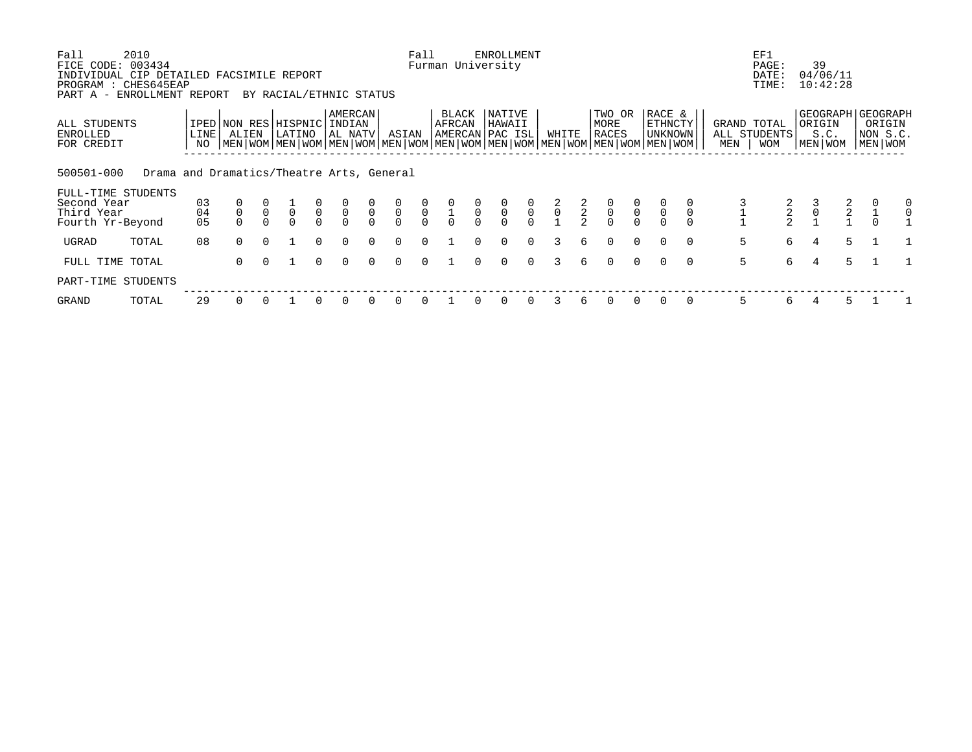| Fall<br>FICE CODE:<br>INDIVIDUAL CIP DETAILED FACSIMILE REPORT<br>PROGRAM : CHES645EAP | 2010<br>003434                            |                |                               |                |                                   |                |                              |                            |                           | Fall                                      |                                           |               | <b>ENROLLMENT</b><br>Furman University |                                           |               |               |                                           |                                           |                                                                                                                                             | EF1                                | PAGE:<br>DATE:<br>TIME: | 39<br>04/06/11<br>10:42:28                       |               |                     |               |
|----------------------------------------------------------------------------------------|-------------------------------------------|----------------|-------------------------------|----------------|-----------------------------------|----------------|------------------------------|----------------------------|---------------------------|-------------------------------------------|-------------------------------------------|---------------|----------------------------------------|-------------------------------------------|---------------|---------------|-------------------------------------------|-------------------------------------------|---------------------------------------------------------------------------------------------------------------------------------------------|------------------------------------|-------------------------|--------------------------------------------------|---------------|---------------------|---------------|
| PART A - ENROLLMENT REPORT<br>ALL STUDENTS<br>ENROLLED<br>FOR CREDIT                   |                                           | LINE<br>NO     | IPED NON RES HISPNIC<br>ALIEN |                | BY RACIAL/ETHNIC STATUS<br>LATINO |                | AMERCAN<br>INDIAN<br>AL NATV |                            | ASIAN                     |                                           | BLACK<br>AFRCAN                           |               | NATIVE<br>HAWAII<br>AMERCAN PAC ISL    |                                           | WHITE         |               | TWO OR<br>MORE<br>RACES                   |                                           | RACE &<br>ETHNCTY<br>UNKNOWN<br>  MEN   WOM   MEN   WOM   MEN   WOM   MEN   WOM   MEN   WOM   MEN   WOM   MEN   WOM   MEN   WOM   MEN   WOM | GRAND TOTAL<br>ALL STUDENTS<br>MEN | <b>WOM</b>              | GEOGRAPH   GEOGRAPH<br>ORIGIN<br>S.C.<br>MEN WOM |               | NON S.C.<br>MEN WOM | ORIGIN        |
| 500501-000<br>FULL-TIME STUDENTS<br>Second Year<br>Third Year<br>Fourth Yr-Beyond      | Drama and Dramatics/Theatre Arts, General | 03<br>04<br>05 | $\mathsf 0$                   | $\overline{0}$ | $\mathsf{O}\xspace$<br>$\Omega$   | $\overline{0}$ | $\overline{0}$               | $\overline{0}$<br>$\Omega$ | $\frac{0}{0}$<br>$\Omega$ | $\begin{matrix} 0 \\ 0 \\ 0 \end{matrix}$ | $\begin{matrix} 0 \\ 1 \\ 0 \end{matrix}$ | $\frac{0}{0}$ | $\frac{0}{0}$<br>$\Omega$              | $\begin{matrix} 0 \\ 0 \\ 0 \end{matrix}$ | $\frac{2}{0}$ | $\frac{2}{2}$ | $\begin{matrix} 0 \\ 0 \\ 0 \end{matrix}$ | $\begin{matrix} 0 \\ 0 \\ 0 \end{matrix}$ | $\mathsf 0$<br>$\mathsf 0$                                                                                                                  |                                    | $\frac{2}{2}$           | $\frac{3}{0}$                                    | $\frac{2}{2}$ |                     | 0<br>$\Omega$ |
| UGRAD                                                                                  | TOTAL                                     | 08             | $\cap$                        | $\cap$         |                                   | $\Omega$       | $\Omega$                     | $\cap$                     | $\Omega$                  | $\Omega$                                  |                                           | $\cap$        | $\Omega$                               | $\Omega$                                  | 3             | б.            | $\Omega$                                  | $\Omega$                                  | $\Omega$<br>$\Omega$                                                                                                                        | 5                                  | 6                       | 4                                                | 5             |                     |               |
| FULL TIME TOTAL                                                                        |                                           |                | $\Omega$                      | $\Omega$       |                                   | $\Omega$       | $\Omega$                     | $\Omega$                   | $\Omega$                  | $\Omega$                                  |                                           | $\Omega$      | 0                                      | $\Omega$                                  | 3             | 6             | $\Omega$                                  | $\Omega$                                  | $\Omega$<br>$\Omega$                                                                                                                        | 5                                  | 6                       | 4                                                | 5             |                     |               |
| PART-TIME STUDENTS                                                                     |                                           |                |                               |                |                                   |                |                              |                            |                           |                                           |                                           |               |                                        |                                           |               |               |                                           |                                           |                                                                                                                                             |                                    |                         |                                                  |               |                     |               |
| GRAND                                                                                  | TOTAL                                     | 29             |                               |                |                                   |                | $\Omega$                     |                            | 0                         |                                           |                                           |               |                                        |                                           |               | 6             |                                           |                                           |                                                                                                                                             | 5                                  | 6                       |                                                  | 5.            |                     |               |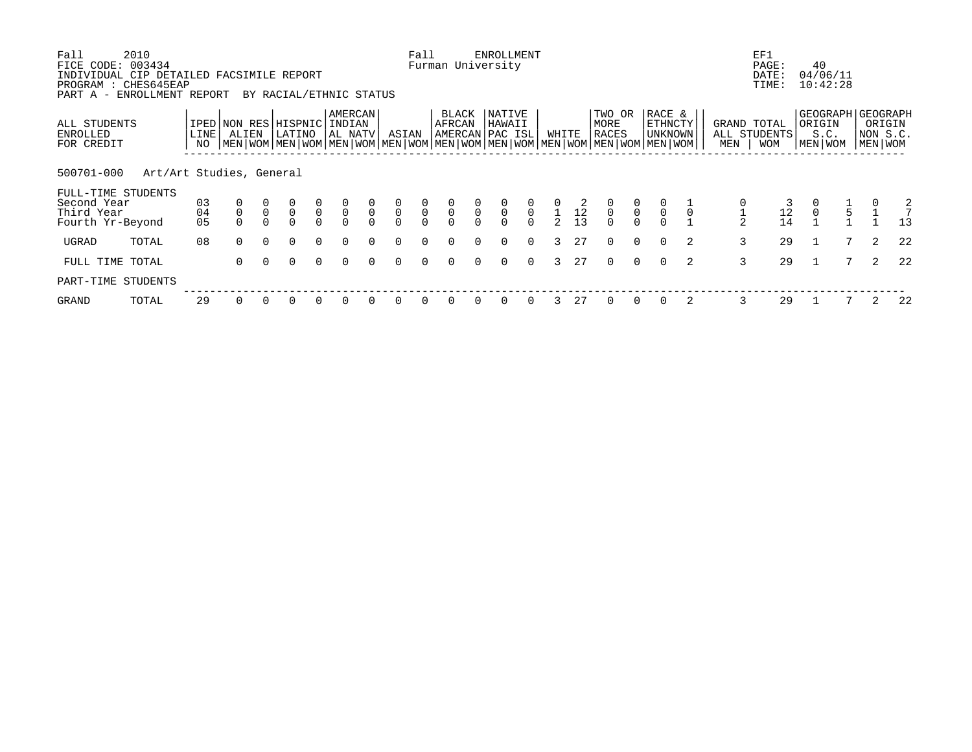| Fall<br>FICE CODE: 003434<br>INDIVIDUAL CIP DETAILED FACSIMILE REPORT<br>PROGRAM : CHES645EAP | 2010                     |                |             |              |                                |                            |                                      |                          |                           | Fall                                      |                                           |               | <b>ENROLLMENT</b><br>Furman University |                                           |               |                                      |                         |                                           |                                                                                                                                             |   |                                    | EF1<br>PAGE:<br>DATE:<br>TIME: | 40                | 04/06/11<br>10:42:28 |   |                                                      |
|-----------------------------------------------------------------------------------------------|--------------------------|----------------|-------------|--------------|--------------------------------|----------------------------|--------------------------------------|--------------------------|---------------------------|-------------------------------------------|-------------------------------------------|---------------|----------------------------------------|-------------------------------------------|---------------|--------------------------------------|-------------------------|-------------------------------------------|---------------------------------------------------------------------------------------------------------------------------------------------|---|------------------------------------|--------------------------------|-------------------|----------------------|---|------------------------------------------------------|
| PART A - ENROLLMENT REPORT                                                                    |                          |                |             |              | BY RACIAL/ETHNIC STATUS        |                            |                                      |                          |                           |                                           |                                           |               |                                        |                                           |               |                                      |                         |                                           |                                                                                                                                             |   |                                    |                                |                   |                      |   |                                                      |
| ALL STUDENTS<br>ENROLLED<br>FOR CREDIT                                                        |                          | LINE<br>NO     | ALIEN       |              | IPED NON RES HISPNIC<br>LATINO |                            | AMERCAN<br>INDIAN<br>AL NATV         |                          | ASIAN                     |                                           | BLACK<br>AFRCAN                           |               | NATIVE<br>HAWAII<br>AMERCAN PAC ISL    |                                           |               | WHITE                                | TWO OR<br>MORE<br>RACES |                                           | RACE &<br>ETHNCTY<br>UNKNOWN<br>  MEN   WOM   MEN   WOM   MEN   WOM   MEN   WOM   MEN   WOM   MEN   WOM   MEN   WOM   MEN   WOM   MEN   WOM |   | GRAND TOTAL<br>ALL STUDENTS<br>MEN | <b>WOM</b>                     | ORIGIN<br>MEN WOM | S.C.                 |   | GEOGRAPH   GEOGRAPH<br>ORIGIN<br>NON S.C.<br>MEN WOM |
| 500701-000                                                                                    | Art/Art Studies, General |                |             |              |                                |                            |                                      |                          |                           |                                           |                                           |               |                                        |                                           |               |                                      |                         |                                           |                                                                                                                                             |   |                                    |                                |                   |                      |   |                                                      |
| FULL-TIME STUDENTS<br>Second Year<br>Third Year<br>Fourth Yr-Beyond                           |                          | 03<br>04<br>05 | $\mathsf 0$ | $\mathsf{O}$ | $\overline{0}$<br>$\Omega$     | $\overline{0}$<br>$\Omega$ | $\begin{matrix} 0 \\ 0 \end{matrix}$ | $\mathsf{O}$<br>$\Omega$ | $\frac{0}{0}$<br>$\Omega$ | $\begin{matrix} 0 \\ 0 \\ 0 \end{matrix}$ | $\begin{matrix} 0 \\ 0 \\ 0 \end{matrix}$ | $\frac{0}{0}$ | $\frac{0}{0}$                          | $\begin{matrix} 0 \\ 0 \\ 0 \end{matrix}$ | $\mathcal{L}$ | $\overline{1}$ $\overline{12}$<br>13 | $\mathsf 0$<br>$\cap$   | $\begin{matrix} 0 \\ 0 \\ 0 \end{matrix}$ | $\overline{0}$                                                                                                                              |   |                                    | 12<br>14                       | $\mathbf 0$       | 5                    |   | $\frac{2}{7}$<br>13                                  |
| UGRAD                                                                                         | TOTAL                    | 08             | $\Omega$    | $\Omega$     | $\Omega$                       | $\Omega$                   | $\Omega$                             | $\Omega$                 | $\Omega$                  | $\Omega$                                  | $\Omega$                                  | $\cap$        | $\Omega$                               | $\Omega$                                  | 3             | 27                                   | $\Omega$                | $\Omega$                                  | $\Omega$                                                                                                                                    | 2 | 3                                  | 29                             |                   |                      | 2 | 22                                                   |
| FULL TIME TOTAL                                                                               |                          |                | $\Omega$    | $\Omega$     | $\Omega$                       | $\Omega$                   | $\Omega$                             | $\Omega$                 | 0                         | $\Omega$                                  | $\Omega$                                  | $\Omega$      | 0                                      | $\Omega$                                  | 3             | 27                                   | $\Omega$                | $\Omega$                                  | $\Omega$                                                                                                                                    | 2 | 3                                  | 29                             |                   | 7                    | 2 | 22                                                   |
| PART-TIME STUDENTS                                                                            |                          |                |             |              |                                |                            |                                      |                          |                           |                                           |                                           |               |                                        |                                           |               |                                      |                         |                                           |                                                                                                                                             |   |                                    |                                |                   |                      |   |                                                      |
| GRAND                                                                                         | TOTAL                    | 29             |             |              |                                |                            | $\Omega$                             |                          | 0                         |                                           |                                           |               | 0                                      |                                           |               | 27                                   |                         |                                           |                                                                                                                                             |   | 3                                  | 29                             |                   |                      |   | 22                                                   |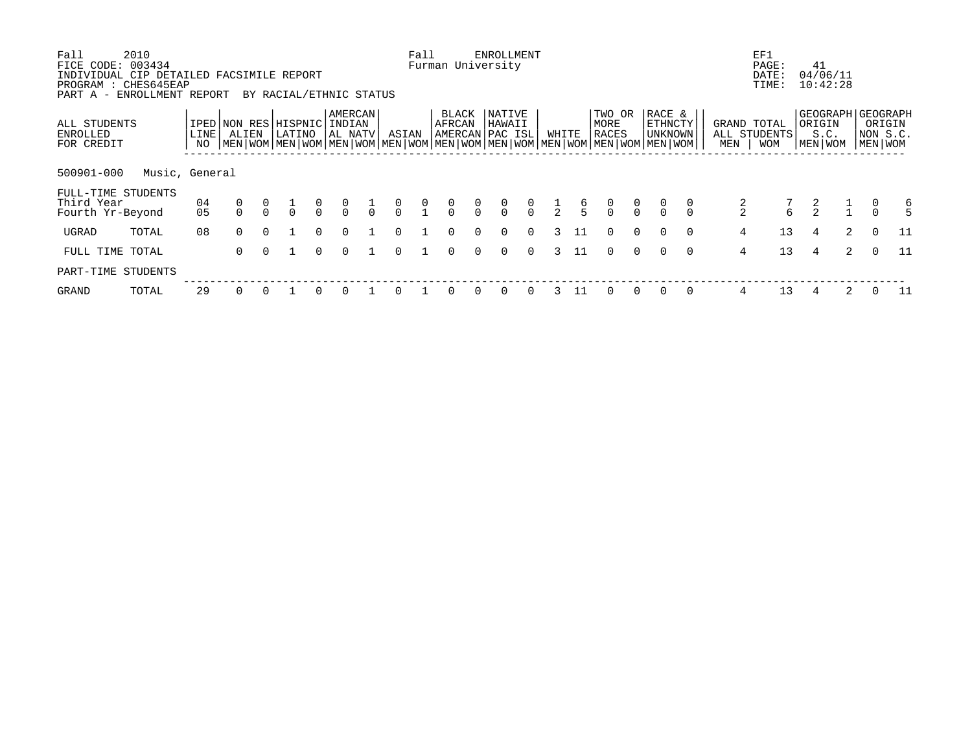| Fall<br>FICE CODE:<br>INDIVIDUAL CIP DETAILED FACSIMILE REPORT<br>PROGRAM : CHES645EAP<br>PART A - ENROLLMENT REPORT | 2010<br>003434 |              |                       |          | BY RACIAL/ETHNIC STATUS |                |                              |               |                                      | Fall                                           |                 |               | <b>ENROLLMENT</b><br>Furman University |               |             |               |                         |          |                                                                                                                                             |          |               | EF1<br>PAGE:<br>DATE:<br>TIME:            | 41                    | 04/06/11<br>10:42:28 |          |                                                      |
|----------------------------------------------------------------------------------------------------------------------|----------------|--------------|-----------------------|----------|-------------------------|----------------|------------------------------|---------------|--------------------------------------|------------------------------------------------|-----------------|---------------|----------------------------------------|---------------|-------------|---------------|-------------------------|----------|---------------------------------------------------------------------------------------------------------------------------------------------|----------|---------------|-------------------------------------------|-----------------------|----------------------|----------|------------------------------------------------------|
| ALL STUDENTS<br><b>ENROLLED</b><br>FOR CREDIT                                                                        |                | LINE  <br>NO | IPED NON RES<br>ALIEN |          | HISPNIC<br>LATINO       |                | AMERCAN<br>INDIAN<br>AL NATV |               | ASIAN                                |                                                | BLACK<br>AFRCAN |               | NATIVE<br>HAWAII<br> AMERCAN PAC ISL   |               | WHITE       |               | TWO OR<br>MORE<br>RACES |          | RACE &<br>ETHNCTY<br>UNKNOWN<br>  MEN   WOM   MEN   WOM   MEN   WOM   MEN   WOM   MEN   WOM   MEN   WOM   MEN   WOM   MEN   WOM   MEN   WOM |          | MEN           | GRAND TOTAL<br>ALL STUDENTS<br><b>WOM</b> | ORIGIN<br>  MEN   WOM | S.C.                 |          | GEOGRAPH   GEOGRAPH<br>ORIGIN<br>NON S.C.<br>MEN WOM |
| 500901-000                                                                                                           | Music, General |              |                       |          |                         |                |                              |               |                                      |                                                |                 |               |                                        |               |             |               |                         |          |                                                                                                                                             |          |               |                                           |                       |                      |          |                                                      |
| FULL-TIME STUDENTS<br>Third Year<br>Fourth Yr-Beyond                                                                 |                | 04<br>05     |                       |          | $\frac{1}{1}$           | $\int_{0}^{0}$ | $\frac{0}{0}$                | $\frac{1}{0}$ | $\begin{matrix} 0 \\ 0 \end{matrix}$ | $\begin{smallmatrix} 0 \\ 1 \end{smallmatrix}$ | $\frac{0}{0}$   | $\frac{0}{0}$ | $\frac{0}{0}$                          | $\frac{0}{0}$ | $rac{1}{2}$ | $\frac{6}{5}$ | $\int_{0}^{0}$          | $\alpha$ |                                                                                                                                             |          | $\frac{2}{2}$ | 7<br>6                                    |                       |                      |          | 6                                                    |
| UGRAD                                                                                                                | TOTAL          | 08           | $\Omega$              | $\Omega$ |                         | $\Omega$       | $\Omega$                     |               | $\Omega$                             |                                                | $\Omega$        | $\Omega$      | $\Omega$                               | $\Omega$      | 3           | - 11          | $\Omega$                | $\Omega$ |                                                                                                                                             | $\Omega$ | 4             | 13                                        | 4                     | 2                    | $\Omega$ | 11                                                   |
| FULL TIME TOTAL                                                                                                      |                |              | $\Omega$              | $\cap$   |                         | $\Omega$       | $\Omega$                     |               | $\Omega$                             |                                                | $\Omega$        | $\cap$        | $\Omega$                               | $\Omega$      | 3           | 11            | $\Omega$                | $\Omega$ |                                                                                                                                             | $\Omega$ | 4             | 13                                        | 4                     | 2                    | $\Omega$ | 11                                                   |
| PART-TIME STUDENTS                                                                                                   |                |              |                       |          |                         |                |                              |               |                                      |                                                |                 |               |                                        |               |             |               |                         |          |                                                                                                                                             |          |               |                                           |                       |                      |          |                                                      |
| GRAND                                                                                                                | TOTAL          | 29           |                       |          |                         | $\Omega$       | $\Omega$                     |               | <sup>0</sup>                         |                                                |                 |               | 0                                      | $\Omega$      |             | 11            |                         | $\Omega$ |                                                                                                                                             | $\Omega$ | 4             | 13                                        |                       | 2                    |          | 11                                                   |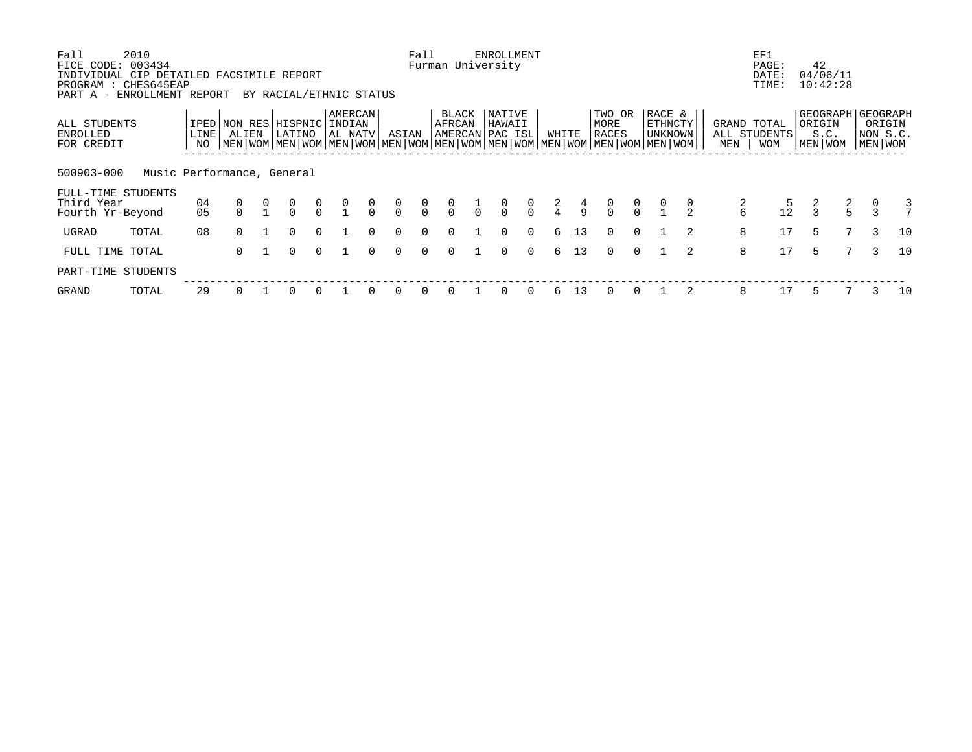| Fall<br>FICE CODE:<br>INDIVIDUAL CIP DETAILED FACSIMILE REPORT<br>PROGRAM : CHES645EAP | 2010<br>003434             |              |                                                                                                                      |                                      |                |                                      |               |                                      | Fall           |                 |               | ENROLLMENT<br>Furman University |                |               |               |                                      |                |                   |               |               | EF1<br>PAGE:<br>DATE:<br>TIME: | 42            | 04/06/11<br>10:42:28 |               |                               |
|----------------------------------------------------------------------------------------|----------------------------|--------------|----------------------------------------------------------------------------------------------------------------------|--------------------------------------|----------------|--------------------------------------|---------------|--------------------------------------|----------------|-----------------|---------------|---------------------------------|----------------|---------------|---------------|--------------------------------------|----------------|-------------------|---------------|---------------|--------------------------------|---------------|----------------------|---------------|-------------------------------|
| PART A - ENROLLMENT REPORT<br>ALL STUDENTS                                             |                            |              | IPED NON RES                                                                                                         | BY RACIAL/ETHNIC STATUS<br>HISPNIC   |                | AMERCAN<br>INDIAN                    |               |                                      |                | BLACK<br>AFRCAN |               | NATIVE<br>HAWAII                |                |               |               | TWO OR<br>MORE                       |                | RACE &<br>ETHNCTY |               |               | GRAND TOTAL                    | ORIGIN        |                      |               | GEOGRAPH   GEOGRAPH<br>ORIGIN |
| <b>ENROLLED</b><br>FOR CREDIT<br>500903-000                                            | Music Performance, General | LINE  <br>NO | ALIEN<br>  MEN   WOM   MEN   WOM   MEN   WOM   MEN   WOM   MEN   WOM   MEN   WOM   MEN   WOM   MEN   WOM   MEN   WOM | LATINO                               |                | AL NATV                              |               | ASIAN                                |                |                 |               | AMERCAN PAC ISL                 |                | WHITE         |               | RACES                                |                | UNKNOWN           |               | MEN           | ALL STUDENTS<br><b>WOM</b>     | MEN   WOM     | S.C.                 |               | NON S.C.<br>  MEN   WOM       |
| FULL-TIME STUDENTS<br>Third Year<br>Fourth Yr-Beyond                                   |                            | 04<br>05     | 0                                                                                                                    | $\begin{matrix} 0 \\ 0 \end{matrix}$ | $\int_{0}^{0}$ | $\begin{matrix} 0 \\ 1 \end{matrix}$ | $\frac{0}{0}$ | $\begin{matrix} 0 \\ 0 \end{matrix}$ | $\int_{0}^{0}$ | $\frac{0}{0}$   | $\frac{1}{1}$ | $\frac{0}{0}$                   | $\int_{0}^{0}$ | $\frac{2}{4}$ | $\frac{4}{9}$ | $\begin{matrix} 0 \\ 0 \end{matrix}$ | $\int_{0}^{0}$ | $\frac{0}{1}$     | $\frac{0}{2}$ | $\frac{2}{6}$ | $\frac{5}{12}$                 | $\frac{2}{3}$ | $\frac{2}{5}$        | $\frac{0}{3}$ | 3                             |
| UGRAD                                                                                  | TOTAL                      | 08           | $\Omega$                                                                                                             | 0                                    | $\Omega$       |                                      | $\Omega$      | $\Omega$                             | $\Omega$       | 0               |               | $\Omega$                        | $\Omega$       | 6             | 13            | $\Omega$                             | $\Omega$       |                   | 2             | 8             | 17                             | 5             | 7                    | 3             | 10                            |
| FULL TIME TOTAL<br>PART-TIME STUDENTS                                                  |                            |              | $\Omega$                                                                                                             | $\Omega$                             | $\Omega$       |                                      | $\Omega$      | $\Omega$                             | $\Omega$       | 0               |               | $\Omega$                        | $\Omega$       | 6             | 13            | $\Omega$                             | $\Omega$       |                   | $\mathcal{L}$ | 8             | 17                             | 5             |                      | 3             | 10                            |
| GRAND                                                                                  | TOTAL                      | 29           | 0                                                                                                                    |                                      | $\Omega$       |                                      | $\Omega$      | $\Omega$                             | 0              | <sup>0</sup>    |               | 0                               | 0              | 6             | 13            | $\Omega$                             | $\Omega$       |                   |               | 8             | 17                             | 5             |                      | 3             | 10                            |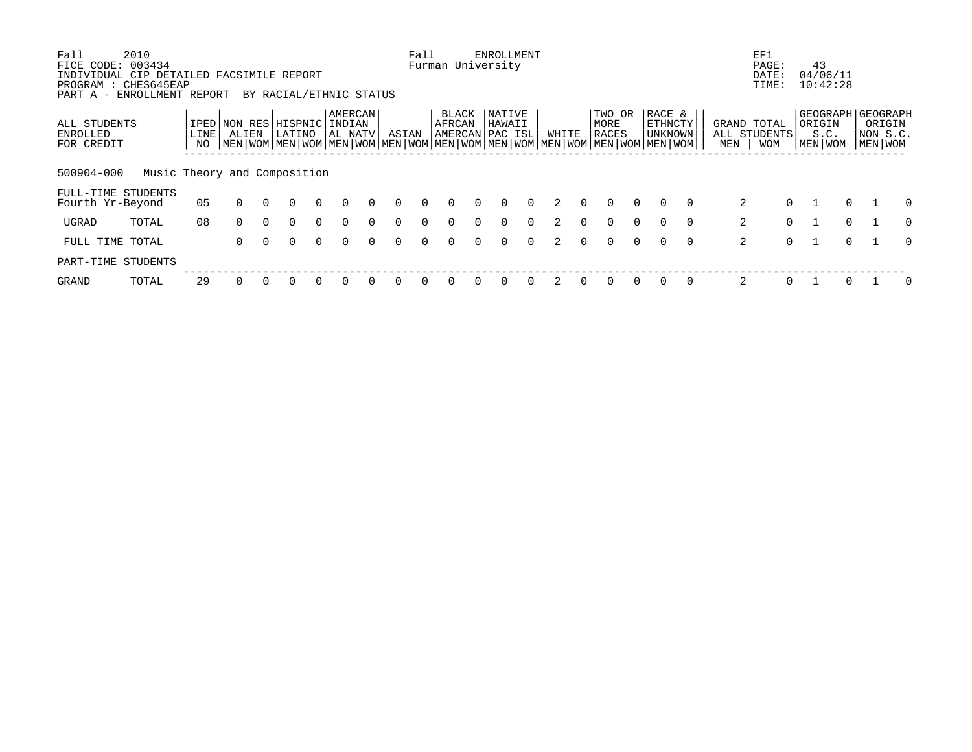| Fall                            | 2010                                      |      |                       |          |                                                                                                           |          |                     |          |          | Fall     |                           |          | <b>ENROLLMENT</b> |          |       |          |               |          |                    |          |     | EF1                         |          |                     |          |                    |          |
|---------------------------------|-------------------------------------------|------|-----------------------|----------|-----------------------------------------------------------------------------------------------------------|----------|---------------------|----------|----------|----------|---------------------------|----------|-------------------|----------|-------|----------|---------------|----------|--------------------|----------|-----|-----------------------------|----------|---------------------|----------|--------------------|----------|
| FICE CODE:                      | 003434                                    |      |                       |          |                                                                                                           |          |                     |          |          |          | Furman University         |          |                   |          |       |          |               |          |                    |          |     | PAGE:                       |          | 43                  |          |                    |          |
|                                 | INDIVIDUAL CIP DETAILED FACSIMILE REPORT  |      |                       |          |                                                                                                           |          |                     |          |          |          |                           |          |                   |          |       |          |               |          |                    |          |     | DATE:                       |          | 04/06/11            |          |                    |          |
| PART A -                        | PROGRAM : CHES645EAP<br>ENROLLMENT REPORT |      |                       |          | BY RACIAL/ETHNIC STATUS                                                                                   |          |                     |          |          |          |                           |          |                   |          |       |          |               |          |                    |          |     | TIME:                       |          | 10:42:28            |          |                    |          |
|                                 |                                           |      |                       |          |                                                                                                           |          |                     |          |          |          |                           |          |                   |          |       |          |               |          |                    |          |     |                             |          |                     |          |                    |          |
|                                 |                                           |      |                       |          |                                                                                                           |          | AMERCAN             |          |          |          | <b>BLACK</b>              |          | NATIVE            |          |       |          | TWO OR        |          | RACE &             |          |     |                             |          | GEOGRAPH   GEOGRAPH |          |                    |          |
| ALL STUDENTS<br><b>ENROLLED</b> |                                           | LINE | IPED NON RES<br>ALIEN |          | HISPNIC <br>LATINO                                                                                        |          | INDIAN<br>  AL NATV |          | ASIAN    |          | AFRCAN<br>AMERCAN PAC ISL |          | HAWAII            |          | WHITE |          | MORE<br>RACES |          | ETHNCTY<br>UNKNOWN |          |     | GRAND TOTAL<br>ALL STUDENTS |          | ORIGIN<br>S.C.      |          | ORIGIN<br>NON S.C. |          |
| FOR CREDIT                      |                                           | NO   |                       |          | MEN   WOM   MEN   WOM   MEN   WOM   MEN   WOM   MEN   WOM   MEN   WOM   MEN   WOM   MEN   WOM   MEN   WOM |          |                     |          |          |          |                           |          |                   |          |       |          |               |          |                    |          | MEN | <b>WOM</b>                  |          | MEN WOM             |          | MEN WOM            |          |
|                                 |                                           |      |                       |          |                                                                                                           |          |                     |          |          |          |                           |          |                   |          |       |          |               |          |                    |          |     |                             |          |                     |          |                    |          |
|                                 |                                           |      |                       |          |                                                                                                           |          |                     |          |          |          |                           |          |                   |          |       |          |               |          |                    |          |     |                             |          |                     |          |                    |          |
| 500904-000                      | Music Theory and Composition              |      |                       |          |                                                                                                           |          |                     |          |          |          |                           |          |                   |          |       |          |               |          |                    |          |     |                             |          |                     |          |                    |          |
| FULL-TIME STUDENTS              |                                           |      |                       |          |                                                                                                           |          |                     |          |          |          |                           |          |                   |          |       |          |               |          |                    |          |     |                             |          |                     |          |                    |          |
| Fourth Yr-Beyond                |                                           | 05   | $\Omega$              | $\cap$   | $\Omega$                                                                                                  | $\Omega$ | $\Omega$            | $\Omega$ | $\Omega$ | $\Omega$ | $\Omega$                  | $\cap$   | $\Omega$          | $\Omega$ |       | $\Omega$ | $\Omega$      | $\Omega$ | $\cap$             | $\Omega$ |     | 2                           | $\Omega$ |                     | $\Omega$ |                    | 0        |
|                                 |                                           |      |                       |          |                                                                                                           |          |                     |          |          |          |                           |          |                   |          |       |          |               |          |                    |          |     |                             |          |                     |          |                    |          |
| UGRAD                           | TOTAL                                     | 08   | $\Omega$              | $\Omega$ | $\Omega$                                                                                                  | $\Omega$ | $\Omega$            | $\Omega$ | $\Omega$ | $\Omega$ | $\Omega$                  | $\Omega$ | $\Omega$          | $\Omega$ |       | $\Omega$ | $\Omega$      | $\Omega$ | $\cap$             | $\Omega$ |     | 2                           | $\Omega$ |                     | $\Omega$ |                    | $\Omega$ |
| FULL TIME                       | TOTAL                                     |      | $\Omega$              | $\cap$   | $\Omega$                                                                                                  | $\Omega$ | $\Omega$            | $\cap$   | $\Omega$ | $\cap$   | $\cap$                    | $\cap$   | $\Omega$          | $\Omega$ |       | $\cap$   | $\cap$        | $\cap$   | $\Omega$           | $\Omega$ |     | 2                           | $\Omega$ |                     | $\cap$   |                    | $\Omega$ |
|                                 |                                           |      |                       |          |                                                                                                           |          |                     |          |          |          |                           |          |                   |          |       |          |               |          |                    |          |     |                             |          |                     |          |                    |          |
| PART-TIME STUDENTS              |                                           |      |                       |          |                                                                                                           |          |                     |          |          |          |                           |          |                   |          |       |          |               |          |                    |          |     |                             |          |                     |          |                    |          |
| <b>GRAND</b>                    | TOTAL                                     | 29   |                       |          |                                                                                                           |          |                     |          |          |          |                           |          |                   |          |       |          |               |          |                    | $\Omega$ |     | 2                           | $\Omega$ |                     |          |                    |          |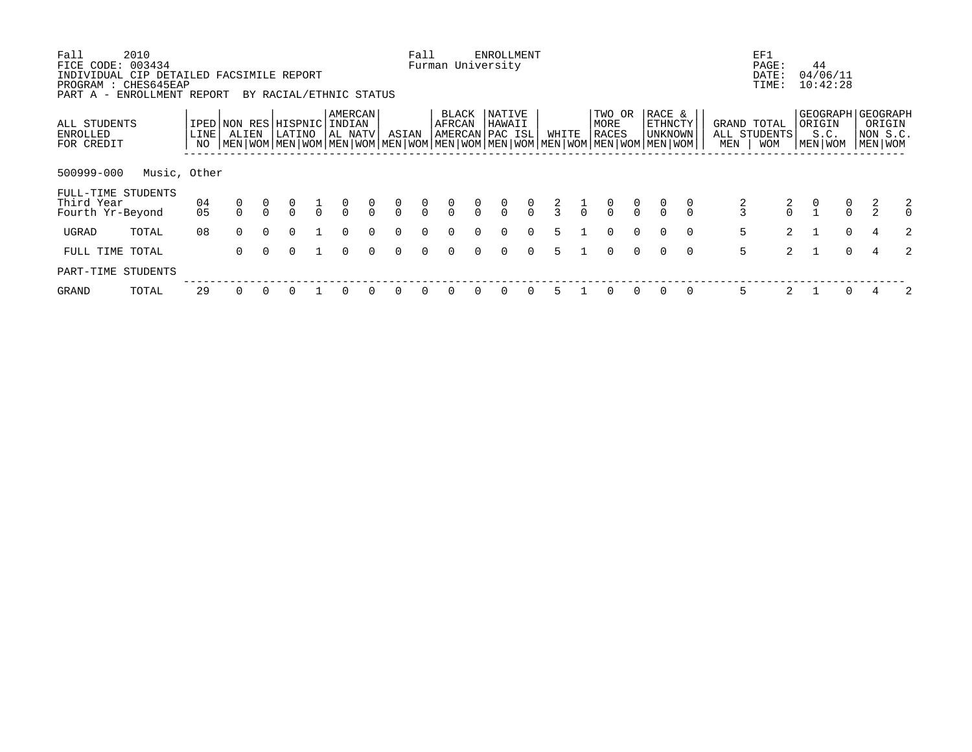| Fall<br>FICE CODE:<br>INDIVIDUAL CIP DETAILED FACSIMILE REPORT<br>PROGRAM : CHES645EAP<br>PART A - ENROLLMENT REPORT | 2010<br>003434 |              |                       |          | BY RACIAL/ETHNIC STATUS |               |                              |                |                                  | Fall                                 |                 |                | <b>ENROLLMENT</b><br>Furman University |                                      |               |               |                         |               |                                                                                                                                             |          |                    | EF1<br>PAGE:<br>DATE:<br>TIME: |                                            | 44<br>04/06/11<br>10:42:28 |                                                      |                                      |
|----------------------------------------------------------------------------------------------------------------------|----------------|--------------|-----------------------|----------|-------------------------|---------------|------------------------------|----------------|----------------------------------|--------------------------------------|-----------------|----------------|----------------------------------------|--------------------------------------|---------------|---------------|-------------------------|---------------|---------------------------------------------------------------------------------------------------------------------------------------------|----------|--------------------|--------------------------------|--------------------------------------------|----------------------------|------------------------------------------------------|--------------------------------------|
| ALL STUDENTS<br><b>ENROLLED</b><br>FOR CREDIT                                                                        |                | LINE  <br>NO | IPED NON RES<br>ALIEN |          | HISPNIC<br>LATINO       |               | AMERCAN<br>INDIAN<br>AL NATV |                | ASIAN                            |                                      | BLACK<br>AFRCAN |                | NATIVE<br>HAWAII<br>AMERCAN PAC ISL    |                                      | WHITE         |               | TWO OR<br>MORE<br>RACES |               | RACE &<br>ETHNCTY<br>UNKNOWN<br>  MEN   WOM   MEN   WOM   MEN   WOM   MEN   WOM   MEN   WOM   MEN   WOM   MEN   WOM   MEN   WOM   MEN   WOM |          | GRAND TOTAL<br>MEN | ALL STUDENTS<br><b>WOM</b>     | ORIGIN                                     | S.C.<br>MEN WOM            | GEOGRAPH   GEOGRAPH<br>ORIGIN<br>NON S.C.<br>MEN WOM |                                      |
| 500999-000                                                                                                           | Music, Other   |              |                       |          |                         |               |                              |                |                                  |                                      |                 |                |                                        |                                      |               |               |                         |               |                                                                                                                                             |          |                    |                                |                                            |                            |                                                      |                                      |
| FULL-TIME STUDENTS<br>Third Year<br>Fourth Yr-Beyond                                                                 |                | 04<br>05     |                       |          | $\frac{0}{0}$           | $\frac{1}{0}$ | $\frac{0}{0}$                | $\int_{0}^{0}$ | $\begin{matrix}0\\0\end{matrix}$ | $\begin{matrix} 0 \\ 0 \end{matrix}$ | $\frac{0}{0}$   | $\int_{0}^{0}$ | $\begin{matrix} 0 \\ 0 \end{matrix}$   | $\begin{matrix} 0 \\ 0 \end{matrix}$ | $\frac{2}{3}$ | $\frac{1}{1}$ | $\frac{0}{0}$           | $\frac{0}{0}$ |                                                                                                                                             |          |                    | $\frac{2}{0}$                  | $\begin{smallmatrix}0\\1\end{smallmatrix}$ | $\frac{0}{0}$              | $\frac{2}{2}$                                        | $\begin{matrix} 2 \\ 0 \end{matrix}$ |
| UGRAD                                                                                                                | TOTAL          | 08           | $\Omega$              | $\Omega$ | $\Omega$                |               | $\Omega$                     | $\Omega$       | $\Omega$                         | $\Omega$                             | $\Omega$        | $\Omega$       | $\Omega$                               | $\Omega$                             | 5             |               | $\Omega$                | $\Omega$      |                                                                                                                                             | $\Omega$ | 5                  | $\overline{2}$                 |                                            | $\Omega$                   |                                                      | $\overline{2}$                       |
| FULL TIME TOTAL                                                                                                      |                |              | $\Omega$              | $\Omega$ | $\Omega$                |               | $\Omega$                     | $\Omega$       | $\Omega$                         | $\Omega$                             | $\Omega$        | $\cap$         | $\Omega$                               | $\Omega$                             | 5             |               | $\Omega$                | $\Omega$      |                                                                                                                                             | $\Omega$ | 5                  | $2^{\circ}$                    |                                            | $\cap$                     |                                                      | $\mathfrak{D}$                       |
| PART-TIME STUDENTS                                                                                                   |                |              |                       |          |                         |               |                              |                |                                  |                                      |                 |                |                                        |                                      |               |               |                         |               |                                                                                                                                             |          |                    |                                |                                            |                            |                                                      |                                      |
| GRAND                                                                                                                | TOTAL          | 29           |                       |          |                         |               | $\Omega$                     | $\Omega$       | $\Omega$                         | $\Omega$                             | O               |                | $\Omega$                               | $\Omega$                             |               |               |                         | $\Omega$      |                                                                                                                                             | $\Omega$ | 5                  |                                |                                            |                            |                                                      | 2                                    |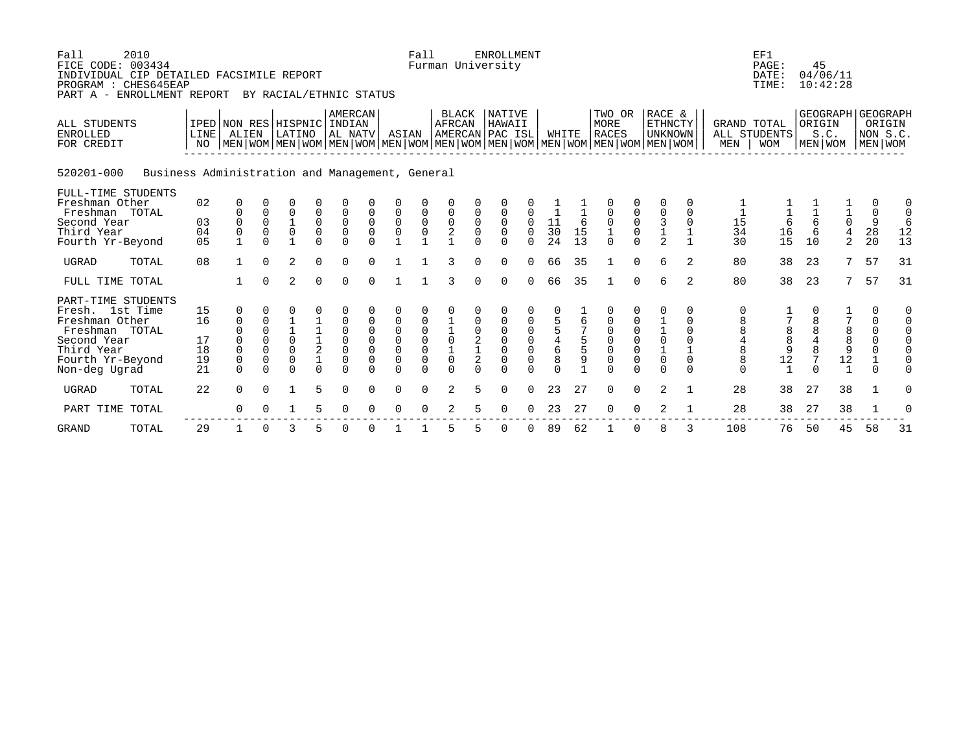| Fall<br>2010<br>FICE CODE: 003434<br>INDIVIDUAL CIP DETAILED FACSIMILE REPORT<br>PROGRAM : CHES645EAP<br>PART A - ENROLLMENT REPORT |                                           |                     |             | BY RACIAL/ETHNIC STATUS |                                                 |                           |             |                                           | Fall                                           | Furman University                         |             | <b>ENROLLMENT</b>       |              |                                            |               |                                                                                                                                               |                                           |                                                  |                  |                                            | EF1<br>PAGE:<br>DATE:<br>TIME: | 45<br>04/06/11<br>10:42:28  |                                                   |                     |        |
|-------------------------------------------------------------------------------------------------------------------------------------|-------------------------------------------|---------------------|-------------|-------------------------|-------------------------------------------------|---------------------------|-------------|-------------------------------------------|------------------------------------------------|-------------------------------------------|-------------|-------------------------|--------------|--------------------------------------------|---------------|-----------------------------------------------------------------------------------------------------------------------------------------------|-------------------------------------------|--------------------------------------------------|------------------|--------------------------------------------|--------------------------------|-----------------------------|---------------------------------------------------|---------------------|--------|
| <b>ALL STUDENTS</b><br><b>ENROLLED</b><br>FOR CREDIT                                                                                | IPED NON RES HISPNIC INDIAN<br>LINE<br>NO | ALIEN               |             | LATINO                  |                                                 | <b>AMERCAN</b><br>AL NATV |             | ASIAN                                     |                                                | <b>BLACK</b><br>AFRCAN<br>AMERCAN PAC ISL |             | <b>NATIVE</b><br>HAWAII |              | WHITE                                      |               | TWO OR<br>MORE<br><b>RACES</b><br>  MEN   WOM   MEN   WOM   MEN   WOM   MEN   WOM   MEN   WOM   MEN   WOM   MEN   WOM   MEN   WOM   MEN   WOM |                                           | RACE &<br><b>ETHNCTY</b><br><b>UNKNOWN</b>       |                  | <b>GRAND TOTAL</b><br>MEN                  | ALL STUDENTS<br><b>WOM</b>     | ORIGIN<br>S.C.<br>MEN   WOM | GEOGRAPH GEOGRAPH                                 | NON S.C.<br>MEN WOM | ORIGIN |
| 520201-000<br>Business Administration and Management, General                                                                       |                                           |                     |             |                         |                                                 |                           |             |                                           |                                                |                                           |             |                         |              |                                            |               |                                                                                                                                               |                                           |                                                  |                  |                                            |                                |                             |                                                   |                     |        |
| FULL-TIME STUDENTS<br>Freshman Other<br>Freshman TOTAL                                                                              | 02                                        | 0<br>0              | 0           | $\overline{0}$          | 0                                               |                           | $\mathbf 0$ | $\mathbf 0$                               |                                                | $\mathsf 0$                               |             |                         |              |                                            |               | $\mathsf{O}\xspace$                                                                                                                           |                                           | 0<br>$\mathsf 0$                                 | 0<br>$\mathbf 0$ |                                            |                                |                             |                                                   | 0<br>$\mathbf 0$    | 0      |
| Second Year                                                                                                                         | 03                                        | $\boldsymbol{0}$    | 0           |                         |                                                 | 0                         | $\mathbf 0$ |                                           |                                                |                                           |             | $\mathbf 0$             | 0            |                                            | 6             |                                                                                                                                               |                                           |                                                  | $\Omega$         | 15                                         |                                | $\epsilon$                  | $\begin{array}{c}\n1 \\ 0 \\ 4 \\ 2\n\end{array}$ | 9                   | 6      |
| Third Year                                                                                                                          | 04                                        | $\mathsf{O}\xspace$ | $\mathsf 0$ | $\frac{1}{0}$           | $_{\rm 0}^{\rm 0}$                              | $_{0}^{0}$                | $\mathsf 0$ | $\begin{matrix} 0 \\ 0 \\ 1 \end{matrix}$ | $\begin{matrix} 0 \\ 0 \\ 1 \end{matrix}$      | $\frac{0}{2}$                             | $\mathsf 0$ | $\mathsf 0$             | $\mathsf{O}$ |                                            | 15            | $\frac{0}{1}$                                                                                                                                 | $\overline{0}$<br>0                       |                                                  |                  | 34                                         | $-6$<br>16                     | $\epsilon$                  |                                                   | 28                  | 12     |
| Fourth Yr-Beyond                                                                                                                    | 0 <sub>5</sub>                            | $\mathbf{1}$        | $\cap$      | $\mathbf{1}$            | $\Omega$                                        | $\Omega$                  | $\cap$      |                                           |                                                |                                           | $\cap$      | $\Omega$                | $\cap$       | $\frac{11}{30}$<br>24                      | 13            |                                                                                                                                               | $\Omega$                                  | $\begin{array}{c} 3 \\ 1 \\ 2 \end{array}$       | $\mathbf{1}$     | 30                                         | 15                             | 10                          |                                                   | 20                  | 13     |
| <b>UGRAD</b><br>TOTAL                                                                                                               | 08                                        | $\mathbf{1}$        | $\Omega$    | $\overline{2}$          | $\Omega$                                        | $\Omega$                  | $\cap$      |                                           |                                                | 3                                         | $\Omega$    | $\Omega$                | $\Omega$     | 66                                         | 35            | $\mathbf{1}$                                                                                                                                  | $\Omega$                                  | $\epsilon$                                       | $\overline{2}$   | 80                                         | 38                             | 23                          | 7                                                 | 57                  | 31     |
| FULL TIME TOTAL                                                                                                                     |                                           |                     | $\Omega$    | $\overline{2}$          | $\Omega$                                        | $\Omega$                  | $\Omega$    |                                           |                                                | 3                                         | $\Omega$    | $\Omega$                | $\Omega$     | 66                                         | 35            | $\mathbf{1}$                                                                                                                                  | $\Omega$                                  | 6                                                | $\overline{2}$   | 80                                         | 38                             | 23                          | 7                                                 | 57                  | 31     |
| PART-TIME STUDENTS                                                                                                                  |                                           |                     |             |                         |                                                 |                           |             |                                           |                                                |                                           |             |                         |              |                                            |               |                                                                                                                                               |                                           |                                                  |                  |                                            |                                |                             |                                                   |                     |        |
| Fresh. 1st Time                                                                                                                     | 15                                        | 0                   |             |                         |                                                 |                           |             |                                           |                                                |                                           |             |                         |              |                                            |               |                                                                                                                                               |                                           |                                                  | 0                | 0                                          |                                |                             |                                                   | 0                   |        |
| Freshman Other                                                                                                                      | 16                                        | 0                   | 0           |                         |                                                 | 0                         |             | 0                                         |                                                |                                           |             | 0                       |              | $\frac{5}{5}$                              | 6             | 0                                                                                                                                             |                                           |                                                  | 0                | $\begin{array}{c} 8 \\ 8 \end{array}$      |                                |                             |                                                   | 0                   |        |
| Freshman TOTAL                                                                                                                      |                                           | $\Omega$            | 0           | $\frac{1}{0}$           |                                                 | $\mathsf 0$               | $\mathbf 0$ |                                           |                                                |                                           |             | $\mathbf 0$             |              |                                            |               |                                                                                                                                               |                                           |                                                  | $\Omega$         |                                            | 8                              | 8                           |                                                   | 0                   |        |
| Second Year                                                                                                                         | 17                                        | $\Omega$            | $\mathbf 0$ |                         |                                                 | $\mathsf 0$               | $\mathbf 0$ | $\begin{matrix} 0 \\ 0 \\ 0 \end{matrix}$ |                                                |                                           | $_1^2$      | $\mathbf 0$             |              |                                            | $\frac{5}{5}$ |                                                                                                                                               |                                           |                                                  | $\Omega$         |                                            | 8                              | $\frac{4}{8}$               | 8<br>8<br>9                                       | $\mathsf 0$         |        |
| Third Year                                                                                                                          | 18                                        | $\mathbf 0$         | $\Omega$    | $\Omega$                | $\begin{array}{c} 1 \\ 1 \\ 2 \\ 1 \end{array}$ | $\overline{0}$            | $\mathbf 0$ |                                           | $\begin{matrix} 0 \\ 0 \\ 0 \\ 0 \end{matrix}$ | $\frac{1}{0}$<br>$\frac{1}{0}$            |             | $\mathsf{O}\xspace$     |              | $\begin{array}{c} 4 \\ 6 \\ 8 \end{array}$ |               | $\begin{matrix} 0 \\ 0 \\ 0 \\ 0 \end{matrix}$                                                                                                | $\begin{matrix} 0 \\ 0 \\ 0 \end{matrix}$ | $\begin{bmatrix} 1 \\ 0 \\ 1 \\ 0 \end{bmatrix}$ |                  | $\begin{array}{c} 4 \\ 8 \\ 8 \end{array}$ | 9                              |                             |                                                   |                     |        |
| Fourth Yr-Beyond                                                                                                                    | 19                                        | $\mathsf 0$         | 0           | 0                       |                                                 | $\mathbf 0$               |             | $\overline{0}$                            |                                                |                                           | $\mathbf 2$ | 0                       | $\mathbf 0$  |                                            | 9             |                                                                                                                                               |                                           |                                                  |                  |                                            | 12                             |                             | 12                                                |                     |        |
| Non-deg Ugrad                                                                                                                       | 21                                        | $\Omega$            | $\Omega$    | $\Omega$                | $\Omega$                                        | $\Omega$                  | $\Omega$    | $\Omega$                                  | $\Omega$                                       | $\Omega$                                  | $\Omega$    | $\cap$                  |              | $\Omega$                                   |               | $\Omega$                                                                                                                                      | $\Omega$                                  | $\Omega$                                         | $\Omega$         | $\Omega$                                   | $\overline{1}$                 |                             | $\mathbf{1}$                                      | $\cap$              |        |
| <b>UGRAD</b><br>TOTAL                                                                                                               | 22                                        | $\Omega$            | $\Omega$    | 1                       | 5                                               | $\Omega$                  | $\Omega$    | $\Omega$                                  | $\Omega$                                       | 2                                         | 5.          | $\Omega$                | $\Omega$     | 23                                         | 27            | $\Omega$                                                                                                                                      | $\Omega$                                  | 2                                                |                  | 28                                         | 38                             | 27                          | 38                                                | 1                   | 0      |
| PART TIME<br>TOTAL                                                                                                                  |                                           | $\Omega$            |             |                         | 5                                               | $\Omega$                  |             | $\Omega$                                  | $\Omega$                                       | 2                                         | 5.          | $\Omega$                | $\Omega$     | 23                                         | 27            | $\mathbf 0$                                                                                                                                   | $\Omega$                                  | 2                                                |                  | 28                                         | 38                             | 27                          | 38                                                | 1                   |        |
| <b>GRAND</b><br>TOTAL                                                                                                               | 29                                        |                     | 0           | 3                       | 5                                               | 0                         | 0           |                                           |                                                | 5                                         | 5           | $\mathbf 0$             | $\Omega$     | 89                                         | 62            |                                                                                                                                               | 0                                         | 8                                                |                  | 108                                        | 76                             | 50                          | 45                                                | 58                  | 31     |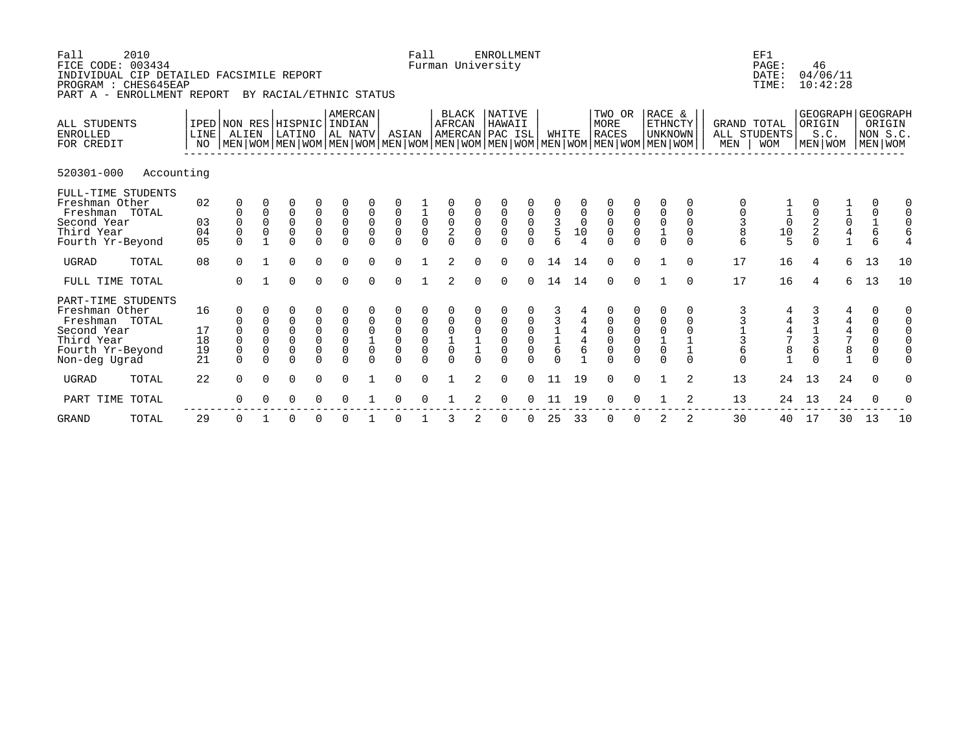| Fall         | 2010<br>FICE CODE: 003434<br>INDIVIDUAL CIP DETAILED FACSIMILE REPORT<br>PROGRAM : CHES645EAP<br>PART A - ENROLLMENT REPORT |                                  |                                                                                                                                                     |                                                                                    | BY RACIAL/ETHNIC STATUS                           |                                                                         |                                                                      |                                                |                                                      | Fall                                                     |                                                            |                                                | <b>ENROLLMENT</b><br>Furman University     |                                                |                                                             |                                  |                                                |                                                |                                                                 |                                                          |                                            | EF1<br>PAGE:<br>DATE:<br>TIME:                       | 46<br>04/06/11<br>10:42:28                        |                                 |                            |                                                                                      |
|--------------|-----------------------------------------------------------------------------------------------------------------------------|----------------------------------|-----------------------------------------------------------------------------------------------------------------------------------------------------|------------------------------------------------------------------------------------|---------------------------------------------------|-------------------------------------------------------------------------|----------------------------------------------------------------------|------------------------------------------------|------------------------------------------------------|----------------------------------------------------------|------------------------------------------------------------|------------------------------------------------|--------------------------------------------|------------------------------------------------|-------------------------------------------------------------|----------------------------------|------------------------------------------------|------------------------------------------------|-----------------------------------------------------------------|----------------------------------------------------------|--------------------------------------------|------------------------------------------------------|---------------------------------------------------|---------------------------------|----------------------------|--------------------------------------------------------------------------------------|
|              | ALL STUDENTS<br><b>ENROLLED</b><br>FOR CREDIT                                                                               | LINE <br>NO                      | IPED NON RES HISPNIC INDIAN<br>ALIEN<br>  MEN   WOM   MEN   WOM   MEN   WOM   MEN   WOM   MEN   WOM   MEN   WOM   MEN   WOM   MEN   WOM   MEN   WOM |                                                                                    | LATINO                                            |                                                                         | AMERCAN<br>AL NATV                                                   |                                                | ASIAN                                                |                                                          | BLACK<br>AFRCAN                                            |                                                | <b>NATIVE</b><br>HAWAII<br>AMERCAN PAC ISL |                                                | WHITE                                                       |                                  | TWO OR<br>MORE<br><b>RACES</b>                 |                                                | RACE &<br><b>ETHNCTY</b><br>  unknown                           |                                                          | GRAND TOTAL<br>MEN                         | ALL STUDENTS<br><b>WOM</b>                           | ORIGIN<br>S.C.<br>MEN WOM                         |                                 | NON S.C.<br>MEN WOM        | GEOGRAPH GEOGRAPH<br>ORIGIN                                                          |
|              | 520301-000<br>Accounting                                                                                                    |                                  |                                                                                                                                                     |                                                                                    |                                                   |                                                                         |                                                                      |                                                |                                                      |                                                          |                                                            |                                                |                                            |                                                |                                                             |                                  |                                                |                                                |                                                                 |                                                          |                                            |                                                      |                                                   |                                 |                            |                                                                                      |
|              | FULL-TIME STUDENTS<br>Freshman Other<br>Freshman TOTAL<br>Second Year<br>Third Year<br>Fourth Yr-Beyond                     | 02<br>03<br>04<br>0 <sub>5</sub> | 0<br>0                                                                                                                                              | $\begin{matrix} 0 \\ 0 \\ 0 \end{matrix}$                                          | $\begin{matrix}0\\0\\0\end{matrix}$               | $\begin{matrix} 0 \\ 0 \\ 0 \\ 0 \end{matrix}$                          | $\begin{matrix} 0 \\ 0 \\ 0 \end{matrix}$                            | $\overline{0}$<br>$\mathsf 0$                  | $\begin{matrix} 0 \\ 0 \\ 0 \end{matrix}$            | $\frac{1}{0}$<br>0<br>$\Omega$                           | $\begin{matrix} 0 \\ 0 \\ 2 \end{matrix}$                  | $\begin{matrix} 0 \\ 0 \\ 0 \end{matrix}$      | $\begin{matrix} 0 \\ 0 \\ 0 \end{matrix}$  | $\begin{matrix} 0 \\ 0 \\ 0 \end{matrix}$      | $\begin{array}{c} 0 \\ 3 \\ 5 \end{array}$                  | $\mathbb O$<br>$\mathsf 0$<br>10 | $\begin{matrix} 0 \\ 0 \\ 0 \end{matrix}$      | $\begin{matrix} 0 \\ 0 \\ 0 \end{matrix}$      | 0<br>00010                                                      | O<br>$\mathbf 0$<br>$\mathbf 0$<br>$\mathbf 0$<br>$\cap$ | $\begin{array}{c} 0 \\ 3 \\ 8 \end{array}$ | $\begin{array}{c} 1 \\ 1 \\ 0 \\ 1 \\ 5 \end{array}$ | $\begin{matrix} 0 \\ 2 \\ 2 \end{matrix}$         | $\frac{1}{10}$<br>$\frac{4}{1}$ | 0<br>$\frac{0}{1}$<br>6    | 0<br>$\mathbf 0$<br>$\mathbf 0$<br>6<br>4                                            |
| UGRAD        | TOTAL                                                                                                                       | 08                               | $\Omega$                                                                                                                                            |                                                                                    | $\Omega$                                          | $\Omega$                                                                | $\Omega$                                                             | $\Omega$                                       | $\Omega$                                             | $\mathbf{1}$                                             | $\overline{a}$                                             | $\Omega$                                       | $\Omega$                                   | $\Omega$                                       | 14                                                          | 14                               | $\Omega$                                       | $\Omega$                                       |                                                                 | $\cap$                                                   | 17                                         | 16                                                   | 4                                                 | 6                               | 13                         | 10                                                                                   |
|              | FULL TIME TOTAL                                                                                                             |                                  | $\Omega$                                                                                                                                            |                                                                                    | $\Omega$                                          | $\mathbf{0}$                                                            | $\Omega$                                                             | $\Omega$                                       | $\Omega$                                             | $\mathbf{1}$                                             | $\overline{a}$                                             | $\Omega$                                       | $\Omega$                                   | $\Omega$                                       | 14                                                          | 14                               | $\Omega$                                       | $\Omega$                                       |                                                                 | $\Omega$                                                 | 17                                         | 16                                                   | $\overline{4}$                                    | 6                               | 13                         | 10                                                                                   |
|              | PART-TIME STUDENTS<br>Freshman Other<br>Freshman TOTAL<br>Second Year<br>Third Year<br>Fourth Yr-Beyond<br>Non-deg Ugrad    | 16<br>17<br>18<br>19<br>21       | 0<br>0<br>$\mathbf 0$<br>$\mathbf 0$<br>$\Omega$                                                                                                    | $\mathsf 0$<br>$\overline{0}$<br>$\ddot{\mathbf{0}}$<br>$\overline{0}$<br>$\Omega$ | 0<br>$\bar{0}$<br>$\overline{0}$<br>0<br>$\Omega$ | $\begin{matrix} 0 \\ 0 \\ 0 \end{matrix}$<br>$\overline{0}$<br>$\Omega$ | $\begin{matrix} 0 \\ 0 \\ 0 \end{matrix}$<br>$\mathbf 0$<br>$\Omega$ | $\mathsf 0$<br>$\overline{0}$<br>$\frac{1}{0}$ | 0<br>$\ddot{\mathbf{0}}$<br>$\overline{0}$<br>0<br>U | $\begin{matrix} 0 \\ 0 \\ 0 \\ 0 \end{matrix}$<br>$\cap$ | $\begin{matrix} 0 \\ 0 \\ 1 \\ 0 \end{matrix}$<br>$\Omega$ | $\begin{matrix} 0 \\ 0 \\ 1 \\ 1 \end{matrix}$ | 0<br>$\overline{0}$<br>0<br>0              | $\begin{matrix} 0 \\ 0 \\ 0 \\ 0 \end{matrix}$ | $\begin{array}{c}\n3 \\ 1 \\ 1 \\ 6\n\end{array}$<br>$\cap$ | $\,4$<br>$\frac{4}{6}$           | 0<br>$\begin{matrix} 0 \\ 0 \end{matrix}$<br>0 | $\begin{matrix} 0 \\ 0 \\ 0 \\ 0 \end{matrix}$ | 0<br>$\begin{matrix} 0 \\ 0 \\ 1 \\ 0 \end{matrix}$<br>$\Omega$ | $\mathbf 0$<br>$\mathbf 0$<br>$\Omega$                   | 6                                          | 444781                                               | $\begin{array}{c}\n3 \\ 1 \\ 3 \\ 6\n\end{array}$ | 44478                           | 0<br>0<br>0<br>0<br>0<br>0 | $\mathbf 0$<br>$\mathbf 0$<br>$\mathbf 0$<br>$\mathbf{0}$<br>$\mathbf 0$<br>$\Omega$ |
| <b>UGRAD</b> | TOTAL                                                                                                                       | 22                               | $\Omega$                                                                                                                                            | $\Omega$                                                                           | 0                                                 | $\mathbf 0$                                                             | $\Omega$                                                             |                                                | $\Omega$                                             | $\Omega$                                                 |                                                            | $\overline{2}$                                 | $\Omega$                                   | $\Omega$                                       | 11                                                          | 19                               | $\Omega$                                       | $\Omega$                                       |                                                                 | 2                                                        | 13                                         | 24                                                   | 13                                                | 24                              | $\Omega$                   | $\Omega$                                                                             |
|              | PART TIME TOTAL                                                                                                             |                                  | 0                                                                                                                                                   |                                                                                    |                                                   |                                                                         | U                                                                    |                                                |                                                      |                                                          |                                                            |                                                | U                                          |                                                | 11                                                          | 19                               | O                                              | U                                              |                                                                 | $\mathfrak{D}$                                           | 13                                         | 24                                                   | 13                                                | 24                              | O                          |                                                                                      |

-------------------------------------------------------------------------------------------------------------

GRAND TOTAL 29 0 1 0 0 0 1 0 1 3 2 0 0 25 33 0 0 2 2 30 40 17 30 13 10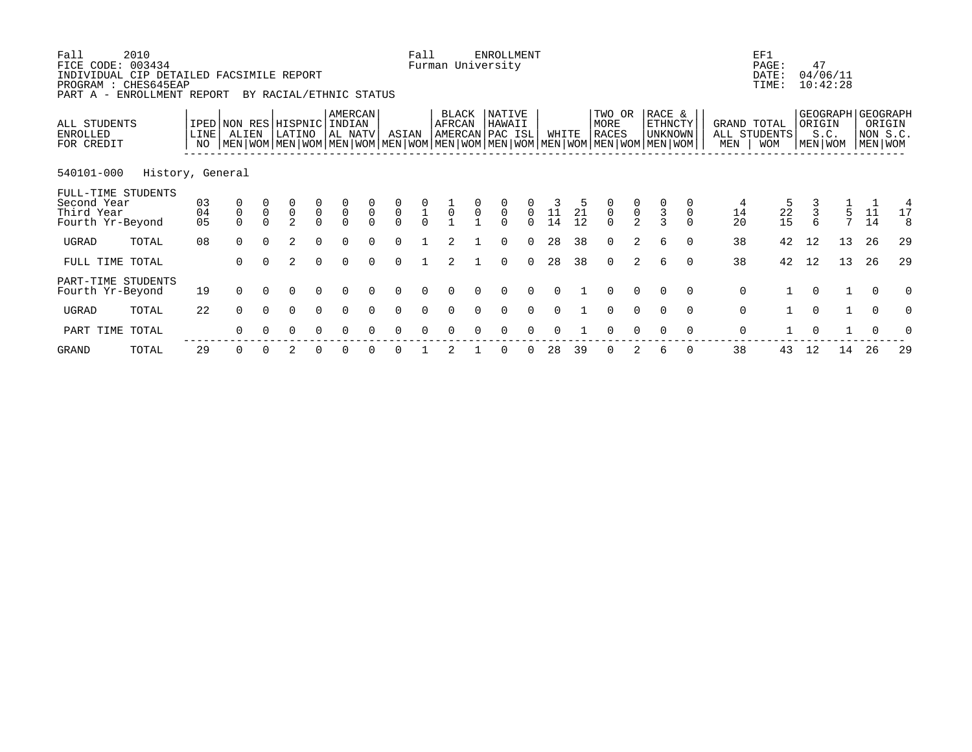| Fall<br>FICE CODE: 003434<br>INDIVIDUAL CIP DETAILED FACSIMILE REPORT<br>PROGRAM : CHES645EAP<br>PART A - | 2010<br>ENROLLMENT REPORT |                            |                     |                | BY RACIAL/ETHNIC STATUS                   |                                           |                                           |                            |                                           | Fall                                      |                 |                     | <b>ENROLLMENT</b><br>Furman University                                                                                                             |                                 |                                              |          |                                           |                                           |                                     |          |                    | EF1<br>PAGE:<br>DATE:<br>TIME: | 47                  | 04/06/11<br>10:42:28                   |                     |              |
|-----------------------------------------------------------------------------------------------------------|---------------------------|----------------------------|---------------------|----------------|-------------------------------------------|-------------------------------------------|-------------------------------------------|----------------------------|-------------------------------------------|-------------------------------------------|-----------------|---------------------|----------------------------------------------------------------------------------------------------------------------------------------------------|---------------------------------|----------------------------------------------|----------|-------------------------------------------|-------------------------------------------|-------------------------------------|----------|--------------------|--------------------------------|---------------------|----------------------------------------|---------------------|--------------|
| ALL STUDENTS<br>ENROLLED<br>FOR CREDIT                                                                    |                           | LINE<br>NO                 | ALIEN               |                | IPED NON RES HISPNIC<br>LATINO            |                                           | AMERCAN<br>INDIAN<br>AL NATV              |                            | ASIAN                                     |                                           | BLACK<br>AFRCAN |                     | NATIVE<br>HAWAII<br>AMERCAN PAC ISL<br>  MEN   WOM   MEN   WOM   MEN   WOM   MEN   WOM   MEN   WOM   MEN   WOM   MEN   WOM   MEN   WOM   MEN   WOM |                                 | WHITE                                        |          | TWO OR<br>MORE<br><b>RACES</b>            |                                           | RACE &<br><b>ETHNCTY</b><br>UNKNOWN |          | GRAND TOTAL<br>MEN | ALL STUDENTS<br><b>WOM</b>     | ORIGIN              | GEOGRAPH GEOGRAPH<br>S.C.<br>MEN   WOM | NON S.C.<br>MEN WOM | ORIGIN       |
| 540101-000                                                                                                | History, General          |                            |                     |                |                                           |                                           |                                           |                            |                                           |                                           |                 |                     |                                                                                                                                                    |                                 |                                              |          |                                           |                                           |                                     |          |                    |                                |                     |                                        |                     |              |
| FULL-TIME STUDENTS<br>Second Year<br>Third Year<br>Fourth Yr-Beyond                                       |                           | 03<br>04<br>0 <sub>5</sub> | 0<br>$\overline{0}$ | $\overline{0}$ | $\begin{matrix} 0 \\ 0 \\ 2 \end{matrix}$ | $\begin{matrix} 0 \\ 0 \\ 0 \end{matrix}$ | $\begin{matrix} 0 \\ 0 \\ 0 \end{matrix}$ | $\overline{0}$<br>$\Omega$ | $\begin{matrix} 0 \\ 0 \\ 0 \end{matrix}$ | $\begin{matrix} 0 \\ 1 \\ 0 \end{matrix}$ | $\overline{0}$  | $\mathsf{O}\xspace$ | $\frac{0}{0}$<br>$\Omega$                                                                                                                          | $\mathsf{O}\xspace$<br>$\Omega$ | $\begin{array}{c} 3 \\ 11 \\ 14 \end{array}$ | 21<br>12 | $\begin{matrix} 0 \\ 0 \\ 0 \end{matrix}$ | $\begin{matrix} 0 \\ 0 \\ 2 \end{matrix}$ | $\frac{3}{3}$                       | 0        | 14<br>20           | 22<br>15                       | $\overline{3}$<br>6 | $\frac{1}{5}$<br>$\overline{7}$        | 11<br>14            | 4<br>17<br>8 |
| UGRAD                                                                                                     | TOTAL                     | 08                         | $\Omega$            | $\Omega$       | $\mathfrak{D}$                            | $\Omega$                                  |                                           |                            | $\Omega$                                  |                                           |                 |                     | $\Omega$                                                                                                                                           | $\Omega$                        | 28                                           | 38       | $\Omega$                                  | 2                                         | 6                                   | $\Omega$ | 38                 | 42                             | 12                  | 13                                     | 26                  | 29           |
| FULL TIME TOTAL                                                                                           |                           |                            | $\Omega$            | $\Omega$       | $\overline{2}$                            | $\Omega$                                  | $\Omega$                                  | $\Omega$                   | $\Omega$                                  |                                           | 2               |                     | $\Omega$                                                                                                                                           | $\Omega$                        | 28                                           | 38       | $\Omega$                                  | $\overline{2}$                            | 6                                   | $\Omega$ | 38                 | 42                             | 12                  | 13                                     | 26                  | 29           |
| PART-TIME STUDENTS<br>Fourth Yr-Beyond                                                                    |                           | 19                         | $\Omega$            |                | 0                                         | $\Omega$                                  | $\Omega$                                  |                            |                                           |                                           |                 |                     |                                                                                                                                                    |                                 |                                              |          |                                           | $\Omega$                                  |                                     | $\Omega$ | $\mathbf 0$        |                                | $\Omega$            |                                        | $\Omega$            | 0            |
| UGRAD                                                                                                     | TOTAL                     | 22                         | $\Omega$            | $\Omega$       | $\Omega$                                  | $\Omega$                                  | $\Omega$                                  | $\cap$                     | $\Omega$                                  | $\Omega$                                  | $\cap$          |                     | $\Omega$                                                                                                                                           | $\Omega$                        | $\cap$                                       |          | $\Omega$                                  | $\Omega$                                  | $\Omega$                            | $\Omega$ | $\mathbf 0$        |                                | $\Omega$            | $\mathbf{1}$                           | $\Omega$            | $\Omega$     |
| PART TIME                                                                                                 | TOTAL                     |                            | ∩                   |                | O                                         |                                           |                                           |                            |                                           |                                           |                 |                     |                                                                                                                                                    |                                 |                                              |          |                                           |                                           |                                     | $\Omega$ | $\mathbf 0$        |                                |                     |                                        |                     |              |
|                                                                                                           |                           |                            |                     |                |                                           |                                           |                                           |                            |                                           |                                           |                 |                     |                                                                                                                                                    |                                 |                                              |          |                                           |                                           |                                     |          |                    |                                |                     |                                        |                     |              |

GRAND TOTAL 29 0 0 2 0 0 0 0 1 2 1 0 0 28 39 0 2 6 0 38 43 12 14 26 29